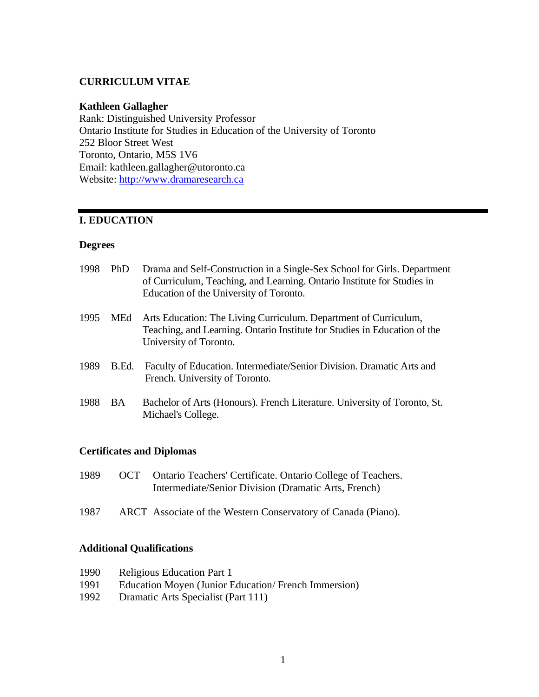#### **CURRICULUM VITAE**

#### **Kathleen Gallagher**

Rank: Distinguished University Professor Ontario Institute for Studies in Education of the University of Toronto 252 Bloor Street West Toronto, Ontario, M5S 1V6 Email: kathleen.gallagher@utoronto.ca Website: [http://www.dramaresearch.ca](http://www.dramaresearch.ca/)

#### **I. EDUCATION**

#### **Degrees**

| 1998 | <b>PhD</b> | Drama and Self-Construction in a Single-Sex School for Girls. Department<br>of Curriculum, Teaching, and Learning. Ontario Institute for Studies in<br>Education of the University of Toronto. |
|------|------------|------------------------------------------------------------------------------------------------------------------------------------------------------------------------------------------------|
| 1995 | MEd        | Arts Education: The Living Curriculum. Department of Curriculum,<br>Teaching, and Learning. Ontario Institute for Studies in Education of the<br>University of Toronto.                        |
| 1989 | B.Ed.      | Faculty of Education. Intermediate/Senior Division. Dramatic Arts and<br>French. University of Toronto.                                                                                        |
| 1988 | BA.        | Bachelor of Arts (Honours). French Literature. University of Toronto, St.<br>Michael's College.                                                                                                |

#### **Certificates and Diplomas**

- 1989 OCT Ontario Teachers' Certificate. Ontario College of Teachers. Intermediate/Senior Division (Dramatic Arts, French)
- 1987 ARCT Associate of the Western Conservatory of Canada (Piano).

#### **Additional Qualifications**

- 1990 Religious Education Part 1
- 1991 Education Moyen (Junior Education/ French Immersion)
- 1992 Dramatic Arts Specialist (Part 111)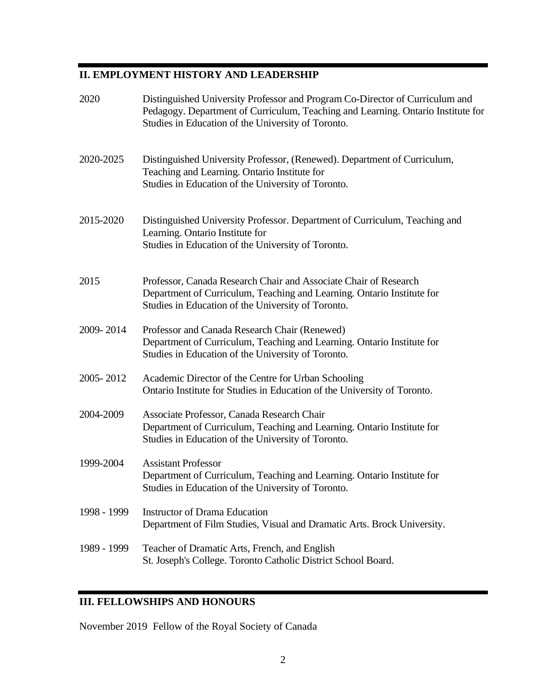# **II. EMPLOYMENT HISTORY AND LEADERSHIP**

| 2020        | Distinguished University Professor and Program Co-Director of Curriculum and<br>Pedagogy. Department of Curriculum, Teaching and Learning. Ontario Institute for<br>Studies in Education of the University of Toronto. |
|-------------|------------------------------------------------------------------------------------------------------------------------------------------------------------------------------------------------------------------------|
| 2020-2025   | Distinguished University Professor, (Renewed). Department of Curriculum,<br>Teaching and Learning. Ontario Institute for<br>Studies in Education of the University of Toronto.                                         |
| 2015-2020   | Distinguished University Professor. Department of Curriculum, Teaching and<br>Learning. Ontario Institute for<br>Studies in Education of the University of Toronto.                                                    |
| 2015        | Professor, Canada Research Chair and Associate Chair of Research<br>Department of Curriculum, Teaching and Learning. Ontario Institute for<br>Studies in Education of the University of Toronto.                       |
| 2009-2014   | Professor and Canada Research Chair (Renewed)<br>Department of Curriculum, Teaching and Learning. Ontario Institute for<br>Studies in Education of the University of Toronto.                                          |
| 2005-2012   | Academic Director of the Centre for Urban Schooling<br>Ontario Institute for Studies in Education of the University of Toronto.                                                                                        |
| 2004-2009   | Associate Professor, Canada Research Chair<br>Department of Curriculum, Teaching and Learning. Ontario Institute for<br>Studies in Education of the University of Toronto.                                             |
| 1999-2004   | <b>Assistant Professor</b><br>Department of Curriculum, Teaching and Learning. Ontario Institute for<br>Studies in Education of the University of Toronto.                                                             |
| 1998 - 1999 | <b>Instructor of Drama Education</b><br>Department of Film Studies, Visual and Dramatic Arts. Brock University.                                                                                                        |
| 1989 - 1999 | Teacher of Dramatic Arts, French, and English<br>St. Joseph's College. Toronto Catholic District School Board.                                                                                                         |
|             |                                                                                                                                                                                                                        |

# **III. FELLOWSHIPS AND HONOURS**

November 2019 Fellow of the Royal Society of Canada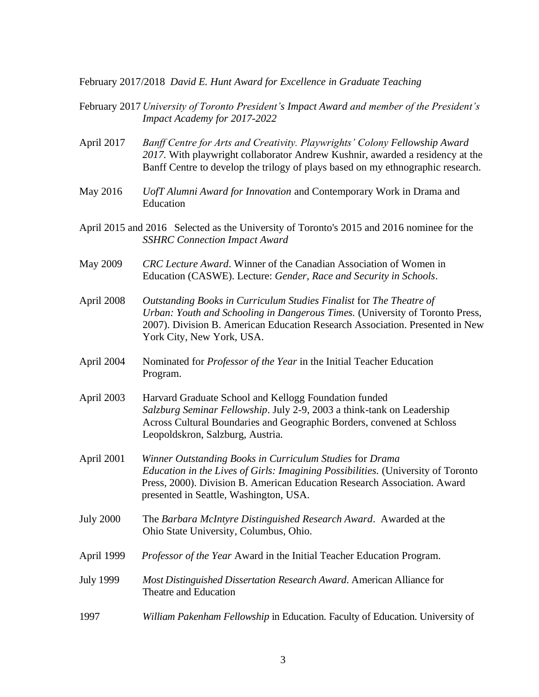February 2017/2018 *David E. Hunt Award for Excellence in Graduate Teaching*

- February 2017 *University of Toronto President's Impact Award and member of the President's Impact Academy for 2017-2022*
- April 2017 *Banff Centre for Arts and Creativity. Playwrights' Colony Fellowship Award 2017.* With playwright collaborator Andrew Kushnir, awarded a residency at the Banff Centre to develop the trilogy of plays based on my ethnographic research.
- May 2016 *UofT Alumni Award for Innovation* and Contemporary Work in Drama and Education
- April 2015 and 2016 Selected as the University of Toronto's 2015 and 2016 nominee for the *SSHRC Connection Impact Award*
- May 2009 *CRC Lecture Award*. Winner of the Canadian Association of Women in Education (CASWE). Lecture: *Gender, Race and Security in Schools*.
- April 2008 *Outstanding Books in Curriculum Studies Finalist* for *The Theatre of Urban: Youth and Schooling in Dangerous Times.* (University of Toronto Press, 2007). Division B. American Education Research Association. Presented in New York City, New York, USA.
- April 2004 Nominated for *Professor of the Year* in the Initial Teacher Education Program.
- April 2003 Harvard Graduate School and Kellogg Foundation funded *Salzburg Seminar Fellowship*. July 2-9, 2003 a think-tank on Leadership Across Cultural Boundaries and Geographic Borders, convened at Schloss Leopoldskron, Salzburg, Austria.
- April 2001 *Winner Outstanding Books in Curriculum Studies* for *Drama Education in the Lives of Girls: Imagining Possibilities.* (University of Toronto Press, 2000). Division B. American Education Research Association. Award presented in Seattle, Washington, USA.
- July 2000 The *Barbara McIntyre Distinguished Research Award*. Awarded at the Ohio State University, Columbus, Ohio.
- April 1999 *Professor of the Year* Award in the Initial Teacher Education Program.
- July 1999 *Most Distinguished Dissertation Research Award*. American Alliance for Theatre and Education
- 1997 *William Pakenham Fellowship* in Education. Faculty of Education. University of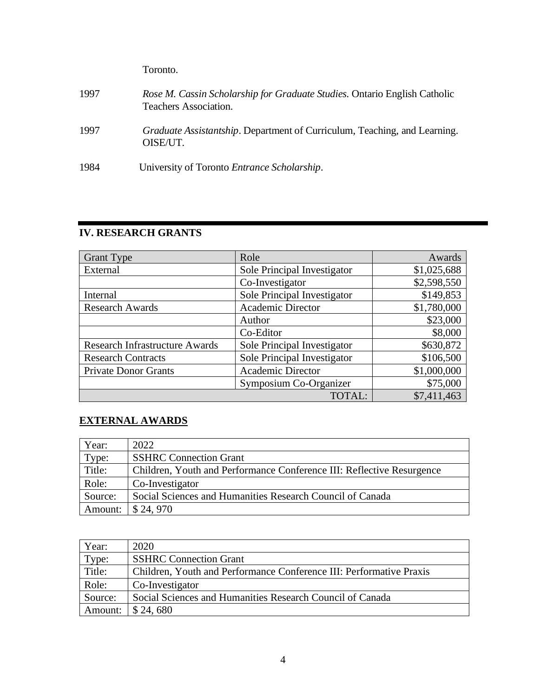Toronto.

- 1997 *Rose M. Cassin Scholarship for Graduate Studies.* Ontario English Catholic Teachers Association. 1997 *Graduate Assistantship*. Department of Curriculum, Teaching, and Learning. OISE/UT.
- 1984 University of Toronto *Entrance Scholarship*.

| <b>Grant Type</b>                     | Role                        | Awards      |
|---------------------------------------|-----------------------------|-------------|
| External                              | Sole Principal Investigator | \$1,025,688 |
|                                       | Co-Investigator             | \$2,598,550 |
| Internal                              | Sole Principal Investigator | \$149,853   |
| <b>Research Awards</b>                | <b>Academic Director</b>    | \$1,780,000 |
|                                       | Author                      | \$23,000    |
|                                       | Co-Editor                   | \$8,000     |
| <b>Research Infrastructure Awards</b> | Sole Principal Investigator | \$630,872   |
| <b>Research Contracts</b>             | Sole Principal Investigator | \$106,500   |
| <b>Private Donor Grants</b>           | <b>Academic Director</b>    | \$1,000,000 |
|                                       | Symposium Co-Organizer      | \$75,000    |
|                                       | TOTAL:                      | \$7,411,463 |

# **IV. RESEARCH GRANTS**

# **EXTERNAL AWARDS**

| Year:   | 2022                                                                  |
|---------|-----------------------------------------------------------------------|
| Type:   | <b>SSHRC</b> Connection Grant                                         |
| Title:  | Children, Youth and Performance Conference III: Reflective Resurgence |
| Role:   | Co-Investigator                                                       |
| Source: | Social Sciences and Humanities Research Council of Canada             |
| Amount: | \$24,970                                                              |

| Year:   | 2020                                                                |
|---------|---------------------------------------------------------------------|
| Type:   | <b>SSHRC</b> Connection Grant                                       |
| Title:  | Children, Youth and Performance Conference III: Performative Praxis |
| Role:   | Co-Investigator                                                     |
| Source: | Social Sciences and Humanities Research Council of Canada           |
| Amount: | \$24,680                                                            |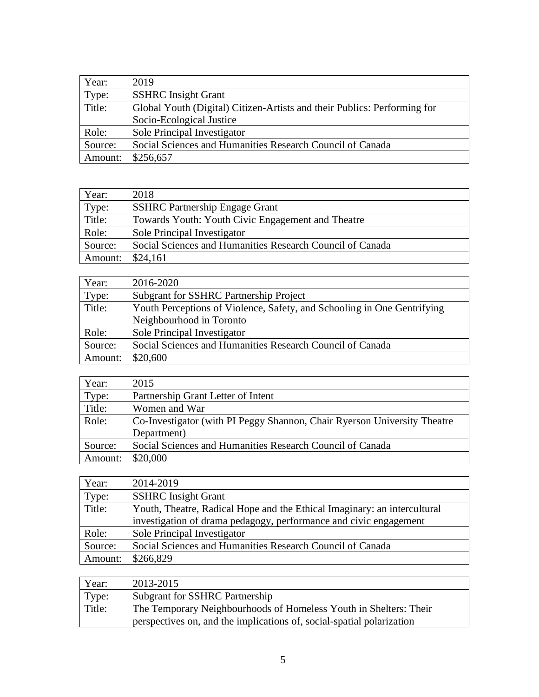| Year:   | 2019                                                                     |
|---------|--------------------------------------------------------------------------|
| Type:   | <b>SSHRC</b> Insight Grant                                               |
| Title:  | Global Youth (Digital) Citizen-Artists and their Publics: Performing for |
|         | Socio-Ecological Justice                                                 |
| Role:   | Sole Principal Investigator                                              |
| Source: | Social Sciences and Humanities Research Council of Canada                |
| Amount: | \$256,657                                                                |

| Year:   | 2018                                                      |
|---------|-----------------------------------------------------------|
| Type:   | <b>SSHRC Partnership Engage Grant</b>                     |
| Title:  | Towards Youth: Youth Civic Engagement and Theatre         |
| Role:   | Sole Principal Investigator                               |
| Source: | Social Sciences and Humanities Research Council of Canada |
| Amount: | \$24,161                                                  |

| Year:   | 2016-2020                                                               |
|---------|-------------------------------------------------------------------------|
| Type:   | <b>Subgrant for SSHRC Partnership Project</b>                           |
| Title:  | Youth Perceptions of Violence, Safety, and Schooling in One Gentrifying |
|         | Neighbourhood in Toronto                                                |
| Role:   | Sole Principal Investigator                                             |
| Source: | Social Sciences and Humanities Research Council of Canada               |
| Amount: | \$20,600                                                                |

| Year:   | 2015                                                                     |
|---------|--------------------------------------------------------------------------|
| Type:   | Partnership Grant Letter of Intent                                       |
| Title:  | Women and War                                                            |
| Role:   | Co-Investigator (with PI Peggy Shannon, Chair Ryerson University Theatre |
|         | Department)                                                              |
| Source: | Social Sciences and Humanities Research Council of Canada                |
| Amount: | \$20,000                                                                 |

| Year:   | 2014-2019                                                                |
|---------|--------------------------------------------------------------------------|
| Type:   | <b>SSHRC</b> Insight Grant                                               |
| Title:  | Youth, Theatre, Radical Hope and the Ethical Imaginary: an intercultural |
|         | investigation of drama pedagogy, performance and civic engagement        |
| Role:   | Sole Principal Investigator                                              |
| Source: | Social Sciences and Humanities Research Council of Canada                |
| Amount: | \$266,829                                                                |

| Year:  | 2013-2015                                                             |
|--------|-----------------------------------------------------------------------|
| Type:  | <b>Subgrant for SSHRC Partnership</b>                                 |
| Title: | The Temporary Neighbourhoods of Homeless Youth in Shelters: Their     |
|        | perspectives on, and the implications of, social-spatial polarization |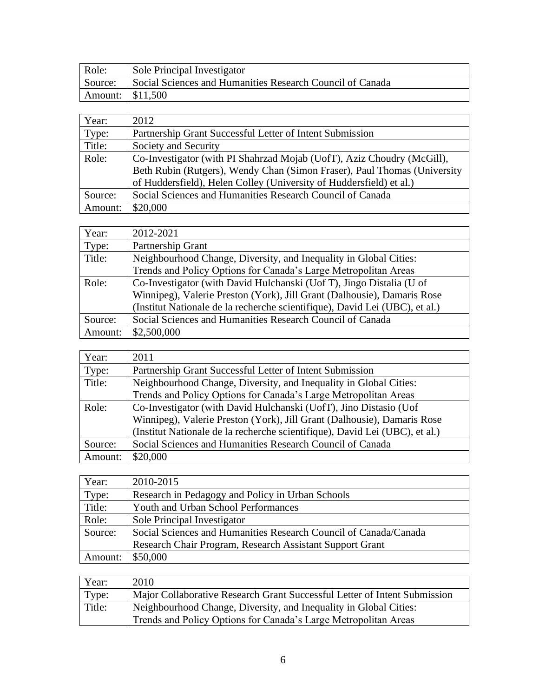| Role: | Sole Principal Investigator                                       |
|-------|-------------------------------------------------------------------|
|       | Source: Social Sciences and Humanities Research Council of Canada |
|       |                                                                   |

| Year:   | 2012                                                                     |
|---------|--------------------------------------------------------------------------|
| Type:   | Partnership Grant Successful Letter of Intent Submission                 |
| Title:  | Society and Security                                                     |
| Role:   | Co-Investigator (with PI Shahrzad Mojab (UofT), Aziz Choudry (McGill),   |
|         | Beth Rubin (Rutgers), Wendy Chan (Simon Fraser), Paul Thomas (University |
|         | of Huddersfield), Helen Colley (University of Huddersfield) et al.)      |
| Source: | Social Sciences and Humanities Research Council of Canada                |
| Amount: | \$20,000                                                                 |

| Year:   | 2012-2021                                                                   |
|---------|-----------------------------------------------------------------------------|
| Type:   | Partnership Grant                                                           |
| Title:  | Neighbourhood Change, Diversity, and Inequality in Global Cities:           |
|         | Trends and Policy Options for Canada's Large Metropolitan Areas             |
| Role:   | Co-Investigator (with David Hulchanski (Uof T), Jingo Distalia (U of        |
|         | Winnipeg), Valerie Preston (York), Jill Grant (Dalhousie), Damaris Rose     |
|         | (Institut Nationale de la recherche scientifique), David Lei (UBC), et al.) |
| Source: | Social Sciences and Humanities Research Council of Canada                   |
| Amount: | \$2,500,000                                                                 |

| Year:   | 2011                                                                        |
|---------|-----------------------------------------------------------------------------|
| Type:   | Partnership Grant Successful Letter of Intent Submission                    |
| Title:  | Neighbourhood Change, Diversity, and Inequality in Global Cities:           |
|         | Trends and Policy Options for Canada's Large Metropolitan Areas             |
| Role:   | Co-Investigator (with David Hulchanski (UofT), Jino Distasio (Uof           |
|         | Winnipeg), Valerie Preston (York), Jill Grant (Dalhousie), Damaris Rose     |
|         | (Institut Nationale de la recherche scientifique), David Lei (UBC), et al.) |
| Source: | Social Sciences and Humanities Research Council of Canada                   |
| Amount: | \$20,000                                                                    |
|         |                                                                             |

| Year:   | 2010-2015                                                        |
|---------|------------------------------------------------------------------|
| Type:   | Research in Pedagogy and Policy in Urban Schools                 |
| Title:  | <b>Youth and Urban School Performances</b>                       |
| Role:   | Sole Principal Investigator                                      |
| Source: | Social Sciences and Humanities Research Council of Canada/Canada |
|         | Research Chair Program, Research Assistant Support Grant         |
| Amount: | \$50,000                                                         |

| Year:  | 2010                                                                      |
|--------|---------------------------------------------------------------------------|
| Type:  | Major Collaborative Research Grant Successful Letter of Intent Submission |
| Title: | Neighbourhood Change, Diversity, and Inequality in Global Cities:         |
|        | Trends and Policy Options for Canada's Large Metropolitan Areas           |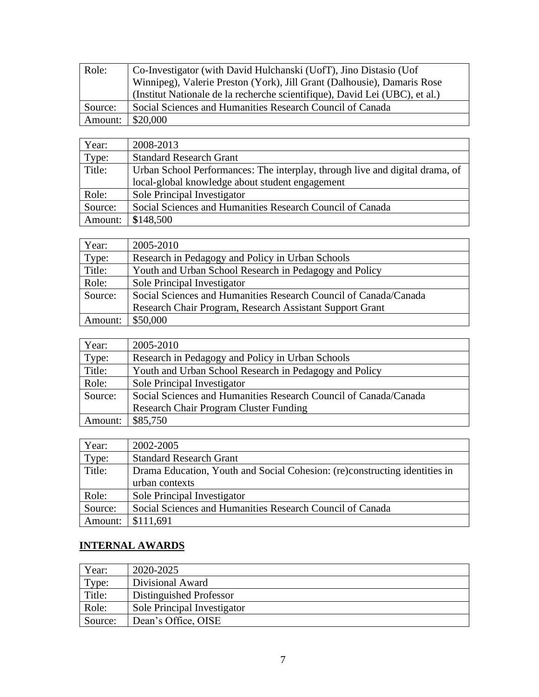| Role:   | Co-Investigator (with David Hulchanski (UofT), Jino Distasio (Uof           |
|---------|-----------------------------------------------------------------------------|
|         | Winnipeg), Valerie Preston (York), Jill Grant (Dalhousie), Damaris Rose     |
|         | (Institut Nationale de la recherche scientifique), David Lei (UBC), et al.) |
| Source: | Social Sciences and Humanities Research Council of Canada                   |
| Amount: | \$20,000                                                                    |

| Year:   | 2008-2013                                                                    |
|---------|------------------------------------------------------------------------------|
| Type:   | <b>Standard Research Grant</b>                                               |
| Title:  | Urban School Performances: The interplay, through live and digital drama, of |
|         | local-global knowledge about student engagement                              |
| Role:   | Sole Principal Investigator                                                  |
| Source: | Social Sciences and Humanities Research Council of Canada                    |
| Amount: | \$148,500                                                                    |

| Year:   | 2005-2010                                                        |
|---------|------------------------------------------------------------------|
| Type:   | Research in Pedagogy and Policy in Urban Schools                 |
| Title:  | Youth and Urban School Research in Pedagogy and Policy           |
| Role:   | Sole Principal Investigator                                      |
| Source: | Social Sciences and Humanities Research Council of Canada/Canada |
|         | Research Chair Program, Research Assistant Support Grant         |
| Amount: | \$50,000                                                         |

| Year:   | 2005-2010                                                        |
|---------|------------------------------------------------------------------|
| Type:   | Research in Pedagogy and Policy in Urban Schools                 |
| Title:  | Youth and Urban School Research in Pedagogy and Policy           |
| Role:   | Sole Principal Investigator                                      |
| Source: | Social Sciences and Humanities Research Council of Canada/Canada |
|         | <b>Research Chair Program Cluster Funding</b>                    |
| Amount: | \$85,750                                                         |

| Year:   | 2002-2005                                                                  |
|---------|----------------------------------------------------------------------------|
| Type:   | <b>Standard Research Grant</b>                                             |
| Title:  | Drama Education, Youth and Social Cohesion: (re)constructing identities in |
|         | urban contexts                                                             |
| Role:   | Sole Principal Investigator                                                |
| Source: | Social Sciences and Humanities Research Council of Canada                  |
| Amount: | \$111,691                                                                  |

# **INTERNAL AWARDS**

| Year:   | 2020-2025                   |
|---------|-----------------------------|
| Type:   | Divisional Award            |
| Title:  | Distinguished Professor     |
| Role:   | Sole Principal Investigator |
| Source: | Dean's Office, OISE         |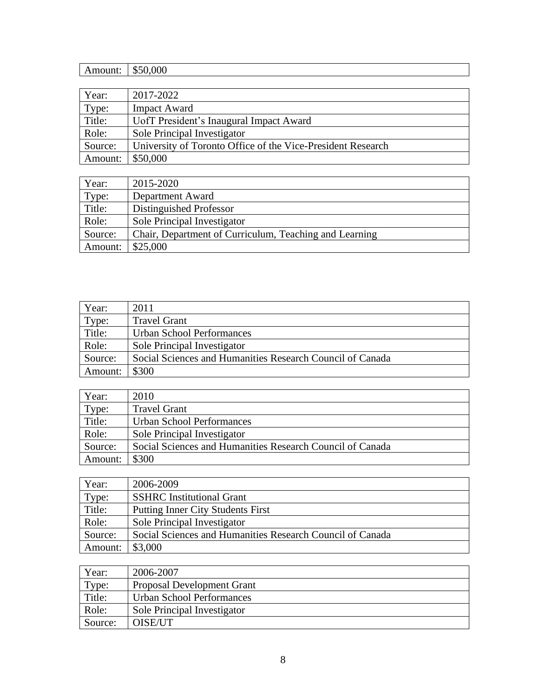| Amount: | \$50,000                                                    |
|---------|-------------------------------------------------------------|
|         |                                                             |
| Year:   | 2017-2022                                                   |
| Type:   | <b>Impact Award</b>                                         |
| Title:  | UofT President's Inaugural Impact Award                     |
| Role:   | Sole Principal Investigator                                 |
| Source: | University of Toronto Office of the Vice-President Research |
| Amount: | \$50,000                                                    |

| Year:   | 2015-2020                                              |
|---------|--------------------------------------------------------|
| Type:   | Department Award                                       |
| Title:  | Distinguished Professor                                |
| Role:   | Sole Principal Investigator                            |
| Source: | Chair, Department of Curriculum, Teaching and Learning |
| Amount: | \$25,000                                               |

| Year:   | 2011                                                      |
|---------|-----------------------------------------------------------|
| Type:   | <b>Travel Grant</b>                                       |
| Title:  | <b>Urban School Performances</b>                          |
| Role:   | Sole Principal Investigator                               |
| Source: | Social Sciences and Humanities Research Council of Canada |
| Amount: | \$300                                                     |

| Year:   | 2010                                                      |
|---------|-----------------------------------------------------------|
| Type:   | <b>Travel Grant</b>                                       |
| Title:  | <b>Urban School Performances</b>                          |
| Role:   | Sole Principal Investigator                               |
| Source: | Social Sciences and Humanities Research Council of Canada |
| Amount: | \$300                                                     |

| Year:   | 2006-2009                                                 |
|---------|-----------------------------------------------------------|
| Type:   | <b>SSHRC</b> Institutional Grant                          |
| Title:  | Putting Inner City Students First                         |
| Role:   | Sole Principal Investigator                               |
| Source: | Social Sciences and Humanities Research Council of Canada |
| Amount: | \$3,000                                                   |

| Year:   | 2006-2007                   |
|---------|-----------------------------|
| Type:   | Proposal Development Grant  |
| Title:  | Urban School Performances   |
| Role:   | Sole Principal Investigator |
| Source: | OISE/UT                     |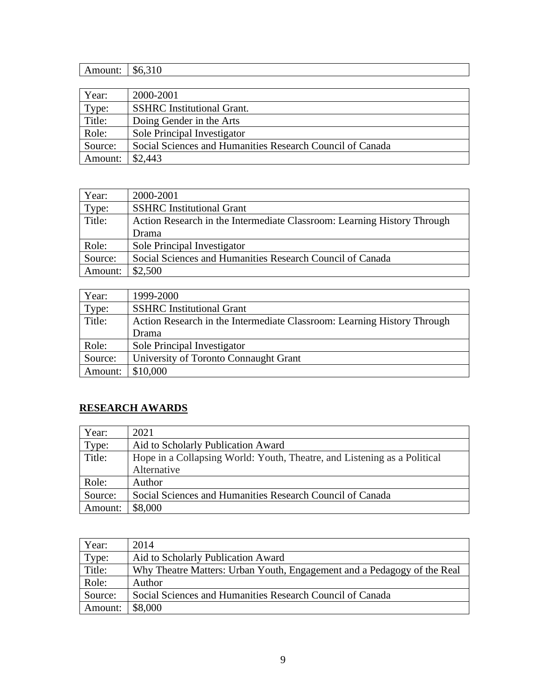| Amount: | \$6,310                                                   |
|---------|-----------------------------------------------------------|
|         |                                                           |
| Year:   | 2000-2001                                                 |
| Type:   | <b>SSHRC</b> Institutional Grant.                         |
| Title:  | Doing Gender in the Arts                                  |
| Role:   | Sole Principal Investigator                               |
| Source: | Social Sciences and Humanities Research Council of Canada |
| Amount: | \$2,443                                                   |

| Year:   | 2000-2001                                                               |
|---------|-------------------------------------------------------------------------|
| Type:   | <b>SSHRC</b> Institutional Grant                                        |
| Title:  | Action Research in the Intermediate Classroom: Learning History Through |
|         | Drama                                                                   |
| Role:   | Sole Principal Investigator                                             |
| Source: | Social Sciences and Humanities Research Council of Canada               |
| Amount: | \$2,500                                                                 |

| Year:   | 1999-2000                                                               |
|---------|-------------------------------------------------------------------------|
| Type:   | <b>SSHRC</b> Institutional Grant                                        |
| Title:  | Action Research in the Intermediate Classroom: Learning History Through |
|         | Drama                                                                   |
| Role:   | Sole Principal Investigator                                             |
| Source: | University of Toronto Connaught Grant                                   |
| Amount: | \$10,000                                                                |

# **RESEARCH AWARDS**

| Year:   | 2021                                                                     |
|---------|--------------------------------------------------------------------------|
| Type:   | Aid to Scholarly Publication Award                                       |
| Title:  | Hope in a Collapsing World: Youth, Theatre, and Listening as a Political |
|         | Alternative                                                              |
| Role:   | Author                                                                   |
| Source: | Social Sciences and Humanities Research Council of Canada                |
| Amount: | \$8,000                                                                  |

| Year:   | 2014                                                                    |
|---------|-------------------------------------------------------------------------|
| Type:   | Aid to Scholarly Publication Award                                      |
| Title:  | Why Theatre Matters: Urban Youth, Engagement and a Pedagogy of the Real |
| Role:   | Author                                                                  |
| Source: | Social Sciences and Humanities Research Council of Canada               |
| Amount: | \$8,000                                                                 |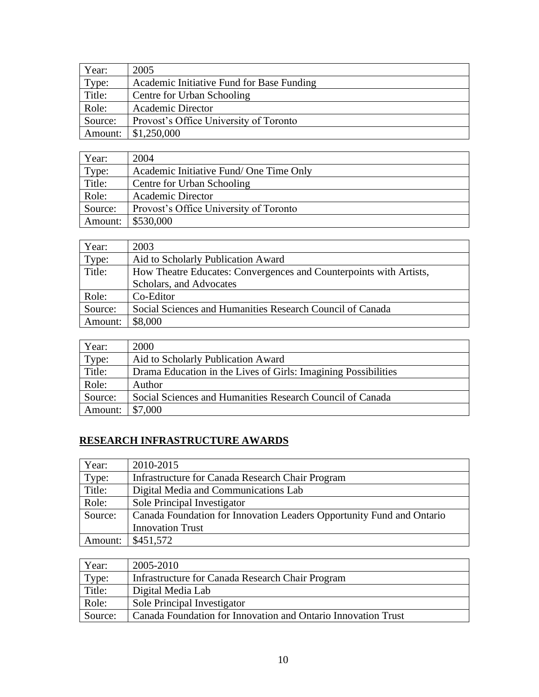| Year:   | 2005                                      |
|---------|-------------------------------------------|
| Type:   | Academic Initiative Fund for Base Funding |
| Title:  | Centre for Urban Schooling                |
| Role:   | <b>Academic Director</b>                  |
| Source: | Provost's Office University of Toronto    |
| Amount: | \$1,250,000                               |

| Year:   | 2004                                   |
|---------|----------------------------------------|
| Type:   | Academic Initiative Fund/One Time Only |
| Title:  | Centre for Urban Schooling             |
| Role:   | <b>Academic Director</b>               |
| Source: | Provost's Office University of Toronto |
| Amount: | \$530,000                              |

| Year:   | 2003                                                               |  |  |  |
|---------|--------------------------------------------------------------------|--|--|--|
| Type:   | Aid to Scholarly Publication Award                                 |  |  |  |
| Title:  | How Theatre Educates: Convergences and Counterpoints with Artists, |  |  |  |
|         | Scholars, and Advocates                                            |  |  |  |
| Role:   | Co-Editor                                                          |  |  |  |
| Source: | Social Sciences and Humanities Research Council of Canada          |  |  |  |
| Amount: | \$8,000                                                            |  |  |  |

| Year:   | 2000                                                           |
|---------|----------------------------------------------------------------|
| Type:   | Aid to Scholarly Publication Award                             |
| Title:  | Drama Education in the Lives of Girls: Imagining Possibilities |
| Role:   | Author                                                         |
| Source: | Social Sciences and Humanities Research Council of Canada      |
| Amount: | \$7,000                                                        |

# **RESEARCH INFRASTRUCTURE AWARDS**

| Year:   | 2010-2015                                                             |
|---------|-----------------------------------------------------------------------|
| Type:   | Infrastructure for Canada Research Chair Program                      |
| Title:  | Digital Media and Communications Lab                                  |
| Role:   | Sole Principal Investigator                                           |
| Source: | Canada Foundation for Innovation Leaders Opportunity Fund and Ontario |
|         | <b>Innovation Trust</b>                                               |
| Amount: | \$451,572                                                             |

| Year:   | 2005-2010                                                     |
|---------|---------------------------------------------------------------|
| Type:   | Infrastructure for Canada Research Chair Program              |
| Title:  | Digital Media Lab                                             |
| Role:   | Sole Principal Investigator                                   |
| Source: | Canada Foundation for Innovation and Ontario Innovation Trust |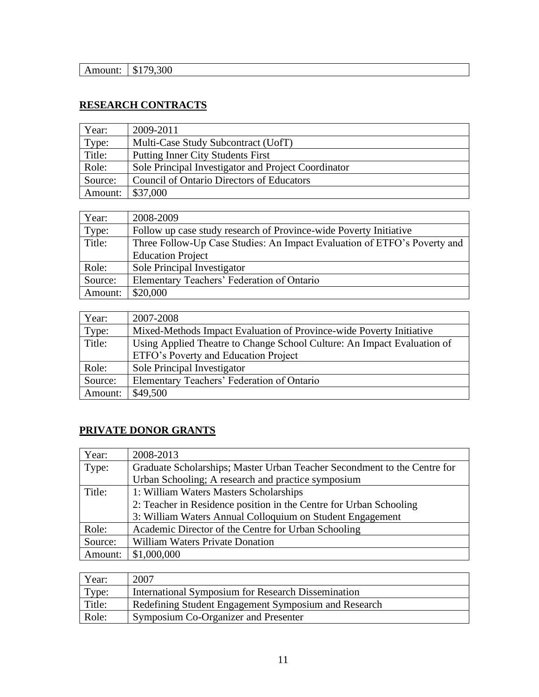| . . | Œ<br>۰D |
|-----|---------|
|     |         |

# **RESEARCH CONTRACTS**

| Year:   | 2009-2011                                           |
|---------|-----------------------------------------------------|
| Type:   | Multi-Case Study Subcontract (UofT)                 |
| Title:  | <b>Putting Inner City Students First</b>            |
| Role:   | Sole Principal Investigator and Project Coordinator |
| Source: | <b>Council of Ontario Directors of Educators</b>    |
| Amount: | \$37,000                                            |

| Year:   | 2008-2009                                                                |
|---------|--------------------------------------------------------------------------|
| Type:   | Follow up case study research of Province-wide Poverty Initiative        |
| Title:  | Three Follow-Up Case Studies: An Impact Evaluation of ETFO's Poverty and |
|         | <b>Education Project</b>                                                 |
| Role:   | Sole Principal Investigator                                              |
| Source: | Elementary Teachers' Federation of Ontario                               |
| Amount: | \$20,000                                                                 |

| Year:   | 2007-2008                                                               |  |  |  |
|---------|-------------------------------------------------------------------------|--|--|--|
| Type:   | Mixed-Methods Impact Evaluation of Province-wide Poverty Initiative     |  |  |  |
| Title:  | Using Applied Theatre to Change School Culture: An Impact Evaluation of |  |  |  |
|         | ETFO's Poverty and Education Project                                    |  |  |  |
| Role:   | Sole Principal Investigator                                             |  |  |  |
| Source: | Elementary Teachers' Federation of Ontario                              |  |  |  |
| Amount: | \$49,500                                                                |  |  |  |

# **PRIVATE DONOR GRANTS**

| Year:   | 2008-2013                                                                |  |  |  |
|---------|--------------------------------------------------------------------------|--|--|--|
| Type:   | Graduate Scholarships; Master Urban Teacher Secondment to the Centre for |  |  |  |
|         | Urban Schooling; A research and practice symposium                       |  |  |  |
| Title:  | 1: William Waters Masters Scholarships                                   |  |  |  |
|         | 2: Teacher in Residence position in the Centre for Urban Schooling       |  |  |  |
|         | 3: William Waters Annual Colloquium on Student Engagement                |  |  |  |
| Role:   | Academic Director of the Centre for Urban Schooling                      |  |  |  |
| Source: | <b>William Waters Private Donation</b>                                   |  |  |  |
| Amount: | \$1,000,000                                                              |  |  |  |

| Year:  | 2007                                                 |
|--------|------------------------------------------------------|
| Type:  | International Symposium for Research Dissemination   |
| Title: | Redefining Student Engagement Symposium and Research |
| Role:  | Symposium Co-Organizer and Presenter                 |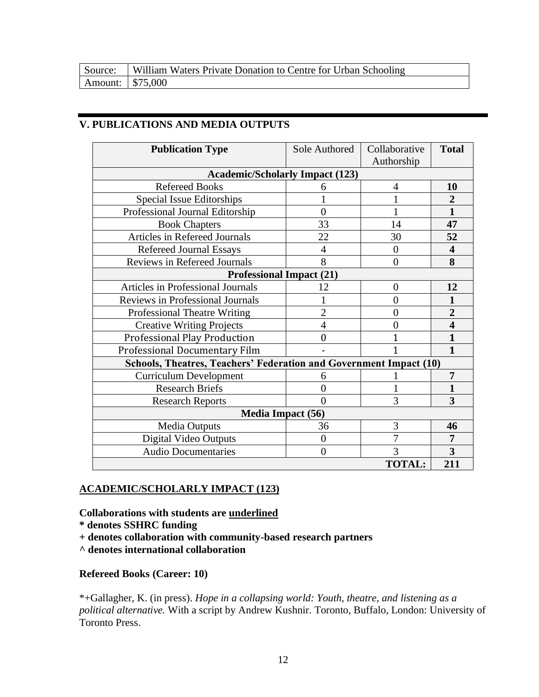| Source: William Waters Private Donation to Centre for Urban Schooling |  |
|-----------------------------------------------------------------------|--|
|                                                                       |  |

# **V. PUBLICATIONS AND MEDIA OUTPUTS**

| <b>Publication Type</b>                                            | Sole Authored            | Collaborative<br>Authorship | <b>Total</b>            |
|--------------------------------------------------------------------|--------------------------|-----------------------------|-------------------------|
| <b>Academic/Scholarly Impact (123)</b>                             |                          |                             |                         |
| <b>Refereed Books</b>                                              | 6                        | 4                           | 10                      |
| Special Issue Editorships                                          |                          |                             | $\overline{2}$          |
| Professional Journal Editorship                                    | $\overline{0}$           |                             | $\mathbf{1}$            |
| <b>Book Chapters</b>                                               | 33                       | 14                          | 47                      |
| Articles in Refereed Journals                                      | 22                       | 30                          | 52                      |
| <b>Refereed Journal Essays</b>                                     | $\overline{4}$           | $\overline{0}$              | 4                       |
| <b>Reviews in Refereed Journals</b>                                | 8                        | $\overline{0}$              | 8                       |
| <b>Professional Impact (21)</b>                                    |                          |                             |                         |
| <b>Articles in Professional Journals</b>                           | 12                       | $\overline{0}$              | 12                      |
| Reviews in Professional Journals                                   |                          | 0                           | 1                       |
| <b>Professional Theatre Writing</b>                                | $\overline{2}$           | 0                           | $\overline{2}$          |
| <b>Creative Writing Projects</b>                                   | $\overline{4}$           | 0                           | $\overline{\mathbf{4}}$ |
| Professional Play Production                                       | $\theta$                 | 1                           | 1                       |
| Professional Documentary Film                                      |                          | 1                           | $\mathbf{1}$            |
| Schools, Theatres, Teachers' Federation and Government Impact (10) |                          |                             |                         |
| <b>Curriculum Development</b>                                      | 6                        |                             | $\overline{7}$          |
| <b>Research Briefs</b>                                             | 0                        |                             | 1                       |
| <b>Research Reports</b>                                            | $\Omega$                 | 3                           | 3                       |
|                                                                    | <b>Media Impact (56)</b> |                             |                         |
| <b>Media Outputs</b>                                               | 36                       | 3                           | 46                      |
| Digital Video Outputs                                              | $\overline{0}$           | 7                           | $\overline{7}$          |
| <b>Audio Documentaries</b>                                         | $\theta$                 | 3                           | 3                       |
|                                                                    |                          | <b>TOTAL:</b>               | 211                     |

# **ACADEMIC/SCHOLARLY IMPACT (123)**

**Collaborations with students are underlined**

- **\* denotes SSHRC funding**
- **+ denotes collaboration with community-based research partners**
- **^ denotes international collaboration**

# **Refereed Books (Career: 10)**

\*+Gallagher, K. (in press). *Hope in a collapsing world: Youth, theatre, and listening as a political alternative.* With a script by Andrew Kushnir. Toronto, Buffalo, London: University of Toronto Press.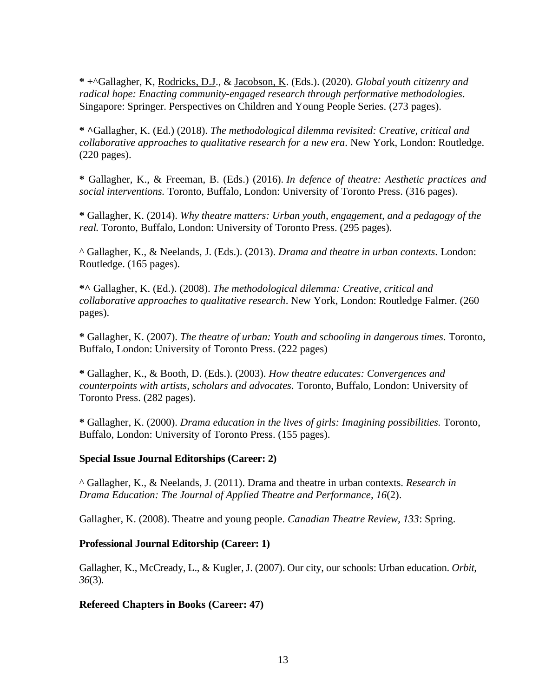**\*** +^Gallagher, K, Rodricks, D.J., & Jacobson, K. (Eds.). (2020). *Global youth citizenry and radical hope: Enacting community-engaged research through performative methodologies*. Singapore: Springer. Perspectives on Children and Young People Series. (273 pages).

**\* ^**Gallagher, K. (Ed.) (2018). *The methodological dilemma revisited: Creative, critical and collaborative approaches to qualitative research for a new era.* New York, London: Routledge. (220 pages).

**\*** Gallagher, K., & Freeman, B. (Eds.) (2016). *In defence of theatre: Aesthetic practices and social interventions.* Toronto, Buffalo, London: University of Toronto Press. (316 pages).

**\*** Gallagher, K. (2014). *Why theatre matters: Urban youth, engagement, and a pedagogy of the real.* Toronto, Buffalo, London: University of Toronto Press. (295 pages).

^ Gallagher, K., & Neelands, J. (Eds.). (2013). *Drama and theatre in urban contexts.* London: Routledge. (165 pages).

**\*^** Gallagher, K. (Ed.). (2008). *The methodological dilemma: Creative, critical and collaborative approaches to qualitative research*. New York, London: Routledge Falmer. (260 pages).

**\*** Gallagher, K. (2007). *The theatre of urban: Youth and schooling in dangerous times.* Toronto, Buffalo, London: University of Toronto Press. (222 pages)

**\*** Gallagher, K., & Booth, D. (Eds.). (2003). *How theatre educates: Convergences and counterpoints with artists, scholars and advocates.* Toronto, Buffalo, London: University of Toronto Press. (282 pages).

**\*** Gallagher, K. (2000). *Drama education in the lives of girls: Imagining possibilities.* Toronto, Buffalo, London: University of Toronto Press. (155 pages).

#### **Special Issue Journal Editorships (Career: 2)**

^ Gallagher, K., & Neelands, J. (2011). Drama and theatre in urban contexts. *Research in Drama Education: The Journal of Applied Theatre and Performance, 16*(2).

Gallagher, K. (2008). Theatre and young people. *Canadian Theatre Review, 133*: Spring.

#### **Professional Journal Editorship (Career: 1)**

Gallagher, K., McCready, L., & Kugler, J. (2007). Our city, our schools: Urban education. *Orbit, 36*(3).

# **Refereed Chapters in Books (Career: 47)**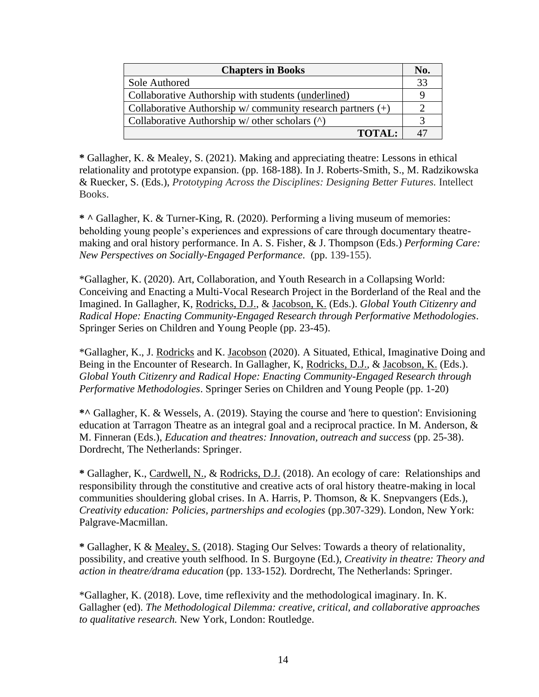| <b>Chapters in Books</b>                                     |    |
|--------------------------------------------------------------|----|
| Sole Authored                                                | 33 |
| Collaborative Authorship with students (underlined)          |    |
| Collaborative Authorship w/community research partners $(+)$ |    |
| Collaborative Authorship $w/$ other scholars $(^{\wedge})$   |    |
| <b>TOTAL:</b>                                                |    |

**\*** Gallagher, K. & Mealey, S. (2021). Making and appreciating theatre: Lessons in ethical relationality and prototype expansion. (pp. 168-188). In J. Roberts-Smith, S., M. Radzikowska & Ruecker, S. (Eds.), *Prototyping Across the Disciplines: Designing Better Futures.* Intellect Books.

**\* ^** Gallagher, K. & Turner-King, R. (2020). Performing a living museum of memories: beholding young people's experiences and expressions of care through documentary theatremaking and oral history performance. In A. S. Fisher, & J. Thompson (Eds.) *Performing Care: New Perspectives on Socially-Engaged Performance.* (pp. 139-155).

\*Gallagher, K. (2020). Art, Collaboration, and Youth Research in a Collapsing World: Conceiving and Enacting a Multi-Vocal Research Project in the Borderland of the Real and the Imagined. In Gallagher, K, Rodricks, D.J., & Jacobson, K. (Eds.). *Global Youth Citizenry and Radical Hope: Enacting Community-Engaged Research through Performative Methodologies*. Springer Series on Children and Young People (pp. 23-45).

\*Gallagher, K., J. Rodricks and K. Jacobson (2020). A Situated, Ethical, Imaginative Doing and Being in the Encounter of Research. In Gallagher, K, Rodricks, D.J., & Jacobson, K. (Eds.). *Global Youth Citizenry and Radical Hope: Enacting Community-Engaged Research through Performative Methodologies*. Springer Series on Children and Young People (pp. 1-20)

**\*^** Gallagher, K. & Wessels, A. (2019). Staying the course and 'here to question': Envisioning education at Tarragon Theatre as an integral goal and a reciprocal practice. In M. Anderson, & M. Finneran (Eds.), *Education and theatres: Innovation, outreach and success* (pp. 25-38). Dordrecht, The Netherlands: Springer.

**\*** Gallagher, K., Cardwell, N., & Rodricks, D.J. (2018). An ecology of care: Relationships and responsibility through the constitutive and creative acts of oral history theatre-making in local communities shouldering global crises. In A. Harris, P. Thomson, & K. Snepvangers (Eds.), *Creativity education: Policies, partnerships and ecologies* (pp.307-329). London, New York: Palgrave-Macmillan.

**\*** Gallagher, K & Mealey, S. (2018). Staging Our Selves: Towards a theory of relationality, possibility, and creative youth selfhood. In S. Burgoyne (Ed.), *Creativity in theatre: Theory and action in theatre/drama education* (pp. 133-152)*.* Dordrecht, The Netherlands: Springer.

\*Gallagher, K. (2018). Love, time reflexivity and the methodological imaginary. In. K. Gallagher (ed). *The Methodological Dilemma: creative, critical, and collaborative approaches to qualitative research.* New York, London: Routledge.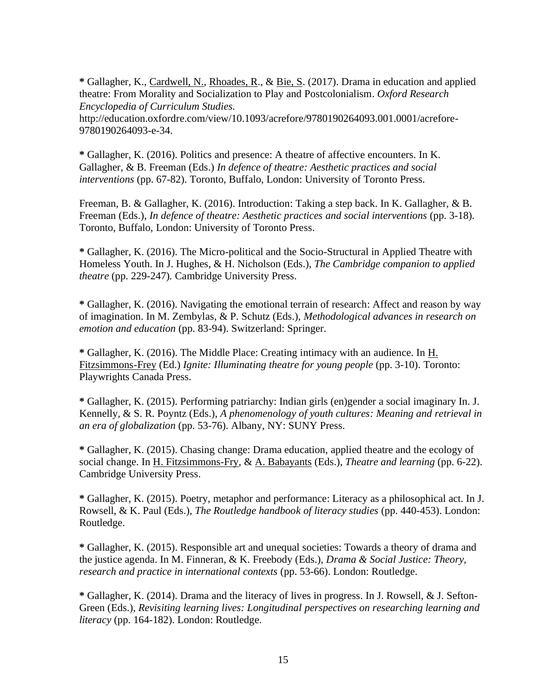**\*** Gallagher, K., Cardwell, N., Rhoades, R., & Bie, S. (2017). Drama in education and applied theatre: From Morality and Socialization to Play and Postcolonialism. *Oxford Research Encyclopedia of Curriculum Studies.*

http://education.oxfordre.com/view/10.1093/acrefore/9780190264093.001.0001/acrefore-9780190264093-e-34.

**\*** Gallagher, K. (2016). Politics and presence: A theatre of affective encounters. In K. Gallagher, & B. Freeman (Eds.) *In defence of theatre: Aesthetic practices and social interventions* (pp. 67-82). Toronto, Buffalo, London: University of Toronto Press.

Freeman, B. & Gallagher, K. (2016). Introduction: Taking a step back. In K. Gallagher, & B. Freeman (Eds.), *In defence of theatre: Aesthetic practices and social interventions* (pp. 3-18)*.* Toronto, Buffalo, London: University of Toronto Press.

**\*** Gallagher, K. (2016). The Micro-political and the Socio-Structural in Applied Theatre with Homeless Youth. In J. Hughes, & H. Nicholson (Eds.), *The Cambridge companion to applied theatre* (pp. 229-247)*.* Cambridge University Press.

**\*** Gallagher, K. (2016). Navigating the emotional terrain of research: Affect and reason by way of imagination. In M. Zembylas, & P. Schutz (Eds.), *Methodological advances in research on emotion and education* (pp. 83-94). Switzerland: Springer.

**\*** Gallagher, K. (2016). The Middle Place: Creating intimacy with an audience. In H. Fitzsimmons-Frey (Ed.) *Ignite: Illuminating theatre for young people* (pp. 3-10). Toronto: Playwrights Canada Press.

**\*** Gallagher, K. (2015). Performing patriarchy: Indian girls (en)gender a social imaginary In. J. Kennelly, & S. R. Poyntz (Eds.), *A phenomenology of youth cultures: Meaning and retrieval in an era of globalization* (pp. 53-76). Albany, NY: SUNY Press.

**\*** Gallagher, K. (2015). Chasing change: Drama education, applied theatre and the ecology of social change. In H. Fitzsimmons-Fry, & A. Babayants (Eds.), *Theatre and learning* (pp. 6-22). Cambridge University Press.

**\*** Gallagher, K. (2015). Poetry, metaphor and performance: Literacy as a philosophical act. In J. Rowsell, & K. Paul (Eds.), *The Routledge handbook of literacy studies* (pp. 440-453). London: Routledge.

**\*** Gallagher, K. (2015). Responsible art and unequal societies: Towards a theory of drama and the justice agenda. In M. Finneran, & K. Freebody (Eds.), *Drama & Social Justice: Theory, research and practice in international contexts* (pp. 53-66). London: Routledge.

**\*** Gallagher, K. (2014). Drama and the literacy of lives in progress. In J. Rowsell, & J. Sefton-Green (Eds.), *Revisiting learning lives: Longitudinal perspectives on researching learning and literacy* (pp. 164-182). London: Routledge.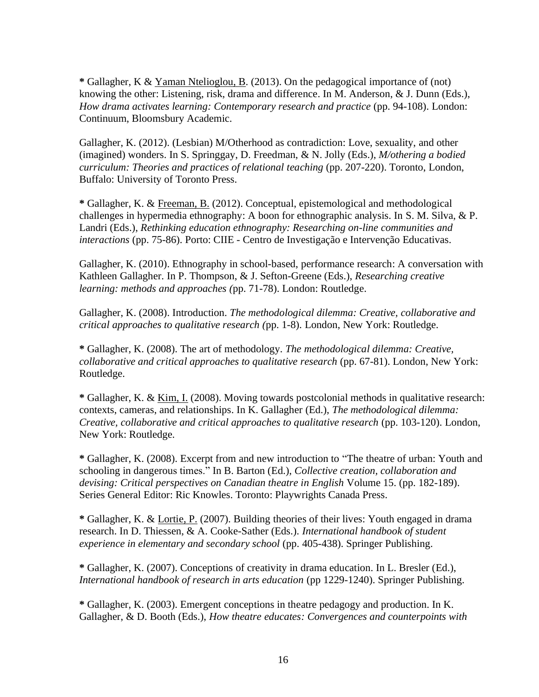**\*** Gallagher, K & Yaman Ntelioglou, B. (2013). On the pedagogical importance of (not) knowing the other: Listening, risk, drama and difference. In M. Anderson, & J. Dunn (Eds.), *How drama activates learning: Contemporary research and practice (pp. 94-108). London:* Continuum, Bloomsbury Academic.

Gallagher, K. (2012). (Lesbian) M/Otherhood as contradiction: Love, sexuality, and other (imagined) wonders. In S. Springgay, D. Freedman, & N. Jolly (Eds.), *M/othering a bodied curriculum: Theories and practices of relational teaching* (pp. 207-220). Toronto, London, Buffalo: University of Toronto Press.

**\*** Gallagher, K. & Freeman, B. (2012). Conceptual, epistemological and methodological challenges in hypermedia ethnography: A boon for ethnographic analysis. In S. M. Silva, & P. Landri (Eds.), *Rethinking education ethnography: Researching on-line communities and interactions* (pp. 75-86). Porto: CIIE - Centro de Investigação e Intervenção Educativas.

Gallagher, K. (2010). Ethnography in school-based, performance research: A conversation with Kathleen Gallagher. In P. Thompson, & J. Sefton-Greene (Eds.), *Researching creative learning: methods and approaches (*pp. 71-78). London: Routledge.

Gallagher, K. (2008). Introduction. *The methodological dilemma: Creative, collaborative and critical approaches to qualitative research (*pp. 1-8). London, New York: Routledge.

**\*** Gallagher, K. (2008). The art of methodology. *The methodological dilemma: Creative, collaborative and critical approaches to qualitative research* (pp. 67-81). London, New York: Routledge.

**\*** Gallagher, K. & Kim, I. (2008). Moving towards postcolonial methods in qualitative research: contexts, cameras, and relationships. In K. Gallagher (Ed.), *The methodological dilemma: Creative, collaborative and critical approaches to qualitative research* (pp. 103-120). London, New York: Routledge.

**\*** Gallagher, K. (2008). Excerpt from and new introduction to "The theatre of urban: Youth and schooling in dangerous times." In B. Barton (Ed.), *Collective creation, collaboration and devising: Critical perspectives on Canadian theatre in English* Volume 15. (pp. 182-189). Series General Editor: Ric Knowles. Toronto: Playwrights Canada Press.

**\*** Gallagher, K. & Lortie, P. (2007). Building theories of their lives: Youth engaged in drama research. In D. Thiessen, & A. Cooke-Sather (Eds.). *International handbook of student experience in elementary and secondary school* (pp. 405-438). Springer Publishing.

**\*** Gallagher, K. (2007). Conceptions of creativity in drama education. In L. Bresler (Ed.), *International handbook of research in arts education* (pp 1229-1240). Springer Publishing.

**\*** Gallagher, K. (2003). Emergent conceptions in theatre pedagogy and production. In K. Gallagher, & D. Booth (Eds.), *How theatre educates: Convergences and counterpoints with*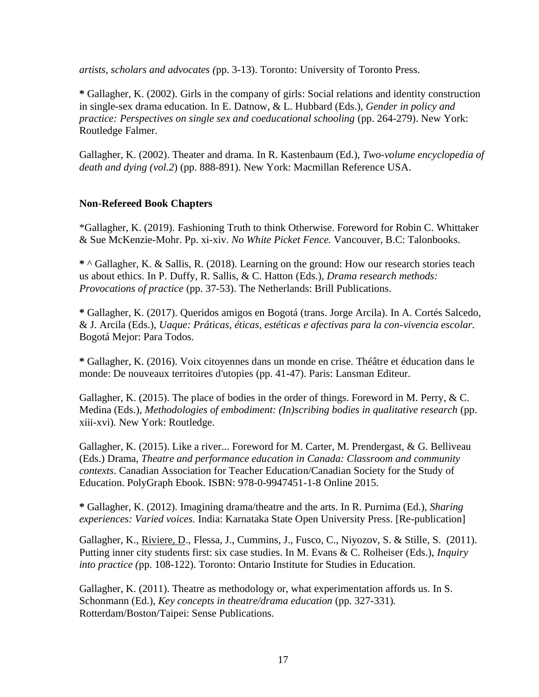*artists, scholars and advocates (*pp. 3-13). Toronto: University of Toronto Press.

**\*** Gallagher, K. (2002). Girls in the company of girls: Social relations and identity construction in single-sex drama education. In E. Datnow, & L. Hubbard (Eds.), *Gender in policy and practice: Perspectives on single sex and coeducational schooling* (pp. 264-279). New York: Routledge Falmer.

Gallagher, K. (2002). Theater and drama. In R. Kastenbaum (Ed.), *Two-volume encyclopedia of death and dying (vol.2*) (pp. 888-891). New York: Macmillan Reference USA.

#### **Non-Refereed Book Chapters**

\*Gallagher, K. (2019). Fashioning Truth to think Otherwise. Foreword for Robin C. Whittaker & Sue McKenzie-Mohr. Pp. xi-xiv. *No White Picket Fence.* Vancouver, B.C: Talonbooks.

**\*** ^ Gallagher, K. & Sallis, R. (2018). Learning on the ground: How our research stories teach us about ethics. In P. Duffy, R. Sallis, & C. Hatton (Eds.), *Drama research methods: Provocations of practice* (pp. 37-53). The Netherlands: Brill Publications.

**\*** Gallagher, K. (2017). Queridos amigos en Bogotá (trans. Jorge Arcila). In A. Cortés Salcedo, & J. Arcila (Eds.), *Uaque: Práticas, éticas, estéticas e afectivas para la con-vivencia escolar.* Bogotá Mejor: Para Todos.

**\*** Gallagher, K. (2016). Voix citoyennes dans un monde en crise. Théâtre et éducation dans le monde: De nouveaux territoires d'utopies (pp. 41-47). Paris: Lansman Editeur.

Gallagher, K. (2015). The place of bodies in the order of things. Foreword in M. Perry,  $& C$ . Medina (Eds.), *Methodologies of embodiment: (In)scribing bodies in qualitative research* (pp. xiii-xvi)*.* New York: Routledge.

Gallagher, K. (2015). Like a river... Foreword for M. Carter, M. Prendergast, & G. Belliveau (Eds.) Drama, *Theatre and performance education in Canada: Classroom and community contexts*. Canadian Association for Teacher Education/Canadian Society for the Study of Education. PolyGraph Ebook. ISBN: 978-0-9947451-1-8 Online 2015.

**\*** Gallagher, K. (2012). Imagining drama/theatre and the arts. In R. Purnima (Ed.), *Sharing experiences: Varied voices.* India: Karnataka State Open University Press. [Re-publication]

Gallagher, K., Riviere, D., Flessa, J., Cummins, J., Fusco, C., Niyozov, S. & Stille, S. (2011). Putting inner city students first: six case studies. In M. Evans & C. Rolheiser (Eds.), *Inquiry into practice (*pp. 108-122). Toronto: Ontario Institute for Studies in Education.

Gallagher, K. (2011). Theatre as methodology or, what experimentation affords us. In S. Schonmann (Ed.), *Key concepts in theatre/drama education* (pp*.* 327-331)*.*  Rotterdam/Boston/Taipei: Sense Publications.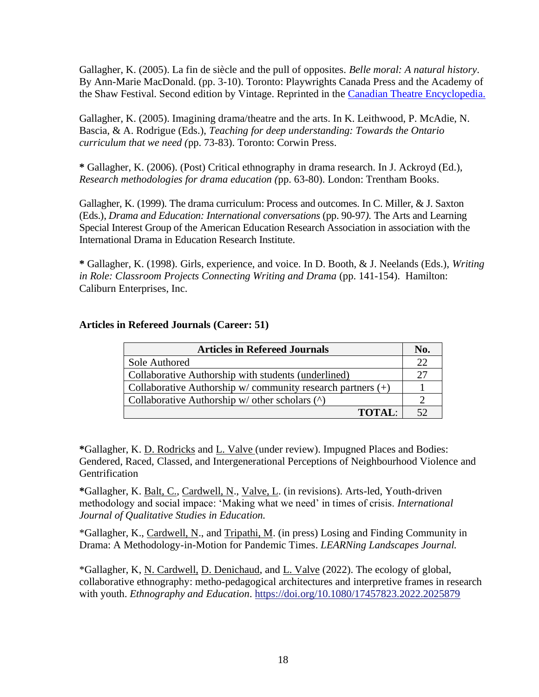Gallagher, K. (2005). La fin de siècle and the pull of opposites. *Belle moral: A natural history*. By Ann-Marie MacDonald. (pp. 3-10). Toronto: Playwrights Canada Press and the Academy of the Shaw Festival. Second edition by Vintage. Reprinted in the [Canadian Theatre Encyclopedia.](http://www.canadiantheatre.com/dict.pl?term=Belle%20Moral%3A%20A%20Natural%20History.)

Gallagher, K. (2005). Imagining drama/theatre and the arts. In K. Leithwood, P. McAdie, N. Bascia, & A. Rodrigue (Eds.), *Teaching for deep understanding: Towards the Ontario curriculum that we need (*pp. 73-83). Toronto: Corwin Press.

**\*** Gallagher, K. (2006). (Post) Critical ethnography in drama research. In J. Ackroyd (Ed.), *Research methodologies for drama education (*pp. 63-80). London: Trentham Books.

Gallagher, K. (1999). The drama curriculum: Process and outcomes. In C. Miller, & J. Saxton (Eds.), *Drama and Education: International conversations* (pp. 90-97*).* The Arts and Learning Special Interest Group of the American Education Research Association in association with the International Drama in Education Research Institute.

**\*** Gallagher, K. (1998). Girls, experience, and voice. In D. Booth, & J. Neelands (Eds.), *Writing in Role: Classroom Projects Connecting Writing and Drama* (pp. 141-154). Hamilton: Caliburn Enterprises, Inc.

#### **Articles in Refereed Journals (Career: 51)**

| <b>Articles in Refereed Journals</b>                         |    |  |
|--------------------------------------------------------------|----|--|
| Sole Authored                                                | つつ |  |
| Collaborative Authorship with students (underlined)          | າາ |  |
| Collaborative Authorship w/community research partners $(+)$ |    |  |
| Collaborative Authorship $w/$ other scholars $(^{\wedge})$   |    |  |
| <b>TOTAL:</b>                                                |    |  |

**\***Gallagher, K. D. Rodricks and L. Valve (under review). Impugned Places and Bodies: Gendered, Raced, Classed, and Intergenerational Perceptions of Neighbourhood Violence and Gentrification

**\***Gallagher, K. Balt, C., Cardwell, N., Valve, L. (in revisions). Arts-led, Youth-driven methodology and social impace: 'Making what we need' in times of crisis. *International Journal of Qualitative Studies in Education.*

\*Gallagher, K., Cardwell, N., and Tripathi, M. (in press) Losing and Finding Community in Drama: A Methodology-in-Motion for Pandemic Times. *LEARNing Landscapes Journal.*

\*Gallagher, K, N. Cardwell, D. Denichaud, and L. Valve (2022). The ecology of global, collaborative ethnography: metho-pedagogical architectures and interpretive frames in research with youth. *Ethnography and Education*. <https://doi.org/10.1080/17457823.2022.2025879>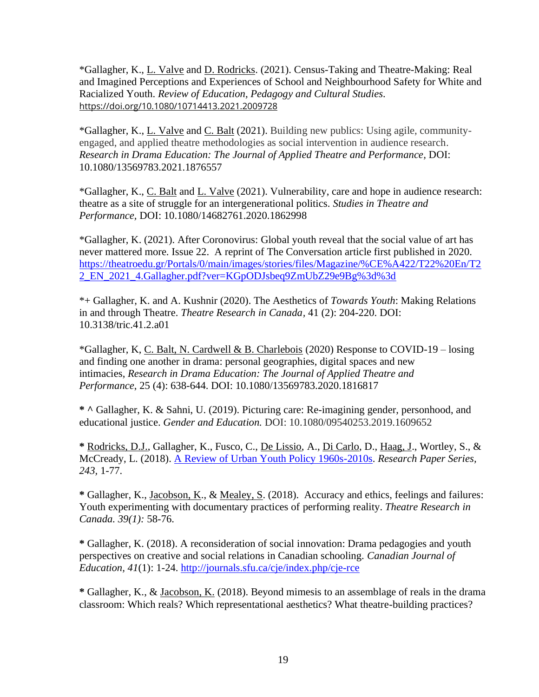\*Gallagher, K., L. Valve and D. Rodricks. (2021). Census-Taking and Theatre-Making: Real and Imagined Perceptions and Experiences of School and Neighbourhood Safety for White and Racialized Youth. *Review of Education, Pedagogy and Cultural Studies.* <https://doi.org/10.1080/10714413.2021.2009728>

\*Gallagher, K., L. Valve and C. Balt (2021). Building new publics: Using agile, communityengaged, and applied theatre methodologies as social intervention in audience research. *Research in Drama Education: The Journal of Applied Theatre and Performance,* DOI: 10.1080/13569783.2021.1876557

\*Gallagher, K., C. Balt and L. Valve (2021). Vulnerability, care and hope in audience research: theatre as a site of struggle for an intergenerational politics. *Studies in Theatre and Performance,* DOI: 10.1080/14682761.2020.1862998

\*Gallagher, K. (2021). After Coronovirus: Global youth reveal that the social value of art has never mattered more. Issue 22. A reprint of The Conversation article first published in 2020. [https://theatroedu.gr/Portals/0/main/images/stories/files/Magazine/%CE%A422/T22%20En/T2](https://theatroedu.gr/Portals/0/main/images/stories/files/Magazine/%CE%A422/T22%20En/T22_EN_2021_4.Gallagher.pdf?ver=KGpODJsbeq9ZmUbZ29e9Bg%3d%3d) [2\\_EN\\_2021\\_4.Gallagher.pdf?ver=KGpODJsbeq9ZmUbZ29e9Bg%3d%3d](https://theatroedu.gr/Portals/0/main/images/stories/files/Magazine/%CE%A422/T22%20En/T22_EN_2021_4.Gallagher.pdf?ver=KGpODJsbeq9ZmUbZ29e9Bg%3d%3d)

\*+ Gallagher, K. and A. Kushnir (2020). The Aesthetics of *Towards Youth*: Making Relations in and through Theatre. *Theatre Research in Canada,* 41 (2): 204-220. DOI: 10.3138/tric.41.2.a01

\*Gallagher, K, C. Balt, N. Cardwell & B. Charlebois (2020) Response to COVID-19 – losing and finding one another in drama: personal geographies, digital spaces and new intimacies, *Research in Drama Education: The Journal of Applied Theatre and Performance*, 25 (4): 638-644. DOI: [10.1080/13569783.2020.1816817](https://doi.org/10.1080/13569783.2020.1816817)

**\* ^** Gallagher, K. & Sahni, U. (2019). Picturing care: Re-imagining gender, personhood, and educational justice. *Gender and Education.* DOI: 10.1080/09540253.2019.1609652

**\*** Rodricks, D.J., Gallagher, K., Fusco, C., De Lissio, A., Di Carlo, D., Haag, J., Wortley, S., & McCready, L. (2018). [A Review of Urban Youth Policy 1960s-2010s.](http://neighbourhoodchange.ca/documents/2018/10/rodricks-gallagher-review-urban-youth-policy.pdf) *Research Paper Series, 243,* 1-77.

**\*** Gallagher, K., Jacobson, K., & Mealey, S. (2018).Accuracy and ethics, feelings and failures: Youth experimenting with documentary practices of performing reality. *Theatre Research in Canada. 39(1):* 58-76.

**\*** Gallagher, K. (2018). A reconsideration of social innovation: Drama pedagogies and youth perspectives on creative and social relations in Canadian schooling. *Canadian Journal of Education, 41*(1): 1-24.<http://journals.sfu.ca/cje/index.php/cje-rce>

**\*** Gallagher, K., & Jacobson, K. (2018). Beyond mimesis to an assemblage of reals in the drama classroom: Which reals? Which representational aesthetics? What theatre-building practices?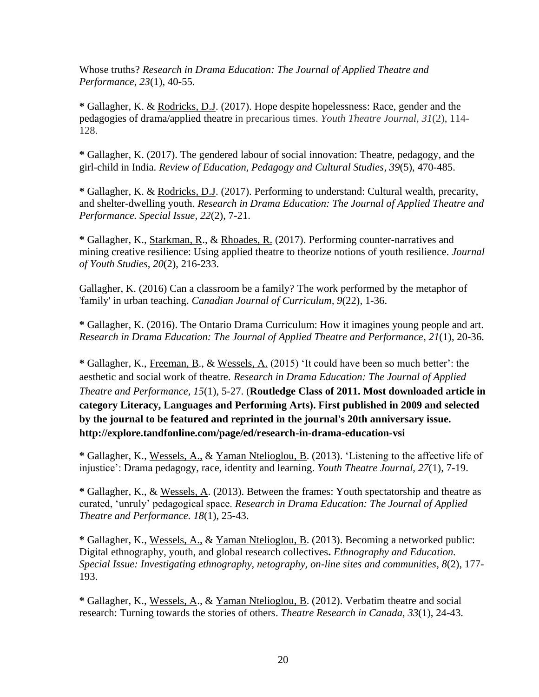Whose truths? *Research in Drama Education: The Journal of Applied Theatre and Performance, 23*(1), 40-55.

**\*** Gallagher, K. & Rodricks, D.J. (2017). Hope despite hopelessness: Race, gender and the pedagogies of drama/applied theatre in precarious times. *Youth Theatre Journal, 31*(2), 114- 128.

**\*** Gallagher, K. (2017). The gendered labour of social innovation: Theatre, pedagogy, and the girl-child in India. *Review of Education, Pedagogy and Cultural Studies, 39*(5), 470-485.

**\*** Gallagher, K. & Rodricks, D.J. (2017). Performing to understand: Cultural wealth, precarity, and shelter-dwelling youth. *Research in Drama Education: The Journal of Applied Theatre and Performance. Special Issue, 22*(2), 7-21.

**\*** Gallagher, K., Starkman, R., & Rhoades, R. (2017). Performing counter-narratives and mining creative resilience: Using applied theatre to theorize notions of youth resilience. *Journal of Youth Studies, 20*(2), 216-233.

Gallagher, K. (2016) Can a classroom be a family? The work performed by the metaphor of 'family' in urban teaching. *Canadian Journal of Curriculum, 9*(22), 1-36.

**\*** Gallagher, K. (2016). The Ontario Drama Curriculum: How it imagines young people and art. *Research in Drama Education: The Journal of Applied Theatre and Performance, 21*(1), 20-36.

**\*** Gallagher, K., Freeman, B., & Wessels, A. (2015) 'It could have been so much better': the aesthetic and social work of theatre. *Research in Drama Education: The Journal of Applied Theatre and Performance, 15*(1), 5-27. (**Routledge Class of 2011. Most downloaded article in category Literacy, Languages and Performing Arts). First published in 2009 and selected by the journal to be featured and reprinted in the journal's 20th anniversary issue. http://explore.tandfonline.com/page/ed/research-in-drama-education-vsi**

**\*** Gallagher, K., Wessels, A., & Yaman Ntelioglou, B. (2013). 'Listening to the affective life of injustice': Drama pedagogy, race, identity and learning. *Youth Theatre Journal, 27*(1), 7-19.

**\*** Gallagher, K., & Wessels, A. (2013). Between the frames: Youth spectatorship and theatre as curated, 'unruly' pedagogical space. *Research in Drama Education: The Journal of Applied Theatre and Performance. 18*(1), 25-43.

**\*** Gallagher, K., Wessels, A., & Yaman Ntelioglou, B. (2013). Becoming a networked public: Digital ethnography, youth, and global research collectives**.** *Ethnography and Education. Special Issue: Investigating ethnography, netography, on-line sites and communities, 8*(2), 177- 193.

**\*** Gallagher, K., Wessels, A., & Yaman Ntelioglou, B. (2012). Verbatim theatre and social research: Turning towards the stories of others. *Theatre Research in Canada, 33*(1), 24-43.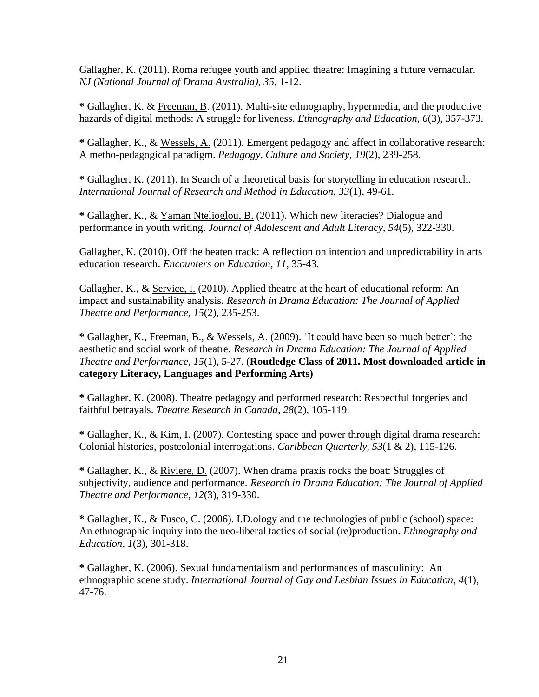Gallagher, K. (2011). Roma refugee youth and applied theatre: Imagining a future vernacular. *NJ (National Journal of Drama Australia), 35*, 1-12.

**\*** Gallagher, K. & Freeman, B. (2011). Multi-site ethnography, hypermedia, and the productive hazards of digital methods: A struggle for liveness. *Ethnography and Education, 6*(3), 357-373.

**\*** Gallagher, K., & Wessels, A. (2011). Emergent pedagogy and affect in collaborative research: A metho-pedagogical paradigm. *Pedagogy, Culture and Society, 19*(2), 239-258.

**\*** Gallagher, K. (2011). In Search of a theoretical basis for storytelling in education research. *International Journal of Research and Method in Education, 33*(1), 49-61.

**\*** Gallagher, K., & Yaman Ntelioglou, B. (2011). Which new literacies? Dialogue and performance in youth writing. *Journal of Adolescent and Adult Literacy, 54*(5), 322-330.

Gallagher, K. (2010). Off the beaten track: A reflection on intention and unpredictability in arts education research. *Encounters on Education, 11*, 35-43.

Gallagher, K., & Service, I. (2010). Applied theatre at the heart of educational reform: An impact and sustainability analysis. *Research in Drama Education: The Journal of Applied Theatre and Performance, 15*(2), 235-253.

**\*** Gallagher, K., Freeman, B., & Wessels, A. (2009). 'It could have been so much better': the aesthetic and social work of theatre. *Research in Drama Education: The Journal of Applied Theatre and Performance, 15*(1), 5-27. (**Routledge Class of 2011. Most downloaded article in category Literacy, Languages and Performing Arts)**

**\*** Gallagher, K. (2008). Theatre pedagogy and performed research: Respectful forgeries and faithful betrayals. *Theatre Research in Canada, 28*(2), 105-119.

**\*** Gallagher, K., & Kim, I. (2007). Contesting space and power through digital drama research: Colonial histories, postcolonial interrogations. *Caribbean Quarterly, 53*(1 & 2), 115-126.

**\*** Gallagher, K., & Riviere, D. (2007). When drama praxis rocks the boat: Struggles of subjectivity, audience and performance. *Research in Drama Education: The Journal of Applied Theatre and Performance, 12*(3), 319-330.

**\*** Gallagher, K., & Fusco, C. (2006). I.D.ology and the technologies of public (school) space: An ethnographic inquiry into the neo-liberal tactics of social (re)production. *Ethnography and Education, 1*(3), 301-318.

**\*** Gallagher, K. (2006). Sexual fundamentalism and performances of masculinity: An ethnographic scene study. *International Journal of Gay and Lesbian Issues in Education*, *4*(1), 47-76.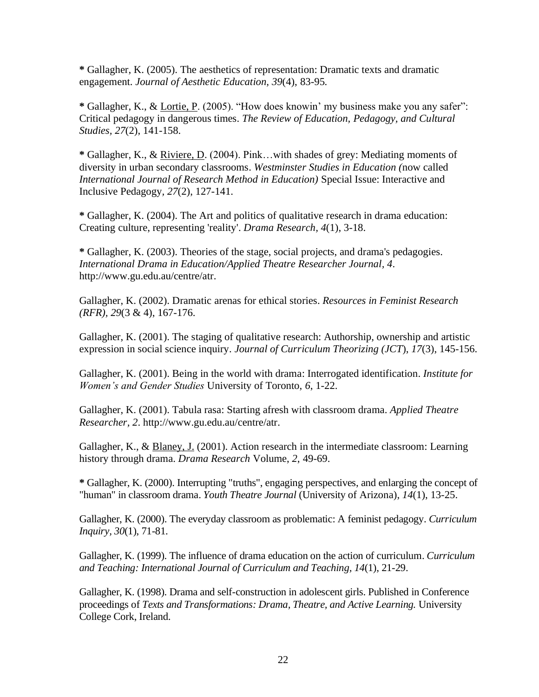**\*** Gallagher, K. (2005). The aesthetics of representation: Dramatic texts and dramatic engagement. *Journal of Aesthetic Education, 39*(4), 83-95*.*

**\*** Gallagher, K., & Lortie, P. (2005). "How does knowin' my business make you any safer": Critical pedagogy in dangerous times. *The Review of Education, Pedagogy, and Cultural Studies, 27*(2), 141-158.

**\*** Gallagher, K., & Riviere, D. (2004). Pink…with shades of grey: Mediating moments of diversity in urban secondary classrooms. *Westminster Studies in Education (*now called *International Journal of Research Method in Education)* Special Issue: Interactive and Inclusive Pedagogy*, 27*(2), 127-141.

**\*** Gallagher, K. (2004). The Art and politics of qualitative research in drama education: Creating culture, representing 'reality'. *Drama Research, 4*(1), 3-18.

**\*** Gallagher, K. (2003). Theories of the stage, social projects, and drama's pedagogies. *International Drama in Education/Applied Theatre Researcher Journal, 4*. http://www.gu.edu.au/centre/atr.

Gallagher, K. (2002). Dramatic arenas for ethical stories. *Resources in Feminist Research (RFR), 29*(3 & 4), 167-176.

Gallagher, K. (2001). The staging of qualitative research: Authorship, ownership and artistic expression in social science inquiry. *Journal of Curriculum Theorizing (JCT*), *17*(3), 145-156.

Gallagher, K. (2001). Being in the world with drama: Interrogated identification. *Institute for Women's and Gender Studies* University of Toronto, *6*, 1-22.

Gallagher, K. (2001). Tabula rasa: Starting afresh with classroom drama. *Applied Theatre Researcher, 2*. http://www.gu.edu.au/centre/atr.

Gallagher, K., & Blaney, J. (2001). Action research in the intermediate classroom: Learning history through drama. *Drama Research* Volume, *2*, 49-69.

**\*** Gallagher, K. (2000). Interrupting "truths", engaging perspectives, and enlarging the concept of "human" in classroom drama. *Youth Theatre Journal* (University of Arizona), *14*(1), 13-25.

Gallagher, K. (2000). The everyday classroom as problematic: A feminist pedagogy. *Curriculum Inquiry, 30*(1), 71-81.

Gallagher, K. (1999). The influence of drama education on the action of curriculum. *Curriculum and Teaching: International Journal of Curriculum and Teaching, 14*(1), 21-29.

Gallagher, K. (1998). Drama and self-construction in adolescent girls. Published in Conference proceedings of *Texts and Transformations: Drama, Theatre, and Active Learning.* University College Cork, Ireland.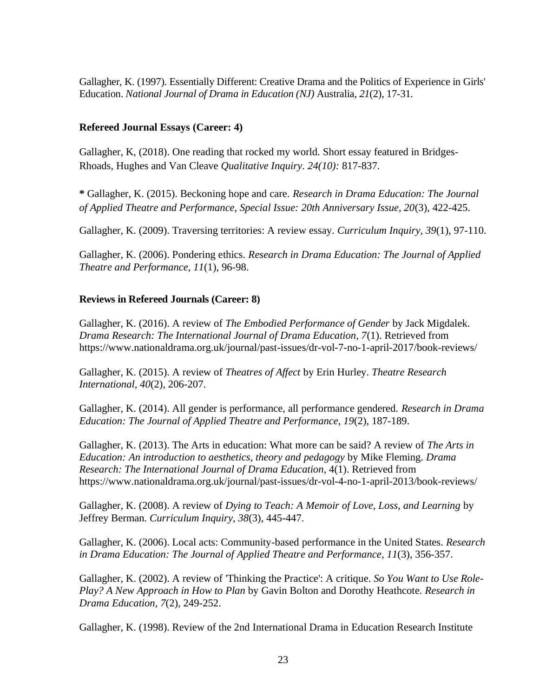Gallagher, K. (1997). Essentially Different: Creative Drama and the Politics of Experience in Girls' Education. *National Journal of Drama in Education (NJ)* Australia, *21*(2), 17-31.

#### **Refereed Journal Essays (Career: 4)**

Gallagher, K, (2018). One reading that rocked my world. Short essay featured in Bridges-Rhoads, Hughes and Van Cleave *Qualitative Inquiry. 24(10):* 817-837.

**\*** Gallagher, K. (2015). Beckoning hope and care. *Research in Drama Education: The Journal of Applied Theatre and Performance, Special Issue: 20th Anniversary Issue, 20*(3), 422-425.

Gallagher, K. (2009). Traversing territories: A review essay. *Curriculum Inquiry, 39*(1), 97-110.

Gallagher, K. (2006). Pondering ethics. *Research in Drama Education: The Journal of Applied Theatre and Performance, 11*(1), 96-98.

#### **Reviews in Refereed Journals (Career: 8)**

Gallagher, K. (2016). A review of *The Embodied Performance of Gender* by Jack Migdalek. *Drama Research: The International Journal of Drama Education, 7*(1). Retrieved from https://www.nationaldrama.org.uk/journal/past-issues/dr-vol-7-no-1-april-2017/book-reviews/

Gallagher, K. (2015). A review of *Theatres of Affect* by Erin Hurley. *Theatre Research International, 40*(2), 206-207.

Gallagher, K. (2014). All gender is performance, all performance gendered. *Research in Drama Education: The Journal of Applied Theatre and Performance, 19*(2), 187-189.

Gallagher, K. (2013). The Arts in education: What more can be said? A review of *The Arts in Education: An introduction to aesthetics, theory and pedagogy* by Mike Fleming. *Drama Research: The International Journal of Drama Education,* 4(1). Retrieved from https://www.nationaldrama.org.uk/journal/past-issues/dr-vol-4-no-1-april-2013/book-reviews/

Gallagher, K. (2008). A review of *Dying to Teach: A Memoir of Love, Loss, and Learning* by Jeffrey Berman*. Curriculum Inquiry, 38*(3), 445-447.

Gallagher, K. (2006). Local acts: Community-based performance in the United States. *Research in Drama Education: The Journal of Applied Theatre and Performance*, *11*(3), 356-357.

Gallagher, K. (2002). A review of 'Thinking the Practice': A critique. *So You Want to Use Role-Play? A New Approach in How to Plan* by Gavin Bolton and Dorothy Heathcote. *Research in Drama Education, 7*(2), 249-252.

Gallagher, K. (1998). Review of the 2nd International Drama in Education Research Institute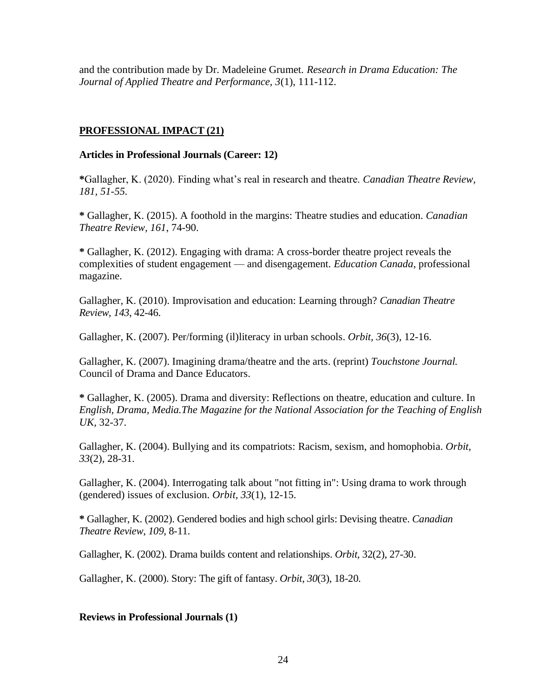and the contribution made by Dr. Madeleine Grumet. *Research in Drama Education: The Journal of Applied Theatre and Performance, 3*(1), 111-112.

#### **PROFESSIONAL IMPACT (21)**

#### **Articles in Professional Journals (Career: 12)**

**\***Gallagher, K. (2020). Finding what's real in research and theatre. *Canadian Theatre Review, 181, 51-55.*

**\*** Gallagher, K. (2015). A foothold in the margins: Theatre studies and education. *Canadian Theatre Review, 161*, 74-90.

**\*** Gallagher, K. (2012). Engaging with drama: A cross-border theatre project reveals the complexities of student engagement — and disengagement. *Education Canada*, professional magazine.

Gallagher, K. (2010). Improvisation and education: Learning through? *Canadian Theatre Review, 143*, 42-46.

Gallagher, K. (2007). Per/forming (il)literacy in urban schools. *Orbit, 36*(3), 12-16.

Gallagher, K. (2007). Imagining drama/theatre and the arts. (reprint) *Touchstone Journal.*  Council of Drama and Dance Educators.

**\*** Gallagher, K. (2005). Drama and diversity: Reflections on theatre, education and culture. In *English, Drama, Media.The Magazine for the National Association for the Teaching of English UK,* 32-37.

Gallagher, K. (2004). Bullying and its compatriots: Racism, sexism, and homophobia. *Orbit, 33*(2), 28-31.

Gallagher, K. (2004). Interrogating talk about "not fitting in": Using drama to work through (gendered) issues of exclusion. *Orbit, 33*(1), 12-15.

**\*** Gallagher, K. (2002). Gendered bodies and high school girls: Devising theatre. *Canadian Theatre Review*, *109*, 8-11.

Gallagher, K. (2002). Drama builds content and relationships. *Orbit,* 32(2), 27-30.

Gallagher, K. (2000). Story: The gift of fantasy. *Orbit*, *30*(3), 18-20.

#### **Reviews in Professional Journals (1)**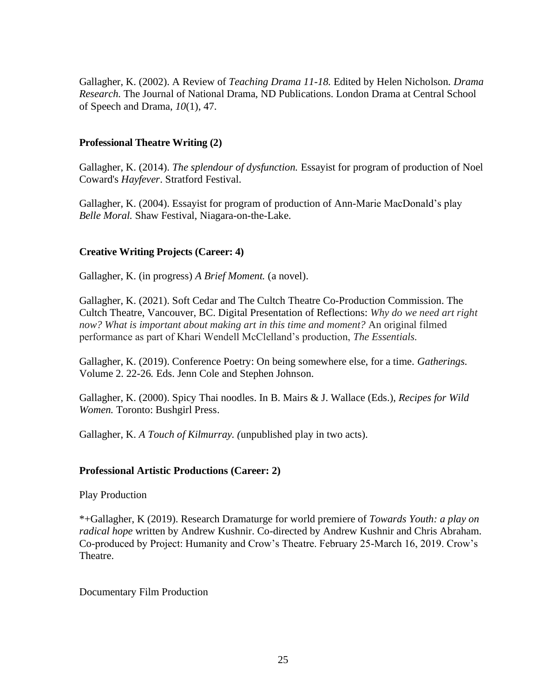Gallagher, K. (2002). A Review of *Teaching Drama 11-18.* Edited by Helen Nicholson*. Drama Research.* The Journal of National Drama, ND Publications. London Drama at Central School of Speech and Drama, *10*(1), 47.

#### **Professional Theatre Writing (2)**

Gallagher, K. (2014). *The splendour of dysfunction.* Essayist for program of production of Noel Coward's *Hayfever*. Stratford Festival.

Gallagher, K. (2004). Essayist for program of production of Ann-Marie MacDonald's play *Belle Moral.* Shaw Festival, Niagara-on-the-Lake.

#### **Creative Writing Projects (Career: 4)**

Gallagher, K. (in progress) *A Brief Moment.* (a novel).

Gallagher, K. (2021). Soft Cedar and The Cultch Theatre Co-Production Commission. The Cultch Theatre, Vancouver, BC. Digital Presentation of Reflections: *Why do we need art right now? What is important about making art in this time and moment?* An original filmed performance as part of Khari Wendell McClelland's production, *The Essentials.* 

Gallagher, K. (2019). Conference Poetry: On being somewhere else, for a time. *Gatherings.*  Volume 2. 22-26*.* Eds. Jenn Cole and Stephen Johnson.

Gallagher, K. (2000). Spicy Thai noodles. In B. Mairs & J. Wallace (Eds.), *Recipes for Wild Women.* Toronto: Bushgirl Press.

Gallagher, K. *A Touch of Kilmurray. (*unpublished play in two acts).

#### **Professional Artistic Productions (Career: 2)**

Play Production

\*+Gallagher, K (2019). Research Dramaturge for world premiere of *Towards Youth: a play on radical hope* written by Andrew Kushnir. Co-directed by Andrew Kushnir and Chris Abraham. Co-produced by Project: Humanity and Crow's Theatre. February 25-March 16, 2019. Crow's Theatre.

Documentary Film Production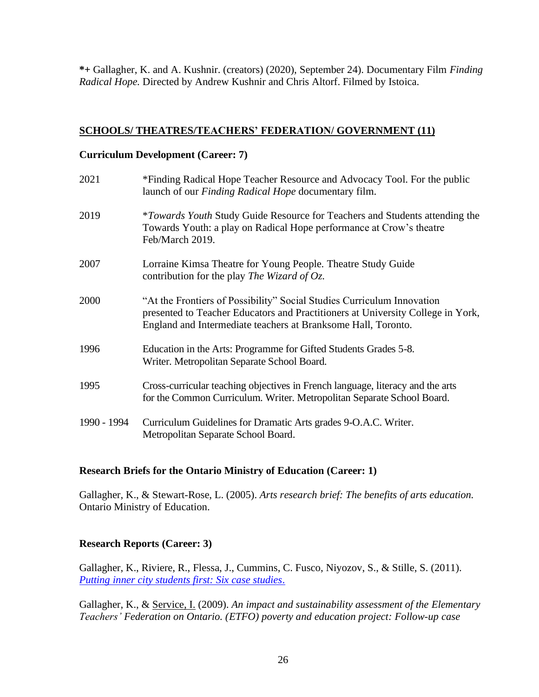**\*+** Gallagher, K. and A. Kushnir. (creators) (2020), September 24). Documentary Film *Finding Radical Hope.* Directed by Andrew Kushnir and Chris Altorf. Filmed by Istoica.

#### **SCHOOLS/ THEATRES/TEACHERS' FEDERATION/ GOVERNMENT (11)**

#### **Curriculum Development (Career: 7)**

| 2021        | *Finding Radical Hope Teacher Resource and Advocacy Tool. For the public<br>launch of our Finding Radical Hope documentary film.                                                                                           |
|-------------|----------------------------------------------------------------------------------------------------------------------------------------------------------------------------------------------------------------------------|
| 2019        | <i>*Towards Youth Study Guide Resource for Teachers and Students attending the</i><br>Towards Youth: a play on Radical Hope performance at Crow's theatre<br>Feb/March 2019.                                               |
| 2007        | Lorraine Kimsa Theatre for Young People. Theatre Study Guide<br>contribution for the play The Wizard of Oz.                                                                                                                |
| 2000        | "At the Frontiers of Possibility" Social Studies Curriculum Innovation<br>presented to Teacher Educators and Practitioners at University College in York,<br>England and Intermediate teachers at Branksome Hall, Toronto. |
| 1996        | Education in the Arts: Programme for Gifted Students Grades 5-8.<br>Writer. Metropolitan Separate School Board.                                                                                                            |
| 1995        | Cross-curricular teaching objectives in French language, literacy and the arts<br>for the Common Curriculum. Writer. Metropolitan Separate School Board.                                                                   |
| 1990 - 1994 | Curriculum Guidelines for Dramatic Arts grades 9-O.A.C. Writer.<br>Metropolitan Separate School Board.                                                                                                                     |

# **Research Briefs for the Ontario Ministry of Education (Career: 1)**

Gallagher, K., & Stewart-Rose, L. (2005). *Arts research brief: The benefits of arts education.* Ontario Ministry of Education.

# **Research Reports (Career: 3)**

Gallagher, K., Riviere, R., Flessa, J., Cummins, C. Fusco, Niyozov, S., & Stille, S. (2011). *[Putting inner city students first: Six case studies](https://cus.oise.utoronto.ca/Research/Putting_Inner_City_Students_First/index.html)*.

Gallagher, K., & Service, I. (2009). *An impact and sustainability assessment of the Elementary Teachers' Federation on Ontario. (ETFO) poverty and education project: Follow-up case*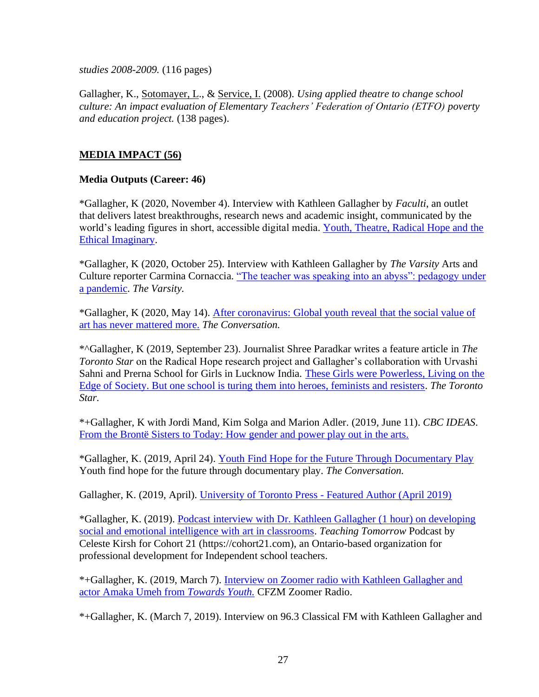*studies 2008-2009.* (116 pages)

Gallagher, K., Sotomayer, L., & Service, I. (2008). *Using applied theatre to change school culture: An impact evaluation of Elementary Teachers' Federation of Ontario (ETFO) poverty and education project.* (138 pages).

# **MEDIA IMPACT (56)**

#### **Media Outputs (Career: 46)**

\*Gallagher, K (2020, November 4). Interview with Kathleen Gallagher by *Faculti*, an outlet that delivers latest breakthroughs, research news and academic insight, communicated by the world's leading figures in short, accessible digital media. [Youth, Theatre, Radical Hope and the](https://faculti.net/youth-theatre-radical-hope-and-the-ethical-imaginary/)  [Ethical Imaginary.](https://faculti.net/youth-theatre-radical-hope-and-the-ethical-imaginary/)

\*Gallagher, K (2020, October 25). Interview with Kathleen Gallagher by *The Varsity* Arts and Culture reporter Carmina Cornaccia. ["The teacher was speaking into an abyss": pedagogy under](https://thevarsity.ca/2020/10/25/the-teacher-was-speaking-into-an-abyss-pedagogy-under-a-pandemic/)  [a pandemic.](https://thevarsity.ca/2020/10/25/the-teacher-was-speaking-into-an-abyss-pedagogy-under-a-pandemic/) *The Varsity.*

\*Gallagher, K (2020, May 14). After [coronavirus:](https://theconversation.com/after-coronavirus-global-youth-reveal-that-the-social-value-of-art-has-never-mattered-more-138056) Global youth reveal that the social value of art has never [mattered](https://theconversation.com/after-coronavirus-global-youth-reveal-that-the-social-value-of-art-has-never-mattered-more-138056) more. *The Conversation.*

\*^Gallagher, K (2019, September 23). Journalist Shree Paradkar writes a feature article in *The Toronto Star* on the Radical Hope research project and Gallagher's collaboration with Urvashi Sahni and Prerna School for Girls in Lucknow India. [These Girls were Powerless, Living on the](https://www.thestar.com/news/atkinsonseries/2019/09/22/these-girls-were-powerless-living-on-the-edge-of-society-but-one-school-is-turning-them-into-heroes-feminists-and-resisters.html?fbclid=IwAR0EegRzvLfle-zs-zeaRPE_Hmn5MNNRiB2tDDRJSi46vzW-tT3Y1EJV2Gg)  [Edge of Society. But one school is turing them into heroes, feminists and resisters.](https://www.thestar.com/news/atkinsonseries/2019/09/22/these-girls-were-powerless-living-on-the-edge-of-society-but-one-school-is-turning-them-into-heroes-feminists-and-resisters.html?fbclid=IwAR0EegRzvLfle-zs-zeaRPE_Hmn5MNNRiB2tDDRJSi46vzW-tT3Y1EJV2Gg) *The Toronto Star.*

\*+Gallagher, K with Jordi Mand, Kim Solga and Marion Adler. (2019, June 11). *CBC IDEAS*. [From the Brontë Sisters to Today: How gender and power play out in the arts.](https://www.cbc.ca/radio/ideas/from-the-brontë-sisters-to-today-how-gender-and-power-play-out-in-the-arts-1.5169693?fbclid=IwAR1buBdz2vZeEOJ3CzMRQjjTb8ZOSmmnap-2AfczQ_X1J8UsSVk9gntZMq0)

\*Gallagher, K. (2019, April 24). Youth Find Hope for the Future Through [Documentary](https://theconversation.com/youth-find-hope-for-the-future-through-documentary-play-113525) Play Youth find hope for the future through documentary play. *The Conversation.*

Gallagher, K. (2019, April). [University of Toronto Press -](https://utorontopress.com/) Featured Author (April 2019)

\*Gallagher, K. (2019). [Podcast interview with Dr. Kathleen Gallagher \(1 hour\) on developing](https://itunes.apple.com/ca/podcast/teaching-tomorrow-podcast/id1433809331?mt=2#episodeGuid=tag%3Asoundcloud%2C2010%3Atracks%2F586120866)  [social and emotional intelligence with art in classrooms.](https://itunes.apple.com/ca/podcast/teaching-tomorrow-podcast/id1433809331?mt=2#episodeGuid=tag%3Asoundcloud%2C2010%3Atracks%2F586120866) *Teaching Tomorrow* Podcast by Celeste Kirsh for Cohort 21 (https://cohort21.com), an Ontario-based organization for professional development for Independent school teachers.

\*+Gallagher, K. (2019, March 7). [Interview on Zoomer radio with Kathleen Gallagher and](https://mms.tveyes.com/Transcript.asp?StationID=14760&DateTime=3/7/2019%208:34:39%20AM&Term=+Rotman+%22university%20of%20toronto%22+%22munk%20school%22+%22citizen%20lab%22+%22universite%20de%20toronto%22+%22rot%20man%22+%22u%20of%20t%22+%22richard%20florida%22+%22munk%20center%22+uoft+%22factor%20inwentash%22+%22fields%20institute%22+%22goldring%20centre%22+%22goldring%20center%22+%22hart%20house%22+%22robarts%20library%22+%22scarborough%20campus%22+%22geoffrey%20hinton%22+%22you%27ve%20tea%22+%22tina%20park%22+%22youth%20t.%22+%22dalla%20lana%22+%22creative%20destruction%22&PlayClip=TRUE)  [actor Amaka Umeh from](https://mms.tveyes.com/Transcript.asp?StationID=14760&DateTime=3/7/2019%208:34:39%20AM&Term=+Rotman+%22university%20of%20toronto%22+%22munk%20school%22+%22citizen%20lab%22+%22universite%20de%20toronto%22+%22rot%20man%22+%22u%20of%20t%22+%22richard%20florida%22+%22munk%20center%22+uoft+%22factor%20inwentash%22+%22fields%20institute%22+%22goldring%20centre%22+%22goldring%20center%22+%22hart%20house%22+%22robarts%20library%22+%22scarborough%20campus%22+%22geoffrey%20hinton%22+%22you%27ve%20tea%22+%22tina%20park%22+%22youth%20t.%22+%22dalla%20lana%22+%22creative%20destruction%22&PlayClip=TRUE) *Towards Youth.* CFZM Zoomer Radio.

\*+Gallagher, K. (March 7, 2019). Interview on 96.3 Classical FM with Kathleen Gallagher and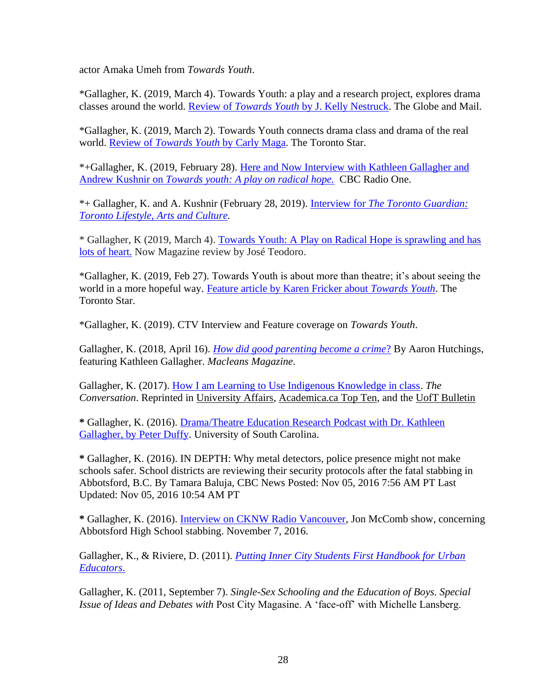actor Amaka Umeh from *Towards Youth*.

\*Gallagher, K. (2019, March 4). Towards Youth: a play and a research project, explores drama classes around the world. Review of *Towards Youth* [by J. Kelly Nestruck.](https://www.theglobeandmail.com/arts/theatre-and-performance/reviews/article-review-towards-youth-a-play-and-a-research-project-explores-drama/) The Globe and Mail.

\*Gallagher, K. (2019, March 2). Towards Youth connects drama class and drama of the real world. Review of *Towards Youth* [by Carly Maga.](https://www.thestar.com/entertainment/stage/2019/03/01/towards-youth-connects-drama-class-and-drama-of-real-world.html?fbclid=IwAR1JqM65kptYNQWJL7S9aK6skls5NihdalYNaboEaUhI6uOWdtfeWLObnxg) The Toronto Star.

\*+Gallagher, K. (2019, February 28). [Here and Now Interview with Kathleen Gallagher and](https://www.cbc.ca/listen/shows/here-and-now-toronto/segment/15673890?fbclid=IwAR1fPIMDVkU_wIDzpNsX-yPDkXhB3hDK4gOupp9t2jmxa6VrY3GmrzUJB0c)  Andrew Kushnir on *[Towards youth: A play on radical hope.](https://www.cbc.ca/listen/shows/here-and-now-toronto/segment/15673890?fbclid=IwAR1fPIMDVkU_wIDzpNsX-yPDkXhB3hDK4gOupp9t2jmxa6VrY3GmrzUJB0c)* CBC Radio One.

\*+ Gallagher, K. and A. Kushnir (February 28, 2019). Interview for *[The Toronto Guardian:](https://torontoguardian.com/2019/02/towards-youth-play-radical-hope/)  [Toronto Lifestyle, Arts and Culture.](https://torontoguardian.com/2019/02/towards-youth-play-radical-hope/)*

\* Gallagher, K (2019, March 4). [Towards Youth: A Play on Radical Hope is sprawling and has](https://slack-redir.net/link?url=https%3A%2F%2Fnowtoronto.com%2Fstage%2Ftheatre%2Ftowards-youth-a-play-on-radical-hope-project-humanity%2F)  [lots of heart.](https://slack-redir.net/link?url=https%3A%2F%2Fnowtoronto.com%2Fstage%2Ftheatre%2Ftowards-youth-a-play-on-radical-hope-project-humanity%2F) Now Magazine review by José Teodoro.

\*Gallagher, K. (2019, Feb 27). Towards Youth is about more than theatre; it's about seeing the world in a more hopeful way. [Feature article by Karen Fricker about](https://www.thestar.com/entertainment/stage/2019/02/27/andrew-kushnirs-towards-youth-is-about-more-than-theatre-its-about-seeing-the-world-in-a-more-hopeful-way.html) *Towards Youth*. The Toronto Star.

\*Gallagher, K. (2019). CTV Interview and Feature coverage on *Towards Youth*.

Gallagher, K. (2018, April 16). *[How did good parenting become a crime](http://www.macleans.ca/society/how-did-good-parenting-become-a-crime/)*? By Aaron Hutchings, featuring Kathleen Gallagher. *Macleans Magazine*.

Gallagher, K. (2017). [How I am Learning to Use Indigenous Knowledge in class.](https://theconversation.com/how-i-am-learning-to-include-indigenous-knowledge-in-the-classroom-84345) *The Conversation*. Reprinted in [University Affairs,](http://www.universityaffairs.ca/opinion/in-my-opinion/learning-include-indigenous-knowledge-classroom/?utm_source=Academica+Top+Ten&utm_campaign=9d424b9d11-EMAIL_CAMPAIGN_2017_09_26&utm_medium=email&utm_term=0_b4928536cf-9d424b9d11-51857477) [Academica.ca Top Ten,](http://www.academica.ca/top-ten/including%C2%A0indigenous-knowledge-classroom%C2%A0) and the [UofT Bulletin](https://theconversation.com/how-i-am-learning-to-include-indigenous-knowledge-in-the-classroom-84345?utm_source=The+Bulletin&utm_campaign=55d47d03db-EMAIL_CAMPAIGN_2017_10-06&utm_medium=email&utm_term=0_916b4e500a-55d47d03db-108832405)

**\*** Gallagher, K. (2016). [Drama/Theatre Education Research Podcast with Dr. Kathleen](https://www.podomatic.com/podcasts/pbduff/episodes/2017-02-07T10_06_48-08_00)  [Gallagher, by Peter Duffy.](https://www.podomatic.com/podcasts/pbduff/episodes/2017-02-07T10_06_48-08_00) University of South Carolina.

**\*** Gallagher, K. (2016). IN DEPTH: Why metal detectors, police presence might not make schools safer. School districts are reviewing their security protocols after the fatal stabbing in Abbotsford, B.C. By Tamara Baluja, [CBC News](http://www.cbc.ca/news/cbc-news-online-news-staff-list-1.1294364) Posted: Nov 05, 2016 7:56 AM PT Last Updated: Nov 05, 2016 10:54 AM PT

**\*** Gallagher, K. (2016). [Interview on CKNW Radio Vancouver,](http://www.cknw.com/audio/) Jon McComb show, concerning Abbotsford High School stabbing. November 7, 2016.

Gallagher, K., & Riviere, D. (2011). *[Putting Inner City Students First Handbook for Urban](http://cus.oise.utoronto.ca/Research/Putting_Inner_City_Students_First/index.html)  [Educators](http://cus.oise.utoronto.ca/Research/Putting_Inner_City_Students_First/index.html)*.

Gallagher, K. (2011, September 7). *Single-Sex Schooling and the Education of Boys. Special Issue of Ideas and Debates with* Post City Magasine. A 'face-off' with Michelle Lansberg.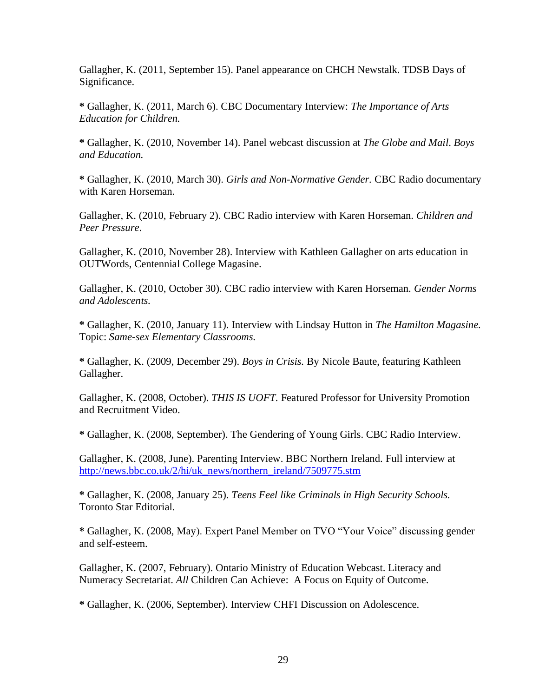Gallagher, K. (2011, September 15). Panel appearance on CHCH Newstalk. TDSB Days of Significance.

**\*** Gallagher, K. (2011, March 6). CBC Documentary Interview: *The Importance of Arts Education for Children.*

**\*** Gallagher, K. (2010, November 14). Panel webcast discussion at *The Globe and Mail*. *Boys and Education.* 

**\*** Gallagher, K. (2010, March 30). *Girls and Non-Normative Gender.* CBC Radio documentary with Karen Horseman.

Gallagher, K. (2010, February 2). CBC Radio interview with Karen Horseman. *Children and Peer Pressure*.

Gallagher, K. (2010, November 28). Interview with Kathleen Gallagher on arts education in OUTWords, Centennial College Magasine.

Gallagher, K. (2010, October 30). CBC radio interview with Karen Horseman. *Gender Norms and Adolescents.*

**\*** Gallagher, K. (2010, January 11). Interview with Lindsay Hutton in *The Hamilton Magasine.*  Topic: *Same-sex Elementary Classrooms.*

**\*** Gallagher, K. (2009, December 29). *Boys in Crisis.* By Nicole Baute, featuring Kathleen Gallagher.

Gallagher, K. (2008, October). *THIS IS UOFT.* Featured Professor for University Promotion and Recruitment Video.

**\*** Gallagher, K. (2008, September). The Gendering of Young Girls. CBC Radio Interview.

Gallagher, K. (2008, June). Parenting Interview. BBC Northern Ireland. Full interview at [http://news.bbc.co.uk/2/hi/uk\\_news/northern\\_ireland/7509775.stm](http://news.bbc.co.uk/2/hi/uk_news/northern_ireland/7509775.stm)

**\*** Gallagher, K. (2008, January 25). *Teens Feel like Criminals in High Security Schools.*  Toronto Star Editorial.

**\*** Gallagher, K. (2008, May). Expert Panel Member on TVO "Your Voice" discussing gender and self-esteem.

Gallagher, K. (2007, February). Ontario Ministry of Education Webcast. Literacy and Numeracy Secretariat. *All* Children Can Achieve: A Focus on Equity of Outcome.

**\*** Gallagher, K. (2006, September). Interview CHFI Discussion on Adolescence.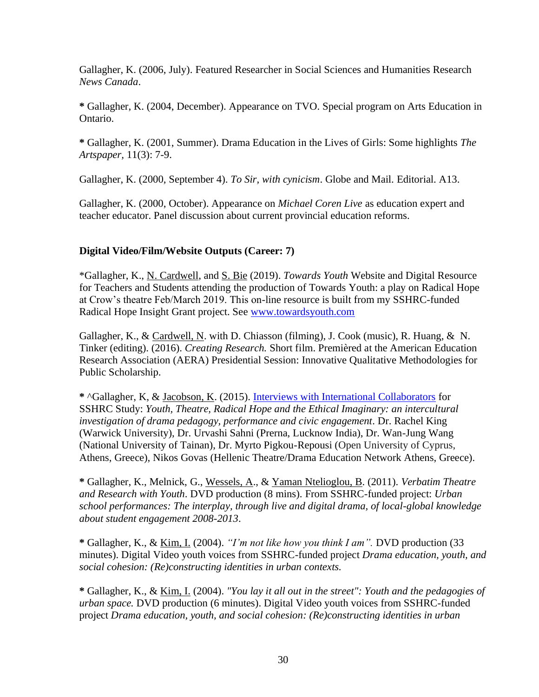Gallagher, K. (2006, July). Featured Researcher in Social Sciences and Humanities Research *News Canada*.

**\*** Gallagher, K. (2004, December). Appearance on TVO. Special program on Arts Education in Ontario.

**\*** Gallagher, K. (2001, Summer). Drama Education in the Lives of Girls: Some highlights *The Artspaper,* 11(3): 7-9.

Gallagher, K. (2000, September 4). *To Sir, with cynicism*. Globe and Mail. Editorial. A13.

Gallagher, K. (2000, October). Appearance on *Michael Coren Live* as education expert and teacher educator. Panel discussion about current provincial education reforms.

# **Digital Video/Film/Website Outputs (Career: 7)**

\*Gallagher, K., N. Cardwell, and S. Bie (2019). *Towards Youth* Website and Digital Resource for Teachers and Students attending the production of Towards Youth: a play on Radical Hope at Crow's theatre Feb/March 2019. This on-line resource is built from my SSHRC-funded Radical Hope Insight Grant project. See [www.towardsyouth.com](http://www.towardsyouth.com/)

Gallagher, K., & Cardwell, N. with D. Chiasson (filming), J. Cook (music), R. Huang, & N. Tinker (editing). (2016). *Creating Research.* Short film. Premièred at the American Education Research Association (AERA) Presidential Session: Innovative Qualitative Methodologies for Public Scholarship.

**\*** ^Gallagher, K, & Jacobson, K. (2015). [Interviews with International Collaborators](http://www.oise.utoronto.ca/dr/Research_Projects/Youth_Theatre_Radical_Hope_and_the_Ethical_Imaginary/index.html) for SSHRC Study: *Youth, Theatre, Radical Hope and the Ethical Imaginary: an intercultural investigation of drama pedagogy, performance and civic engagement*. Dr. Rachel King (Warwick University), Dr. Urvashi Sahni (Prerna, Lucknow India), Dr. Wan-Jung Wang (National University of Tainan), Dr. Myrto Pigkou-Repousi (Open University of Cyprus, Athens, Greece), Nikos Govas (Hellenic Theatre/Drama Education Network Athens, Greece).

**\*** Gallagher, K., Melnick, G., Wessels, A., & Yaman Ntelioglou, B. (2011). *Verbatim Theatre and Research with Youth*. DVD production (8 mins). From SSHRC-funded project: *Urban school performances: The interplay, through live and digital drama, of local-global knowledge about student engagement 2008-2013*.

**\*** Gallagher, K., & Kim, I. (2004). *"I'm not like how you think I am".* DVD production (33 minutes). Digital Video youth voices from SSHRC-funded project *Drama education, youth, and social cohesion: (Re)constructing identities in urban contexts.*

**\*** Gallagher, K., & Kim, I. (2004). *"You lay it all out in the street": Youth and the pedagogies of urban space.* DVD production (6 minutes). Digital Video youth voices from SSHRC-funded project *Drama education, youth, and social cohesion: (Re)constructing identities in urban*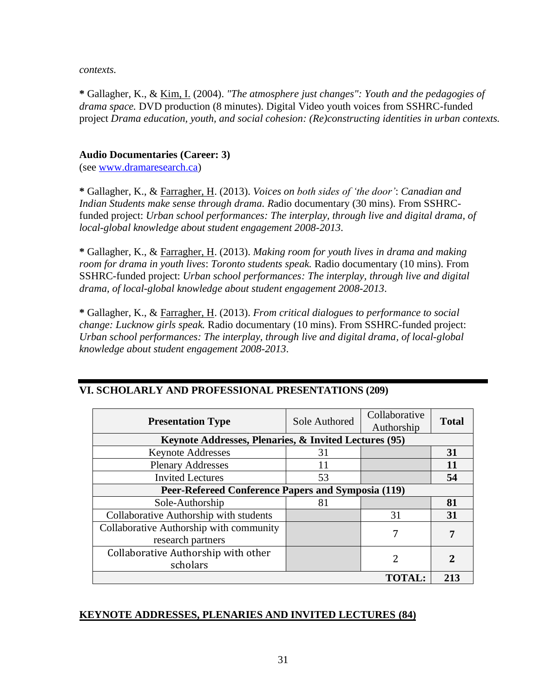*contexts.*

**\*** Gallagher, K., & Kim, I. (2004). *"The atmosphere just changes": Youth and the pedagogies of drama space.* DVD production (8 minutes). Digital Video youth voices from SSHRC-funded project *Drama education, youth, and social cohesion: (Re)constructing identities in urban contexts.*

### **Audio Documentaries (Career: 3)**

(see [www.dramaresearch.ca\)](http://www.dramaresearch.ca/)

**\*** Gallagher, K., & Farragher, H. (2013). *Voices on both sides of 'the door'*: *Canadian and Indian Students make sense through drama. R*adio documentary (30 mins). From SSHRCfunded project: *Urban school performances: The interplay, through live and digital drama, of local-global knowledge about student engagement 2008-2013*.

**\*** Gallagher, K., & Farragher, H. (2013). *Making room for youth lives in drama and making room for drama in youth lives*: *Toronto students speak.* Radio documentary (10 mins). From SSHRC-funded project: *Urban school performances: The interplay, through live and digital drama, of local-global knowledge about student engagement 2008-2013*.

**\*** Gallagher, K., & Farragher, H. (2013). *From critical dialogues to performance to social change: Lucknow girls speak.* Radio documentary (10 mins). From SSHRC-funded project: *Urban school performances: The interplay, through live and digital drama, of local-global knowledge about student engagement 2008-2013*.

| <b>Presentation Type</b>                              | Sole Authored | Collaborative<br>Authorship | <b>Total</b> |  |  |
|-------------------------------------------------------|---------------|-----------------------------|--------------|--|--|
| Keynote Addresses, Plenaries, & Invited Lectures (95) |               |                             |              |  |  |
| <b>Keynote Addresses</b>                              | 31            |                             | 31           |  |  |
| <b>Plenary Addresses</b>                              | 11            |                             | 11           |  |  |
| <b>Invited Lectures</b>                               | 53            |                             | 54           |  |  |
| Peer-Refereed Conference Papers and Symposia (119)    |               |                             |              |  |  |
| Sole-Authorship                                       | 81            |                             | 81           |  |  |
| Collaborative Authorship with students                |               | 31                          | 31           |  |  |
| Collaborative Authorship with community               |               | 7                           | 7            |  |  |
| research partners                                     |               |                             |              |  |  |
| Collaborative Authorship with other                   |               |                             | 2            |  |  |
| scholars                                              |               |                             |              |  |  |
|                                                       |               | TOTAL:                      | 213          |  |  |

# **VI. SCHOLARLY AND PROFESSIONAL PRESENTATIONS (209)**

#### **KEYNOTE ADDRESSES, PLENARIES AND INVITED LECTURES (84)**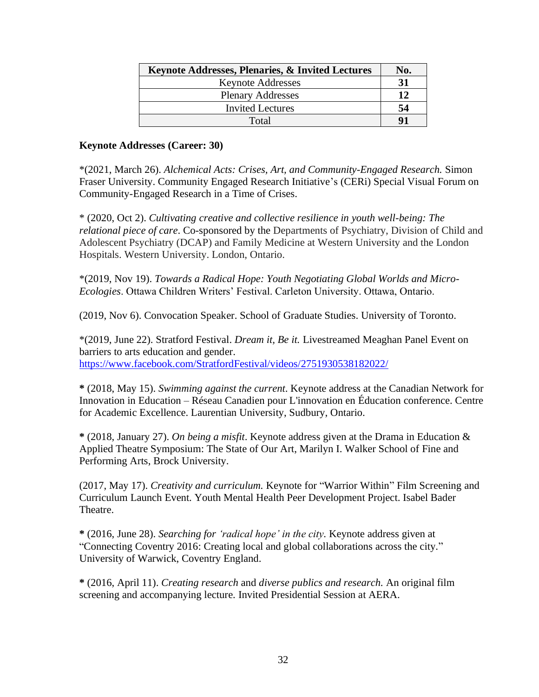| Keynote Addresses, Plenaries, & Invited Lectures | No. |
|--------------------------------------------------|-----|
| <b>Keynote Addresses</b>                         | 31  |
| <b>Plenary Addresses</b>                         | 12  |
| <b>Invited Lectures</b>                          | 54  |
| Total                                            | Q1  |

#### **Keynote Addresses (Career: 30)**

\*(2021, March 26). *Alchemical Acts: Crises, Art, and Community-Engaged Research.* Simon Fraser University. Community Engaged Research Initiative's (CERi) Special Visual Forum on Community-Engaged Research in a Time of Crises.

\* (2020, Oct 2). *Cultivating creative and collective resilience in youth well-being: The relational piece of care*. Co-sponsored by the Departments of Psychiatry, Division of Child and Adolescent Psychiatry (DCAP) and Family Medicine at Western University and the London Hospitals. Western University. London, Ontario.

\*(2019, Nov 19). *Towards a Radical Hope: Youth Negotiating Global Worlds and Micro-Ecologies*. Ottawa Children Writers' Festival. Carleton University. Ottawa, Ontario.

(2019, Nov 6). Convocation Speaker. School of Graduate Studies. University of Toronto.

\*(2019, June 22). Stratford Festival. *Dream it, Be it.* Livestreamed Meaghan Panel Event on barriers to arts education and gender. <https://www.facebook.com/StratfordFestival/videos/2751930538182022/>

**\*** (2018, May 15). *Swimming against the current*. Keynote address at the Canadian Network for Innovation in Education – Réseau Canadien pour L'innovation en Éducation conference. Centre for Academic Excellence. Laurentian University, Sudbury, Ontario.

**\*** (2018, January 27). *On being a misfit*. Keynote address given at the Drama in Education & Applied Theatre Symposium: The State of Our Art, Marilyn I. Walker School of Fine and Performing Arts, Brock University.

(2017, May 17). *Creativity and curriculum.* Keynote for "Warrior Within" Film Screening and Curriculum Launch Event. Youth Mental Health Peer Development Project. Isabel Bader Theatre.

**\*** (2016, June 28). *Searching for 'radical hope' in the city.* Keynote address given at "Connecting Coventry 2016: Creating local and global collaborations across the city." University of Warwick, Coventry England.

**\*** (2016, April 11). *Creating research* and *diverse publics and research.* An original film screening and accompanying lecture*.* Invited Presidential Session at AERA.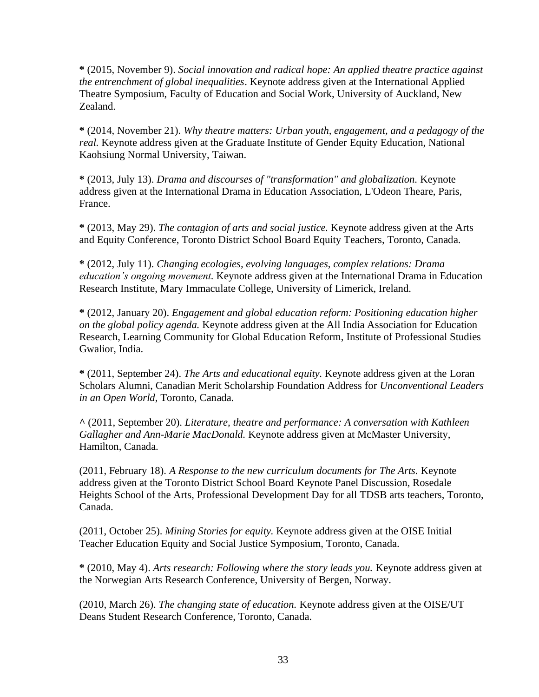**\*** (2015, November 9). *Social innovation and radical hope: An applied theatre practice against the entrenchment of global inequalities*. Keynote address given at the International Applied Theatre Symposium, Faculty of Education and Social Work, University of Auckland, New Zealand.

**\*** (2014, November 21). *Why theatre matters: Urban youth, engagement, and a pedagogy of the real.* Keynote address given at the Graduate Institute of Gender Equity Education, National Kaohsiung Normal University, Taiwan.

**\*** (2013, July 13). *Drama and discourses of "transformation" and globalization.* Keynote address given at the International Drama in Education Association, L'Odeon Theare, Paris, France.

**\*** (2013, May 29). *The contagion of arts and social justice.* Keynote address given at the Arts and Equity Conference, Toronto District School Board Equity Teachers, Toronto, Canada.

**\*** (2012, July 11). *Changing ecologies, evolving languages, complex relations: Drama education's ongoing movement.* Keynote address given at the International Drama in Education Research Institute, Mary Immaculate College, University of Limerick, Ireland.

**\*** (2012, January 20). *Engagement and global education reform: Positioning education higher on the global policy agenda.* Keynote address given at the All India Association for Education Research, Learning Community for Global Education Reform, Institute of Professional Studies Gwalior, India.

**\*** (2011, September 24). *The Arts and educational equity.* Keynote address given at the Loran Scholars Alumni, Canadian Merit Scholarship Foundation Address for *Unconventional Leaders in an Open World*, Toronto, Canada.

**^** (2011, September 20). *Literature, theatre and performance: A conversation with Kathleen Gallagher and Ann-Marie MacDonald.* Keynote address given at McMaster University, Hamilton, Canada.

(2011, February 18). *A Response to the new curriculum documents for The Arts.* Keynote address given at the Toronto District School Board Keynote Panel Discussion, Rosedale Heights School of the Arts, Professional Development Day for all TDSB arts teachers, Toronto, Canada.

(2011, October 25). *Mining Stories for equity.* Keynote address given at the OISE Initial Teacher Education Equity and Social Justice Symposium, Toronto, Canada.

**\*** (2010, May 4). *Arts research: Following where the story leads you.* Keynote address given at the Norwegian Arts Research Conference, University of Bergen, Norway.

(2010, March 26). *The changing state of education.* Keynote address given at the OISE/UT Deans Student Research Conference, Toronto, Canada.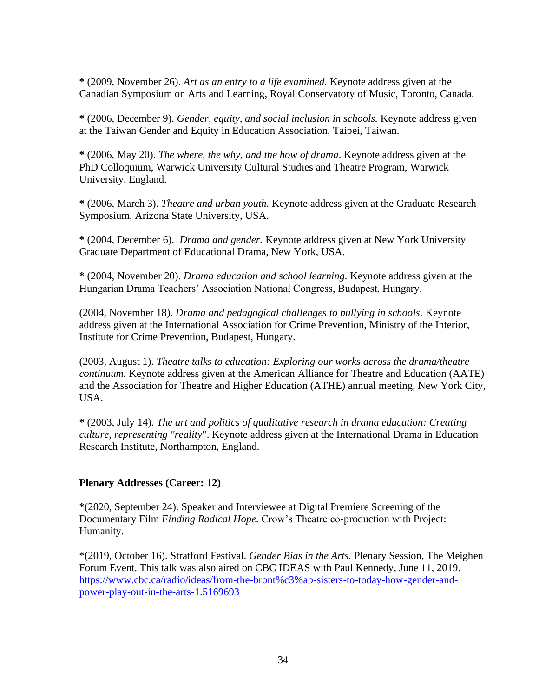**\*** (2009, November 26). *Art as an entry to a life examined.* Keynote address given at the Canadian Symposium on Arts and Learning, Royal Conservatory of Music, Toronto, Canada.

**\*** (2006, December 9). *Gender, equity, and social inclusion in schools.* Keynote address given at the Taiwan Gender and Equity in Education Association, Taipei, Taiwan.

**\*** (2006, May 20). *The where, the why, and the how of drama*. Keynote address given at the PhD Colloquium, Warwick University Cultural Studies and Theatre Program, Warwick University, England.

**\*** (2006, March 3). *Theatre and urban youth.* Keynote address given at the Graduate Research Symposium, Arizona State University, USA.

**\*** (2004, December 6). *Drama and gender.* Keynote address given at New York University Graduate Department of Educational Drama, New York, USA.

**\*** (2004, November 20). *Drama education and school learning.* Keynote address given at the Hungarian Drama Teachers' Association National Congress, Budapest, Hungary.

(2004, November 18). *Drama and pedagogical challenges to bullying in schools.* Keynote address given at the International Association for Crime Prevention, Ministry of the Interior, Institute for Crime Prevention, Budapest, Hungary.

(2003, August 1). *Theatre talks to education: Exploring our works across the drama/theatre continuum.* Keynote address given at the American Alliance for Theatre and Education (AATE) and the Association for Theatre and Higher Education (ATHE) annual meeting, New York City, USA.

**\*** (2003, July 14). *The art and politics of qualitative research in drama education: Creating culture, representing "reality*". Keynote address given at the International Drama in Education Research Institute, Northampton, England.

# **Plenary Addresses (Career: 12)**

**\***(2020, September 24). Speaker and Interviewee at Digital Premiere Screening of the Documentary Film *Finding Radical Hope.* Crow's Theatre co-production with Project: Humanity.

\*(2019, October 16). Stratford Festival. *Gender Bias in the Arts.* Plenary Session, The Meighen Forum Event. This talk was also aired on CBC IDEAS with Paul Kennedy, June 11, 2019. [https://www.cbc.ca/radio/ideas/from-the-bront%c3%ab-sisters-to-today-how-gender-and](https://www.cbc.ca/radio/ideas/from-the-bront%c3%ab-sisters-to-today-how-gender-and-power-play-out-in-the-arts-1.5169693)[power-play-out-in-the-arts-1.5169693](https://www.cbc.ca/radio/ideas/from-the-bront%c3%ab-sisters-to-today-how-gender-and-power-play-out-in-the-arts-1.5169693)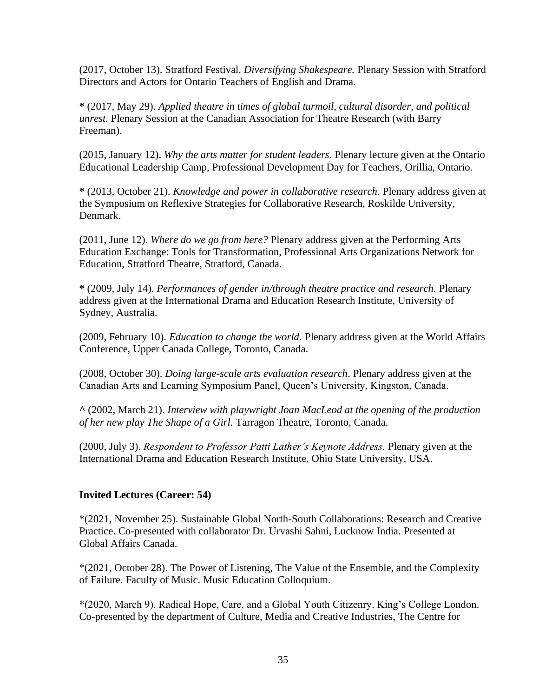(2017, October 13). Stratford Festival. *Diversifying Shakespeare.* Plenary Session with Stratford Directors and Actors for Ontario Teachers of English and Drama.

**\*** (2017, May 29). *Applied theatre in times of global turmoil, cultural disorder, and political unrest.* Plenary Session at the Canadian Association for Theatre Research (with Barry Freeman).

(2015, January 12). *Why the arts matter for student leaders.* Plenary lecture given at the Ontario Educational Leadership Camp, Professional Development Day for Teachers, Orillia, Ontario.

**\*** (2013, October 21). *Knowledge and power in collaborative research.* Plenary address given at the Symposium on Reflexive Strategies for Collaborative Research, Roskilde University, Denmark.

(2011, June 12). *Where do we go from here?* Plenary address given at the Performing Arts Education Exchange: Tools for Transformation, Professional Arts Organizations Network for Education, Stratford Theatre, Stratford, Canada.

**\*** (2009, July 14). *Performances of gender in/through theatre practice and research.* Plenary address given at the International Drama and Education Research Institute, University of Sydney, Australia.

(2009, February 10). *Education to change the world.* Plenary address given at the World Affairs Conference, Upper Canada College, Toronto, Canada.

(2008, October 30). *Doing large-scale arts evaluation research*. Plenary address given at the Canadian Arts and Learning Symposium Panel, Queen's University, Kingston, Canada.

**^** (2002, March 21). *Interview with playwright Joan MacLeod at the opening of the production of her new play The Shape of a Girl*. Tarragon Theatre, Toronto, Canada.

(2000, July 3). *Respondent to Professor Patti Lather's Keynote Address.* Plenary given at the International Drama and Education Research Institute, Ohio State University, USA.

# **Invited Lectures (Career: 54)**

\*(2021, November 25). Sustainable Global North-South Collaborations: Research and Creative Practice. Co-presented with collaborator Dr. Urvashi Sahni, Lucknow India. Presented at Global Affairs Canada.

\*(2021, October 28). The Power of Listening, The Value of the Ensemble, and the Complexity of Failure. Faculty of Music. Music Education Colloquium.

\*(2020, March 9). Radical Hope, Care, and a Global Youth Citizenry. King's College London. Co-presented by the department of Culture, Media and Creative Industries, The Centre for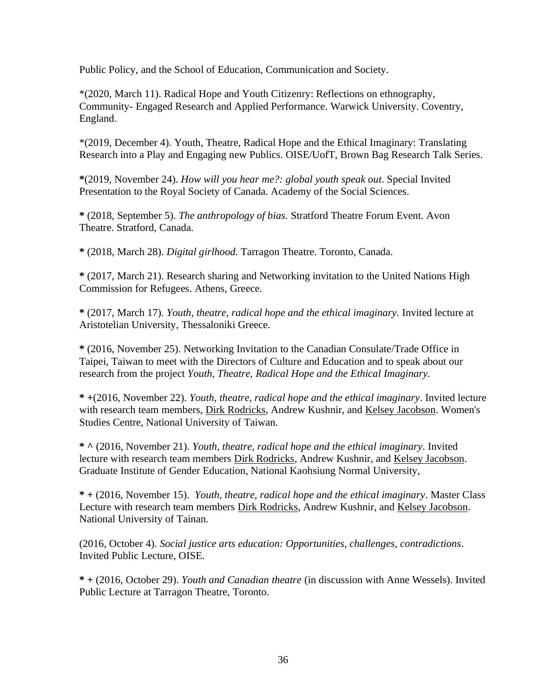Public Policy, and the School of Education, Communication and Society.

\*(2020, March 11). Radical Hope and Youth Citizenry: Reflections on ethnography, Community- Engaged Research and Applied Performance. Warwick University. Coventry, England.

\*(2019, December 4). Youth, Theatre, Radical Hope and the Ethical Imaginary: Translating Research into a Play and Engaging new Publics. OISE/UofT, Brown Bag Research Talk Series.

**\***(2019, November 24). *How will you hear me?: global youth speak out*. Special Invited Presentation to the Royal Society of Canada. Academy of the Social Sciences.

**\*** (2018, September 5). *The anthropology of bias.* Stratford Theatre Forum Event. Avon Theatre. Stratford, Canada.

**\*** (2018, March 28). *Digital girlhood.* Tarragon Theatre. Toronto, Canada.

**\*** (2017, March 21). Research sharing and Networking invitation to the United Nations High Commission for Refugees. Athens, Greece.

**\*** (2017, March 17). *Youth, theatre, radical hope and the ethical imaginary.* Invited lecture at Aristotelian University, Thessaloniki Greece.

**\*** (2016, November 25). Networking Invitation to the Canadian Consulate/Trade Office in Taipei, Taiwan to meet with the Directors of Culture and Education and to speak about our research from the project *Youth, Theatre, Radical Hope and the Ethical Imaginary.*

**\* +**(2016, November 22). *Youth, theatre, radical hope and the ethical imaginary*. Invited lecture with research team members, Dirk Rodricks, Andrew Kushnir, and Kelsey Jacobson. Women's Studies Centre, National University of Taiwan.

**\* ^** (2016, November 21). *Youth, theatre, radical hope and the ethical imaginary*. Invited lecture with research team members Dirk Rodricks, Andrew Kushnir, and Kelsey Jacobson. Graduate Institute of Gender Education, National Kaohsiung Normal University,

**\* +** (2016, November 15). *Youth, theatre, radical hope and the ethical imaginary*. Master Class Lecture with research team members Dirk Rodricks, Andrew Kushnir, and Kelsey Jacobson. National University of Tainan.

(2016, October 4). *Social justice arts education: Opportunities, challenges, contradictions*. Invited Public Lecture, OISE.

**\* +** (2016, October 29). *Youth and Canadian theatre* (in discussion with Anne Wessels). Invited Public Lecture at Tarragon Theatre, Toronto.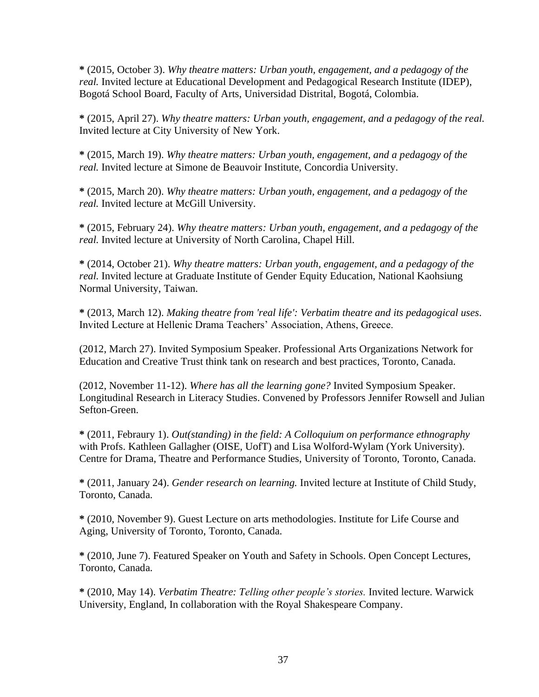**\*** (2015, October 3). *Why theatre matters: Urban youth, engagement, and a pedagogy of the real.* Invited lecture at Educational Development and Pedagogical Research Institute (IDEP), Bogotá School Board, Faculty of Arts, Universidad Distrital, Bogotá, Colombia.

**\*** (2015, April 27). *Why theatre matters: Urban youth, engagement, and a pedagogy of the real.*  Invited lecture at City University of New York.

**\*** (2015, March 19). *Why theatre matters: Urban youth, engagement, and a pedagogy of the real.* Invited lecture at Simone de Beauvoir Institute, Concordia University.

**\*** (2015, March 20). *Why theatre matters: Urban youth, engagement, and a pedagogy of the real.* Invited lecture at McGill University.

**\*** (2015, February 24). *Why theatre matters: Urban youth, engagement, and a pedagogy of the real.* Invited lecture at University of North Carolina, Chapel Hill.

**\*** (2014, October 21). *Why theatre matters: Urban youth, engagement, and a pedagogy of the real.* Invited lecture at Graduate Institute of Gender Equity Education, National Kaohsiung Normal University, Taiwan.

**\*** (2013, March 12). *Making theatre from 'real life': Verbatim theatre and its pedagogical uses*. Invited Lecture at Hellenic Drama Teachers' Association, Athens, Greece.

(2012, March 27). Invited Symposium Speaker. Professional Arts Organizations Network for Education and Creative Trust think tank on research and best practices, Toronto, Canada.

(2012, November 11-12). *Where has all the learning gone?* Invited Symposium Speaker. Longitudinal Research in Literacy Studies. Convened by Professors Jennifer Rowsell and Julian Sefton-Green.

**\*** (2011, Febraury 1). *Out(standing) in the field: A Colloquium on performance ethnography* with Profs. Kathleen Gallagher (OISE, UofT) and Lisa Wolford-Wylam (York University). Centre for Drama, Theatre and Performance Studies, University of Toronto, Toronto, Canada.

**\*** (2011, January 24). *Gender research on learning.* Invited lecture at Institute of Child Study, Toronto, Canada.

**\*** (2010, November 9). Guest Lecture on arts methodologies. Institute for Life Course and Aging, University of Toronto, Toronto, Canada.

**\*** (2010, June 7). Featured Speaker on Youth and Safety in Schools. Open Concept Lectures, Toronto, Canada.

**\*** (2010, May 14). *Verbatim Theatre: Telling other people's stories.* Invited lecture. Warwick University, England, In collaboration with the Royal Shakespeare Company.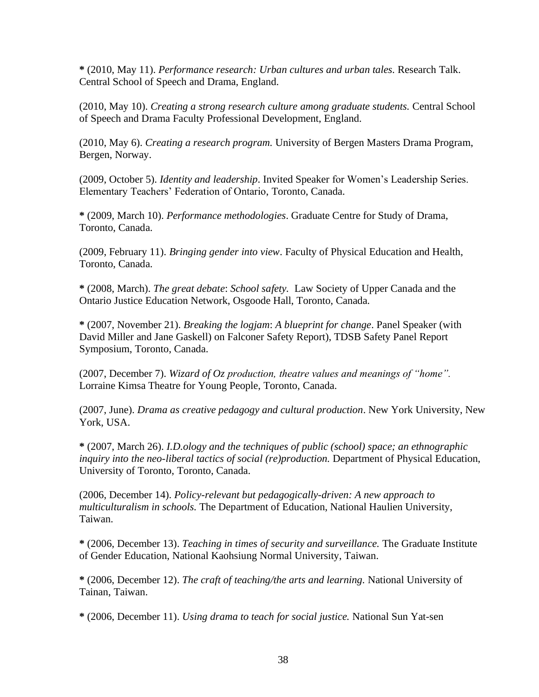**\*** (2010, May 11). *Performance research: Urban cultures and urban tales.* Research Talk. Central School of Speech and Drama, England.

(2010, May 10). *Creating a strong research culture among graduate students.* Central School of Speech and Drama Faculty Professional Development, England.

(2010, May 6). *Creating a research program.* University of Bergen Masters Drama Program, Bergen, Norway.

(2009, October 5). *Identity and leadership*. Invited Speaker for Women's Leadership Series. Elementary Teachers' Federation of Ontario, Toronto, Canada.

**\*** (2009, March 10). *Performance methodologies*. Graduate Centre for Study of Drama, Toronto, Canada.

(2009, February 11). *Bringing gender into view*. Faculty of Physical Education and Health, Toronto, Canada.

**\*** (2008, March). *The great debate*: *School safety.* Law Society of Upper Canada and the Ontario Justice Education Network, Osgoode Hall, Toronto, Canada.

**\*** (2007, November 21). *Breaking the logjam*: *A blueprint for change*. Panel Speaker (with David Miller and Jane Gaskell) on Falconer Safety Report), TDSB Safety Panel Report Symposium, Toronto, Canada.

(2007, December 7). *Wizard of Oz production, theatre values and meanings of "home".* Lorraine Kimsa Theatre for Young People, Toronto, Canada.

(2007, June). *Drama as creative pedagogy and cultural production*. New York University, New York, USA.

**\*** (2007, March 26). *I.D.ology and the techniques of public (school) space; an ethnographic inquiry into the neo-liberal tactics of social (re)production.* Department of Physical Education, University of Toronto, Toronto, Canada.

(2006, December 14). *Policy-relevant but pedagogically-driven: A new approach to multiculturalism in schools.* The Department of Education, National Haulien University, Taiwan.

**\*** (2006, December 13). *Teaching in times of security and surveillance.* The Graduate Institute of Gender Education, National Kaohsiung Normal University, Taiwan.

**\*** (2006, December 12). *The craft of teaching/the arts and learning.* National University of Tainan, Taiwan.

**\*** (2006, December 11). *Using drama to teach for social justice.* National Sun Yat-sen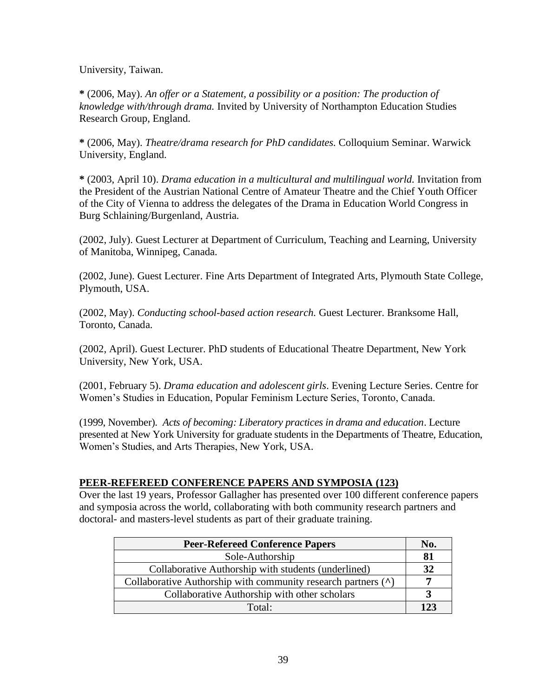University, Taiwan.

**\*** (2006, May). *An offer or a Statement, a possibility or a position: The production of knowledge with/through drama.* Invited by University of Northampton Education Studies Research Group, England.

**\*** (2006, May). *Theatre/drama research for PhD candidates.* Colloquium Seminar. Warwick University, England.

**\*** (2003, April 10). *Drama education in a multicultural and multilingual world.* Invitation from the President of the Austrian National Centre of Amateur Theatre and the Chief Youth Officer of the City of Vienna to address the delegates of the Drama in Education World Congress in Burg Schlaining/Burgenland, Austria.

(2002, July). Guest Lecturer at Department of Curriculum, Teaching and Learning, University of Manitoba, Winnipeg, Canada.

(2002, June). Guest Lecturer. Fine Arts Department of Integrated Arts, Plymouth State College, Plymouth, USA.

(2002, May). *Conducting school-based action research.* Guest Lecturer. Branksome Hall, Toronto, Canada.

(2002, April). Guest Lecturer. PhD students of Educational Theatre Department, New York University, New York, USA.

(2001, February 5). *Drama education and adolescent girls*. Evening Lecture Series. Centre for Women's Studies in Education, Popular Feminism Lecture Series, Toronto, Canada.

(1999, November). *Acts of becoming: Liberatory practices in drama and education*. Lecture presented at New York University for graduate students in the Departments of Theatre, Education, Women's Studies, and Arts Therapies, New York, USA.

## **PEER-REFEREED CONFERENCE PAPERS AND SYMPOSIA (123)**

Over the last 19 years, Professor Gallagher has presented over 100 different conference papers and symposia across the world, collaborating with both community research partners and doctoral- and masters-level students as part of their graduate training.

| <b>Peer-Refereed Conference Papers</b>                        |     |
|---------------------------------------------------------------|-----|
| Sole-Authorship                                               | 81  |
| Collaborative Authorship with students (underlined)           | 32  |
| Collaborative Authorship with community research partners (^) |     |
| Collaborative Authorship with other scholars                  |     |
| Total:                                                        | 123 |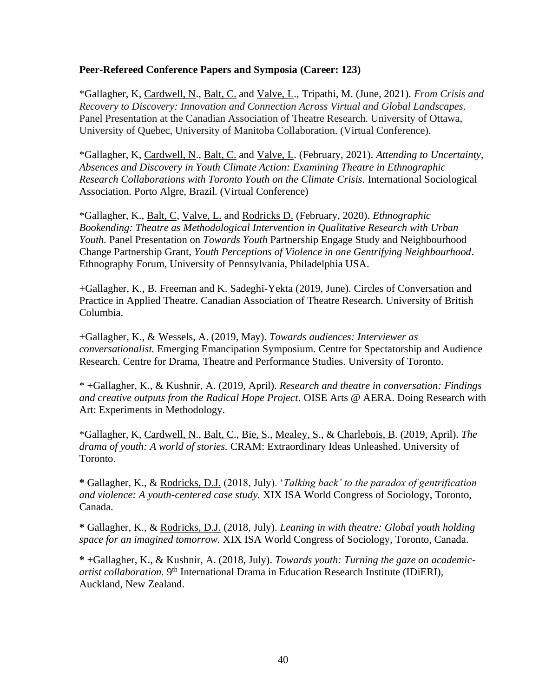#### **Peer-Refereed Conference Papers and Symposia (Career: 123)**

\*Gallagher, K, Cardwell, N., Balt, C. and Valve, L., Tripathi, M. (June, 2021). *From Crisis and Recovery to Discovery: Innovation and Connection Across Virtual and Global Landscapes.* Panel Presentation at the Canadian Association of Theatre Research. University of Ottawa, University of Quebec, University of Manitoba Collaboration. (Virtual Conference).

\*Gallagher, K, Cardwell, N., Balt, C. and Valve, L. (February, 2021). *Attending to Uncertainty, Absences and Discovery in Youth Climate Action: Examining Theatre in Ethnographic Research Collaborations with Toronto Youth on the Climate Crisis.* International Sociological Association. Porto Algre, Brazil. (Virtual Conference)

\*Gallagher, K., Balt, C, Valve, L. and Rodricks D. (February, 2020). *Ethnographic Bookending: Theatre as Methodological Intervention in Qualitative Research with Urban Youth.* Panel Presentation on *Towards Youth* Partnership Engage Study and Neighbourhood Change Partnership Grant, *Youth Perceptions of Violence in one Gentrifying Neighbourhood*. Ethnography Forum, University of Pennsylvania, Philadelphia USA.

+Gallagher, K., B. Freeman and K. Sadeghi-Yekta (2019, June). Circles of Conversation and Practice in Applied Theatre. Canadian Association of Theatre Research. University of British Columbia.

+Gallagher, K., & Wessels, A. (2019, May). *Towards audiences: Interviewer as conversationalist.* Emerging Emancipation Symposium. Centre for Spectatorship and Audience Research. Centre for Drama, Theatre and Performance Studies. University of Toronto.

\* +Gallagher, K., & Kushnir, A. (2019, April). *Research and theatre in conversation: Findings and creative outputs from the Radical Hope Project*. OISE Arts @ AERA. Doing Research with Art: Experiments in Methodology.

\*Gallagher, K, Cardwell, N., Balt, C., Bie, S., Mealey, S., & Charlebois, B. (2019, April). *The drama of youth: A world of stories.* CRAM: Extraordinary Ideas Unleashed. University of Toronto.

**\*** Gallagher, K., & Rodricks, D.J. (2018, July). '*Talking back' to the paradox of gentrification and violence: A youth-centered case study.* XIX ISA World Congress of Sociology, Toronto, Canada.

**\*** Gallagher, K., & Rodricks, D.J. (2018, July). *Leaning in with theatre: Global youth holding space for an imagined tomorrow.* XIX ISA World Congress of Sociology, Toronto, Canada.

**\* +**Gallagher, K., & Kushnir, A. (2018, July). *Towards youth: Turning the gaze on academic*artist collaboration. 9<sup>th</sup> International Drama in Education Research Institute (IDiERI), Auckland, New Zealand.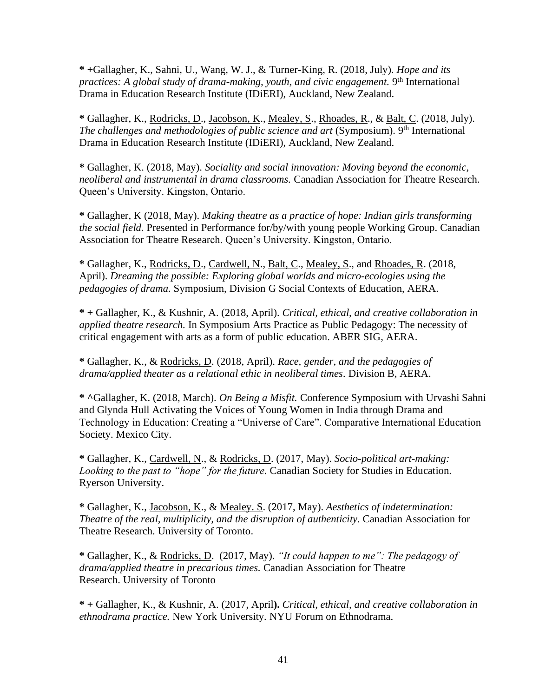**\* +**Gallagher, K., Sahni, U., Wang, W. J., & Turner-King, R. (2018, July). *Hope and its*  practices: A global study of drama-making, youth, and civic engagement. 9<sup>th</sup> International Drama in Education Research Institute (IDiERI), Auckland, New Zealand.

**\*** Gallagher, K., Rodricks, D., Jacobson, K., Mealey, S., Rhoades, R., & Balt, C. (2018, July). *The challenges and methodologies of public science and art (Symposium).* 9<sup>th</sup> International Drama in Education Research Institute (IDiERI), Auckland, New Zealand.

**\*** Gallagher, K. (2018, May). *Sociality and social innovation: Moving beyond the economic, neoliberal and instrumental in drama classrooms.* Canadian Association for Theatre Research. Queen's University. Kingston, Ontario.

**\*** Gallagher, K (2018, May). *Making theatre as a practice of hope: Indian girls transforming the social field.* Presented in Performance for/by/with young people Working Group. Canadian Association for Theatre Research. Queen's University. Kingston, Ontario.

**\*** Gallagher, K., Rodricks, D., Cardwell, N., Balt, C., Mealey, S., and Rhoades, R. (2018, April). *Dreaming the possible: Exploring global worlds and micro-ecologies using the pedagogies of drama.* Symposium, Division G Social Contexts of Education, AERA.

**\* +** Gallagher, K., & Kushnir, A. (2018, April). *Critical, ethical, and creative collaboration in applied theatre research.* In Symposium Arts Practice as Public Pedagogy: The necessity of critical engagement with arts as a form of public education. ABER SIG, AERA.

**\*** Gallagher, K., & Rodricks, D. (2018, April). *Race, gender, and the pedagogies of drama/applied theater as a relational ethic in neoliberal times.* Division B, AERA.

**\* ^**Gallagher, K. (2018, March). *On Being a Misfit.* Conference Symposium with Urvashi Sahni and Glynda Hull Activating the Voices of Young Women in India through Drama and Technology in Education: Creating a "Universe of Care". Comparative International Education Society. Mexico City.

**\*** Gallagher, K., Cardwell, N., & Rodricks, D. (2017, May). *Socio-political art-making: Looking to the past to "hope" for the future.* Canadian Society for Studies in Education. Ryerson University.

**\*** Gallagher, K., Jacobson, K., & Mealey. S. (2017, May). *Aesthetics of indetermination: Theatre of the real, multiplicity, and the disruption of authenticity.* Canadian Association for Theatre Research. University of Toronto.

**\*** Gallagher, K., & Rodricks, D. (2017, May). *"It could happen to me": The pedagogy of drama/applied theatre in precarious times.* Canadian Association for Theatre Research. University of Toronto

**\* +** Gallagher, K., & Kushnir, A. (2017, April**).** *Critical, ethical, and creative collaboration in ethnodrama practice.* New York University. NYU Forum on Ethnodrama.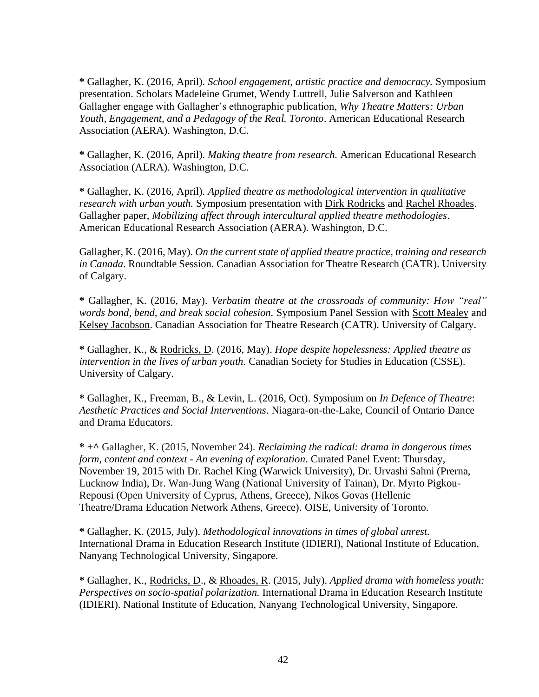**\*** Gallagher, K. (2016, April). *School engagement, artistic practice and democracy.* Symposium presentation. Scholars Madeleine Grumet, Wendy Luttrell, Julie Salverson and Kathleen Gallagher engage with Gallagher's ethnographic publication, *Why Theatre Matters: Urban Youth, Engagement, and a Pedagogy of the Real. Toronto*. American Educational Research Association (AERA). Washington, D.C.

**\*** Gallagher, K. (2016, April). *Making theatre from research.* American Educational Research Association (AERA). Washington, D.C.

**\*** Gallagher, K. (2016, April). *Applied theatre as methodological intervention in qualitative research with urban youth.* Symposium presentation with Dirk Rodricks and Rachel Rhoades. Gallagher paper, *Mobilizing affect through intercultural applied theatre methodologies*. American Educational Research Association (AERA). Washington, D.C.

Gallagher, K. (2016, May). *On the current state of applied theatre practice, training and research in Canada.* Roundtable Session. Canadian Association for Theatre Research (CATR). University of Calgary.

**\*** Gallagher, K. (2016, May). *Verbatim theatre at the crossroads of community: How "real" words bond, bend, and break social cohesion.* Symposium Panel Session with Scott Mealey and Kelsey Jacobson. Canadian Association for Theatre Research (CATR). University of Calgary.

**\*** Gallagher, K., & Rodricks, D. (2016, May). *Hope despite hopelessness: Applied theatre as intervention in the lives of urban youth.* Canadian Society for Studies in Education (CSSE). University of Calgary.

**\*** Gallagher, K., Freeman, B., & Levin, L. (2016, Oct). Symposium on *In Defence of Theatre*: *Aesthetic Practices and Social Interventions*. Niagara-on-the-Lake, Council of Ontario Dance and Drama Educators.

**\* +^** Gallagher, K. (2015, November 24). *Reclaiming the radical: drama in dangerous times form, content and context - An evening of exploration*. Curated Panel Event: Thursday, November 19, 2015 with Dr. Rachel King (Warwick University), Dr. Urvashi Sahni (Prerna, Lucknow India), Dr. Wan-Jung Wang (National University of Tainan), Dr. Myrto Pigkou-Repousi (Open University of Cyprus, Athens, Greece), Nikos Govas (Hellenic Theatre/Drama Education Network Athens, Greece). OISE, University of Toronto.

**\*** Gallagher, K. (2015, July). *Methodological innovations in times of global unrest.*  International Drama in Education Research Institute (IDIERI), National Institute of Education, Nanyang Technological University, Singapore.

**\*** Gallagher, K., Rodricks, D., & Rhoades, R. (2015, July). *Applied drama with homeless youth: Perspectives on socio-spatial polarization.* International Drama in Education Research Institute (IDIERI). National Institute of Education, Nanyang Technological University, Singapore.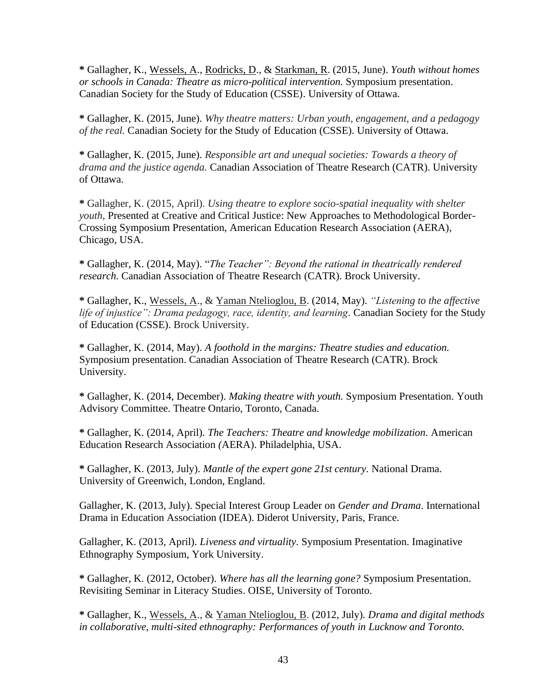**\*** Gallagher, K., Wessels, A., Rodricks, D., & Starkman, R. (2015, June). *Youth without homes or schools in Canada: Theatre as micro-political intervention.* Symposium presentation. Canadian Society for the Study of Education (CSSE). University of Ottawa.

**\*** Gallagher, K. (2015, June). *Why theatre matters: Urban youth, engagement, and a pedagogy of the real.* Canadian Society for the Study of Education (CSSE). University of Ottawa.

**\*** Gallagher, K. (2015, June). *Responsible art and unequal societies: Towards a theory of drama and the justice agenda.* Canadian Association of Theatre Research (CATR). University of Ottawa.

**\*** Gallagher, K. (2015, April). *Using theatre to explore socio-spatial inequality with shelter youth*, Presented at Creative and Critical Justice: New Approaches to Methodological Border-Crossing Symposium Presentation, American Education Research Association (AERA), Chicago, USA.

**\*** Gallagher, K. (2014, May). "*The Teacher": Beyond the rational in theatrically rendered research.* Canadian Association of Theatre Research (CATR). Brock University.

**\*** Gallagher, K., Wessels, A., & Yaman Ntelioglou, B. (2014, May). *"Listening to the affective life of injustice": Drama pedagogy, race, identity, and learning.* Canadian Society for the Study of Education (CSSE). Brock University.

**\*** Gallagher, K. (2014, May). *A foothold in the margins: Theatre studies and education.*  Symposium presentation. Canadian Association of Theatre Research (CATR). Brock University.

**\*** Gallagher, K. (2014, December). *Making theatre with youth.* Symposium Presentation. Youth Advisory Committee. Theatre Ontario, Toronto, Canada.

**\*** Gallagher, K. (2014, April)*. The Teachers: Theatre and knowledge mobilization.* American Education Research Association *(*AERA). Philadelphia, USA.

**\*** Gallagher, K. (2013, July). *Mantle of the expert gone 21st century.* National Drama. University of Greenwich, London, England.

Gallagher, K. (2013, July). Special Interest Group Leader on *Gender and Drama*. International Drama in Education Association (IDEA). Diderot University, Paris, France.

Gallagher, K. (2013, April). *Liveness and virtuality*. Symposium Presentation. Imaginative Ethnography Symposium, York University.

**\*** Gallagher, K. (2012, October). *Where has all the learning gone?* Symposium Presentation. Revisiting Seminar in Literacy Studies. OISE, University of Toronto.

**\*** Gallagher, K., Wessels, A., & Yaman Ntelioglou, B. (2012, July)*. Drama and digital methods in collaborative, multi-sited ethnography: Performances of youth in Lucknow and Toronto.*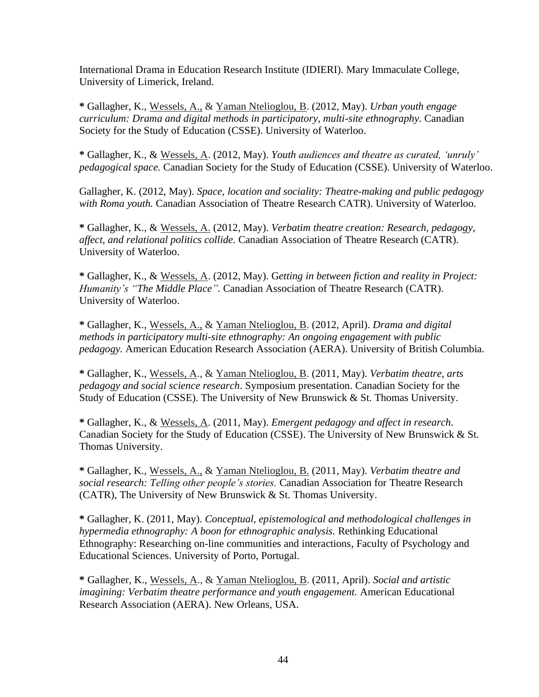International Drama in Education Research Institute (IDIERI). Mary Immaculate College, University of Limerick, Ireland.

**\*** Gallagher, K., Wessels, A., & Yaman Ntelioglou, B. (2012, May). *Urban youth engage curriculum: Drama and digital methods in participatory, multi-site ethnography.* Canadian Society for the Study of Education (CSSE). University of Waterloo.

**\*** Gallagher, K., & Wessels, A. (2012, May). *Youth audiences and theatre as curated, 'unruly' pedagogical space.* Canadian Society for the Study of Education (CSSE). University of Waterloo.

Gallagher, K. (2012, May). *Space, location and sociality: Theatre-making and public pedagogy with Roma youth.* Canadian Association of Theatre Research CATR). University of Waterloo.

**\*** Gallagher, K., & Wessels, A. (2012, May). *Verbatim theatre creation: Research, pedagogy, affect, and relational politics collide.* Canadian Association of Theatre Research (CATR). University of Waterloo.

**\*** Gallagher, K., & Wessels, A. (2012, May). G*etting in between fiction and reality in Project: Humanity's "The Middle Place".* Canadian Association of Theatre Research (CATR). University of Waterloo.

**\*** Gallagher, K., Wessels, A., & Yaman Ntelioglou, B. (2012, April). *Drama and digital methods in participatory multi-site ethnography: An ongoing engagement with public pedagogy.* American Education Research Association (AERA). University of British Columbia.

**\*** Gallagher, K., Wessels, A., & Yaman Ntelioglou, B. (2011, May). *Verbatim theatre, arts pedagogy and social science research*. Symposium presentation. Canadian Society for the Study of Education (CSSE). The University of New Brunswick & St. Thomas University.

**\*** Gallagher, K., & Wessels, A. (2011, May). *Emergent pedagogy and affect in research.* Canadian Society for the Study of Education (CSSE). The University of New Brunswick & St. Thomas University.

**\*** Gallagher, K., Wessels, A., & Yaman Ntelioglou, B. (2011, May). *Verbatim theatre and social research: Telling other people's stories.* Canadian Association for Theatre Research (CATR), The University of New Brunswick & St. Thomas University.

**\*** Gallagher, K. (2011, May). *Conceptual, epistemological and methodological challenges in hypermedia ethnography: A boon for ethnographic analysis.* Rethinking Educational Ethnography: Researching on-line communities and interactions, Faculty of Psychology and Educational Sciences. University of Porto, Portugal.

**\*** Gallagher, K., Wessels, A., & Yaman Ntelioglou, B. (2011, April). *Social and artistic imagining: Verbatim theatre performance and youth engagement.* American Educational Research Association (AERA). New Orleans, USA.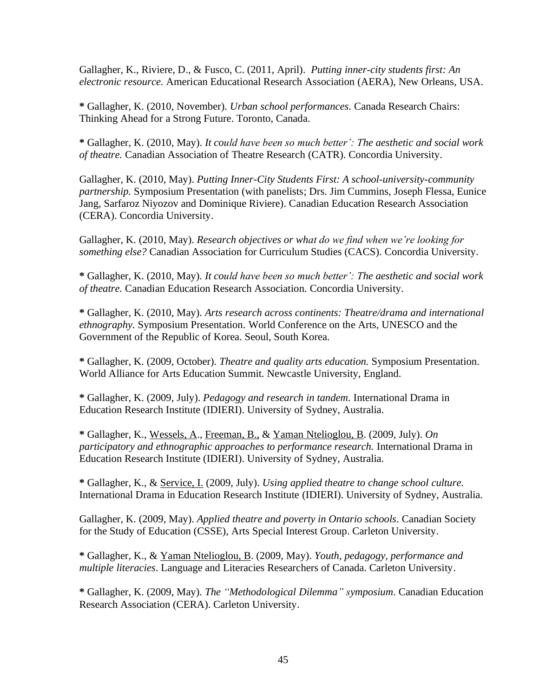Gallagher, K., Riviere, D., & Fusco, C. (2011, April). *Putting inner-city students first: An electronic resource.* American Educational Research Association (AERA), New Orleans, USA.

**\*** Gallagher, K. (2010, November). *Urban school performances.* Canada Research Chairs: Thinking Ahead for a Strong Future. Toronto, Canada.

**\*** Gallagher, K. (2010, May). *It could have been so much better': The aesthetic and social work of theatre.* Canadian Association of Theatre Research (CATR). Concordia University.

Gallagher, K. (2010, May). *Putting Inner-City Students First: A school-university-community partnership.* Symposium Presentation (with panelists; Drs. Jim Cummins, Joseph Flessa, Eunice Jang, Sarfaroz Niyozov and Dominique Riviere). Canadian Education Research Association (CERA). Concordia University.

Gallagher, K. (2010, May). *Research objectives or what do we find when we're looking for something else?* Canadian Association for Curriculum Studies (CACS). Concordia University.

**\*** Gallagher, K. (2010, May). *It could have been so much better': The aesthetic and social work of theatre.* Canadian Education Research Association. Concordia University.

**\*** Gallagher, K. (2010, May). *Arts research across continents: Theatre/drama and international ethnography.* Symposium Presentation. World Conference on the Arts, UNESCO and the Government of the Republic of Korea. Seoul, South Korea.

**\*** Gallagher, K. (2009, October). *Theatre and quality arts education.* Symposium Presentation. World Alliance for Arts Education Summit. Newcastle University, England.

**\*** Gallagher, K. (2009, July). *Pedagogy and research in tandem.* International Drama in Education Research Institute (IDIERI). University of Sydney, Australia.

**\*** Gallagher, K., Wessels, A., Freeman, B., & Yaman Ntelioglou, B. (2009, July). *On participatory and ethnographic approaches to performance research.* International Drama in Education Research Institute (IDIERI). University of Sydney, Australia.

**\*** Gallagher, K., & Service, I. (2009, July). *Using applied theatre to change school culture.* International Drama in Education Research Institute (IDIERI). University of Sydney, Australia.

Gallagher, K. (2009, May). *Applied theatre and poverty in Ontario schools.* Canadian Society for the Study of Education (CSSE), Arts Special Interest Group. Carleton University.

**\*** Gallagher, K., & Yaman Ntelioglou, B. (2009, May). *Youth, pedagogy, performance and multiple literacies*. Language and Literacies Researchers of Canada. Carleton University.

**\*** Gallagher, K. (2009, May). *The "Methodological Dilemma" symposium*. Canadian Education Research Association (CERA). Carleton University.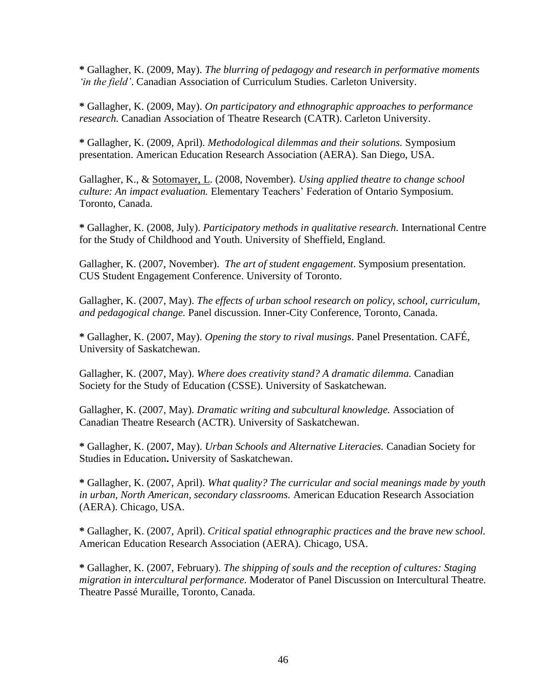**\*** Gallagher, K. (2009, May). *The blurring of pedagogy and research in performative moments 'in the field'*. Canadian Association of Curriculum Studies. Carleton University.

**\*** Gallagher, K. (2009, May). *On participatory and ethnographic approaches to performance research.* Canadian Association of Theatre Research (CATR). Carleton University.

**\*** Gallagher, K. (2009, April). *Methodological dilemmas and their solutions.* Symposium presentation. American Education Research Association (AERA). San Diego, USA.

Gallagher, K., & Sotomayer, L. (2008, November). *Using applied theatre to change school culture: An impact evaluation.* Elementary Teachers' Federation of Ontario Symposium. Toronto, Canada.

**\*** Gallagher, K. (2008, July). *Participatory methods in qualitative research.* International Centre for the Study of Childhood and Youth. University of Sheffield, England.

Gallagher, K. (2007, November). *The art of student engagement*. Symposium presentation. CUS Student Engagement Conference. University of Toronto.

Gallagher, K. (2007, May). *The effects of urban school research on policy, school, curriculum, and pedagogical change.* Panel discussion. Inner-City Conference, Toronto, Canada.

**\*** Gallagher, K. (2007, May). *Opening the story to rival musings*. Panel Presentation. CAFÉ, University of Saskatchewan.

Gallagher, K. (2007, May). *Where does creativity stand? A dramatic dilemma.* Canadian Society for the Study of Education (CSSE). University of Saskatchewan.

Gallagher, K. (2007, May). *Dramatic writing and subcultural knowledge.* Association of Canadian Theatre Research (ACTR). University of Saskatchewan.

**\*** Gallagher, K. (2007, May). *Urban Schools and Alternative Literacies.* Canadian Society for Studies in Education**.** University of Saskatchewan.

**\*** Gallagher, K. (2007, April). *What quality? The curricular and social meanings made by youth in urban, North American, secondary classrooms.* American Education Research Association (AERA). Chicago, USA.

**\*** Gallagher, K. (2007, April). *Critical spatial ethnographic practices and the brave new school.*  American Education Research Association (AERA). Chicago, USA.

**\*** Gallagher, K. (2007, February). *The shipping of souls and the reception of cultures: Staging migration in intercultural performance.* Moderator of Panel Discussion on Intercultural Theatre. Theatre Passé Muraille, Toronto, Canada.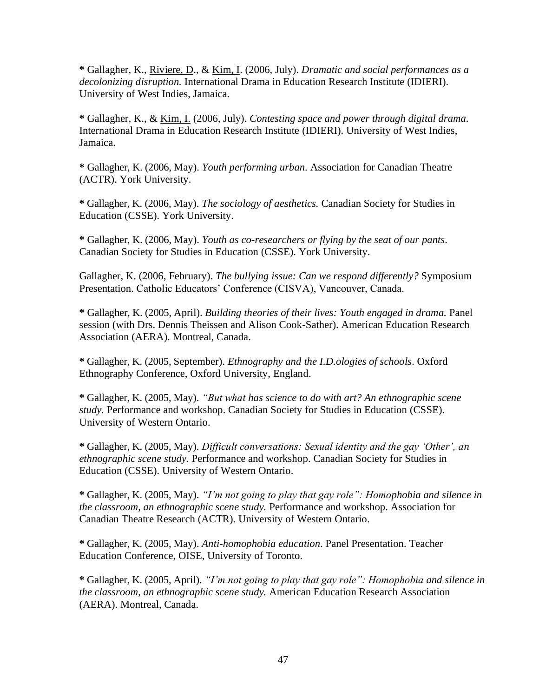**\*** Gallagher, K., Riviere, D., & Kim, I. (2006, July). *Dramatic and social performances as a decolonizing disruption.* International Drama in Education Research Institute (IDIERI). University of West Indies, Jamaica.

**\*** Gallagher, K., & Kim, I. (2006, July). *Contesting space and power through digital drama.*  International Drama in Education Research Institute (IDIERI). University of West Indies, Jamaica.

**\*** Gallagher, K. (2006, May). *Youth performing urban.* Association for Canadian Theatre (ACTR). York University.

**\*** Gallagher, K. (2006, May). *The sociology of aesthetics.* Canadian Society for Studies in Education (CSSE). York University.

**\*** Gallagher, K. (2006, May). *Youth as co-researchers or flying by the seat of our pants.*  Canadian Society for Studies in Education (CSSE). York University.

Gallagher, K. (2006, February). *The bullying issue: Can we respond differently?* Symposium Presentation. Catholic Educators' Conference (CISVA), Vancouver, Canada.

**\*** Gallagher, K. (2005, April). *Building theories of their lives: Youth engaged in drama.* Panel session (with Drs. Dennis Theissen and Alison Cook-Sather). American Education Research Association (AERA). Montreal, Canada.

**\*** Gallagher, K. (2005, September). *Ethnography and the I.D.ologies of schools*. Oxford Ethnography Conference, Oxford University, England.

**\*** Gallagher, K. (2005, May). *"But what has science to do with art? An ethnographic scene study.* Performance and workshop. Canadian Society for Studies in Education (CSSE). University of Western Ontario.

**\*** Gallagher, K. (2005, May). *Difficult conversations: Sexual identity and the gay 'Other', an ethnographic scene study.* Performance and workshop. Canadian Society for Studies in Education (CSSE). University of Western Ontario.

**\*** Gallagher, K. (2005, May). *"I'm not going to play that gay role": Homophobia and silence in the classroom, an ethnographic scene study.* Performance and workshop. Association for Canadian Theatre Research (ACTR). University of Western Ontario.

**\*** Gallagher, K. (2005, May). *Anti-homophobia education*. Panel Presentation. Teacher Education Conference, OISE, University of Toronto.

**\*** Gallagher, K. (2005, April). *"I'm not going to play that gay role": Homophobia and silence in the classroom, an ethnographic scene study.* American Education Research Association (AERA). Montreal, Canada.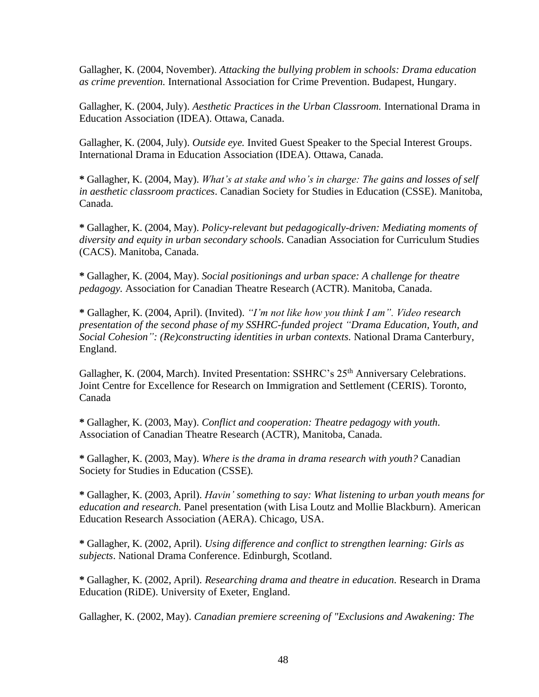Gallagher, K. (2004, November). *Attacking the bullying problem in schools: Drama education as crime prevention.* International Association for Crime Prevention. Budapest, Hungary.

Gallagher, K. (2004, July). *Aesthetic Practices in the Urban Classroom.* International Drama in Education Association (IDEA). Ottawa, Canada.

Gallagher, K. (2004, July). *Outside eye.* Invited Guest Speaker to the Special Interest Groups. International Drama in Education Association (IDEA). Ottawa, Canada.

**\*** Gallagher, K. (2004, May). *What's at stake and who's in charge: The gains and losses of self in aesthetic classroom practices.* Canadian Society for Studies in Education (CSSE). Manitoba, Canada.

**\*** Gallagher, K. (2004, May). *Policy-relevant but pedagogically-driven: Mediating moments of diversity and equity in urban secondary schools.* Canadian Association for Curriculum Studies (CACS). Manitoba, Canada.

**\*** Gallagher, K. (2004, May). *Social positionings and urban space: A challenge for theatre pedagogy.* Association for Canadian Theatre Research (ACTR). Manitoba, Canada.

**\*** Gallagher, K. (2004, April). (Invited). *"I'm not like how you think I am". Video research presentation of the second phase of my SSHRC-funded project "Drama Education, Youth, and Social Cohesion": (Re)constructing identities in urban contexts.* National Drama Canterbury, England.

Gallagher, K. (2004, March). Invited Presentation: SSHRC's 25<sup>th</sup> Anniversary Celebrations. Joint Centre for Excellence for Research on Immigration and Settlement (CERIS). Toronto, Canada

**\*** Gallagher, K. (2003, May). *Conflict and cooperation: Theatre pedagogy with youth.*  Association of Canadian Theatre Research (ACTR), Manitoba, Canada.

**\*** Gallagher, K. (2003, May). *Where is the drama in drama research with youth?* Canadian Society for Studies in Education (CSSE)*.* 

**\*** Gallagher, K. (2003, April). *Havin' something to say: What listening to urban youth means for education and research.* Panel presentation (with Lisa Loutz and Mollie Blackburn). American Education Research Association (AERA). Chicago, USA.

**\*** Gallagher, K. (2002, April). *Using difference and conflict to strengthen learning: Girls as subjects*. National Drama Conference. Edinburgh, Scotland.

**\*** Gallagher, K. (2002, April). *Researching drama and theatre in education.* Research in Drama Education (RiDE). University of Exeter, England.

Gallagher, K. (2002, May). *Canadian premiere screening of "Exclusions and Awakening: The*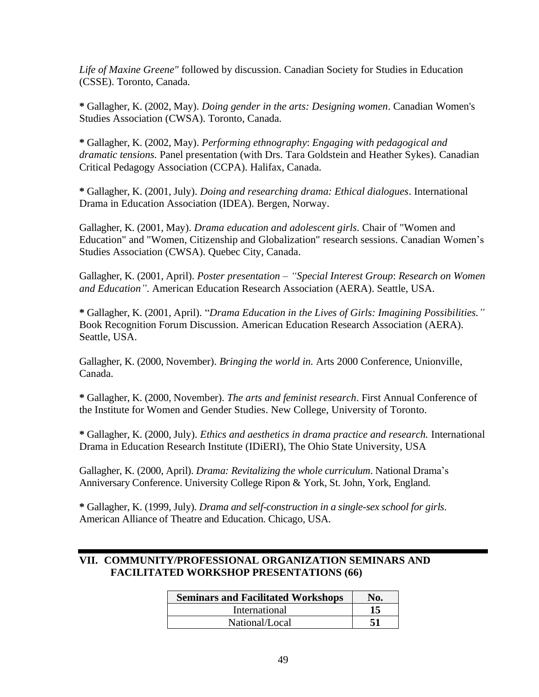*Life of Maxine Greene"* followed by discussion. Canadian Society for Studies in Education (CSSE). Toronto, Canada.

**\*** Gallagher, K. (2002, May). *Doing gender in the arts: Designing women*. Canadian Women's Studies Association (CWSA). Toronto, Canada.

**\*** Gallagher, K. (2002, May). *Performing ethnography*: *Engaging with pedagogical and dramatic tensions.* Panel presentation (with Drs. Tara Goldstein and Heather Sykes). Canadian Critical Pedagogy Association (CCPA). Halifax, Canada.

**\*** Gallagher, K. (2001, July). *Doing and researching drama: Ethical dialogues*. International Drama in Education Association (IDEA). Bergen, Norway.

Gallagher, K. (2001, May). *Drama education and adolescent girls.* Chair of "Women and Education" and "Women, Citizenship and Globalization" research sessions. Canadian Women's Studies Association (CWSA). Quebec City, Canada.

Gallagher, K. (2001, April). *Poster presentation – "Special Interest Group*: *Research on Women and Education"*. American Education Research Association (AERA). Seattle, USA.

**\*** Gallagher, K. (2001, April). "*Drama Education in the Lives of Girls: Imagining Possibilities."* Book Recognition Forum Discussion. American Education Research Association (AERA). Seattle, USA.

Gallagher, K. (2000, November). *Bringing the world in.* Arts 2000 Conference, Unionville, Canada.

**\*** Gallagher, K. (2000, November). *The arts and feminist research*. First Annual Conference of the Institute for Women and Gender Studies. New College, University of Toronto.

**\*** Gallagher, K. (2000, July). *Ethics and aesthetics in drama practice and research.* International Drama in Education Research Institute (IDiERI), The Ohio State University, USA

Gallagher, K. (2000, April). *Drama: Revitalizing the whole curriculum*. National Drama's Anniversary Conference. University College Ripon & York, St. John, York, England.

**\*** Gallagher, K. (1999, July). *Drama and self-construction in a single-sex school for girls.* American Alliance of Theatre and Education. Chicago, USA.

#### **VII. COMMUNITY/PROFESSIONAL ORGANIZATION SEMINARS AND FACILITATED WORKSHOP PRESENTATIONS (66)**

| <b>Seminars and Facilitated Workshops</b> | No. |
|-------------------------------------------|-----|
| International                             |     |
| National/Local                            |     |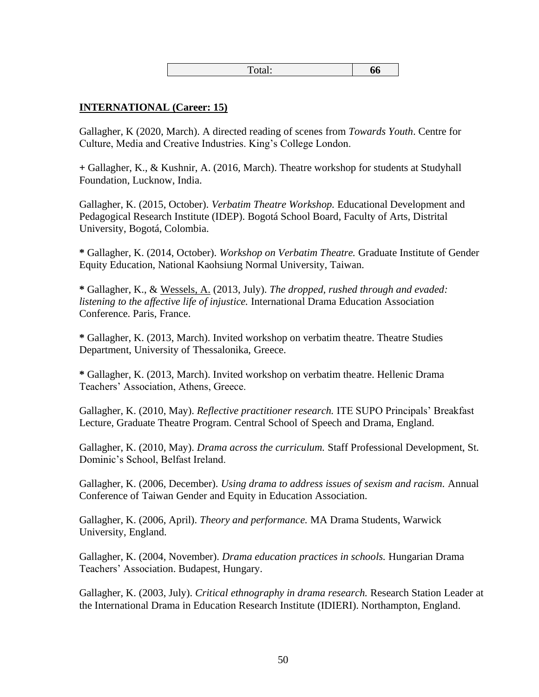| -<br>66<br>1 Otal. |
|--------------------|
|--------------------|

#### **INTERNATIONAL (Career: 15)**

Gallagher, K (2020, March). A directed reading of scenes from *Towards Youth*. Centre for Culture, Media and Creative Industries. King's College London.

**+** Gallagher, K., & Kushnir, A. (2016, March). Theatre workshop for students at Studyhall Foundation, Lucknow, India.

Gallagher, K. (2015, October). *Verbatim Theatre Workshop.* Educational Development and Pedagogical Research Institute (IDEP). Bogotá School Board, Faculty of Arts, Distrital University, Bogotá, Colombia.

**\*** Gallagher, K. (2014, October). *Workshop on Verbatim Theatre.* Graduate Institute of Gender Equity Education, National Kaohsiung Normal University, Taiwan.

**\*** Gallagher, K., & Wessels, A. (2013, July). *The dropped, rushed through and evaded: listening to the affective life of injustice.* International Drama Education Association Conference. Paris, France.

**\*** Gallagher, K. (2013, March). Invited workshop on verbatim theatre. Theatre Studies Department, University of Thessalonika, Greece.

**\*** Gallagher, K. (2013, March). Invited workshop on verbatim theatre. Hellenic Drama Teachers' Association, Athens, Greece.

Gallagher, K. (2010, May). *Reflective practitioner research.* ITE SUPO Principals' Breakfast Lecture, Graduate Theatre Program. Central School of Speech and Drama, England.

Gallagher, K. (2010, May). *Drama across the curriculum.* Staff Professional Development, St. Dominic's School, Belfast Ireland.

Gallagher, K. (2006, December). *Using drama to address issues of sexism and racism.* Annual Conference of Taiwan Gender and Equity in Education Association.

Gallagher, K. (2006, April). *Theory and performance.* MA Drama Students, Warwick University, England.

Gallagher, K. (2004, November). *Drama education practices in schools.* Hungarian Drama Teachers' Association. Budapest, Hungary.

Gallagher, K. (2003, July). *Critical ethnography in drama research.* Research Station Leader at the International Drama in Education Research Institute (IDIERI). Northampton, England.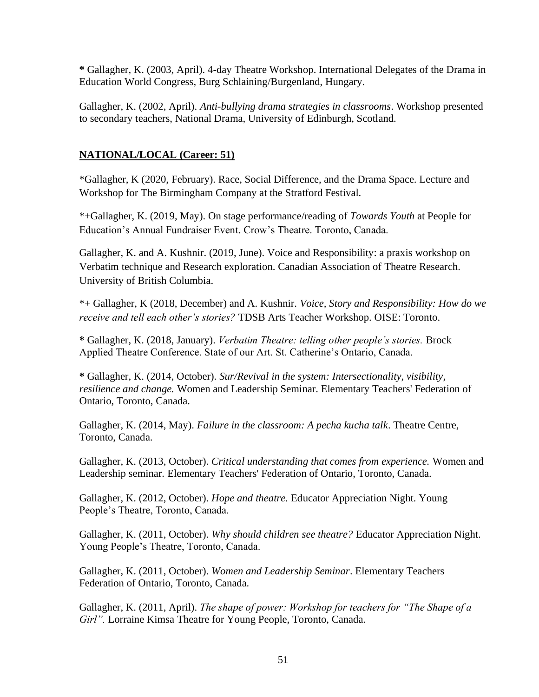**\*** Gallagher, K. (2003, April). 4-day Theatre Workshop. International Delegates of the Drama in Education World Congress, Burg Schlaining/Burgenland, Hungary.

Gallagher, K. (2002, April). *Anti-bullying drama strategies in classrooms*. Workshop presented to secondary teachers, National Drama, University of Edinburgh, Scotland.

## **NATIONAL/LOCAL (Career: 51)**

\*Gallagher, K (2020, February). Race, Social Difference, and the Drama Space. Lecture and Workshop for The Birmingham Company at the Stratford Festival.

\*+Gallagher, K. (2019, May). On stage performance/reading of *Towards Youth* at People for Education's Annual Fundraiser Event. Crow's Theatre. Toronto, Canada.

Gallagher, K. and A. Kushnir. (2019, June). [Voice and Responsibility: a praxis workshop on](https://catracrt2019.sched.com/event/70e325429542a246a243f352c31ce28b)  [Verbatim technique and Research exploration.](https://catracrt2019.sched.com/event/70e325429542a246a243f352c31ce28b) Canadian Association of Theatre Research. University of British Columbia.

\*+ Gallagher, K (2018, December) and A. Kushnir. *Voice, Story and Responsibility: How do we receive and tell each other's stories?* TDSB Arts Teacher Workshop. OISE: Toronto.

**\*** Gallagher, K. (2018, January). *Verbatim Theatre: telling other people's stories.* Brock Applied Theatre Conference. State of our Art. St. Catherine's Ontario, Canada.

**\*** Gallagher, K. (2014, October). *Sur/Revival in the system: Intersectionality, visibility, resilience and change.* Women and Leadership Seminar. Elementary Teachers' Federation of Ontario, Toronto, Canada.

Gallagher, K. (2014, May). *Failure in the classroom: A pecha kucha talk*. Theatre Centre, Toronto, Canada.

Gallagher, K. (2013, October). *Critical understanding that comes from experience.* Women and Leadership seminar. Elementary Teachers' Federation of Ontario, Toronto, Canada.

Gallagher, K. (2012, October). *Hope and theatre.* Educator Appreciation Night. Young People's Theatre, Toronto, Canada.

Gallagher, K. (2011, October). *Why should children see theatre?* Educator Appreciation Night. Young People's Theatre, Toronto, Canada.

Gallagher, K. (2011, October). *Women and Leadership Seminar*. Elementary Teachers Federation of Ontario, Toronto, Canada.

Gallagher, K. (2011, April). *The shape of power: Workshop for teachers for "The Shape of a Girl".* Lorraine Kimsa Theatre for Young People, Toronto, Canada.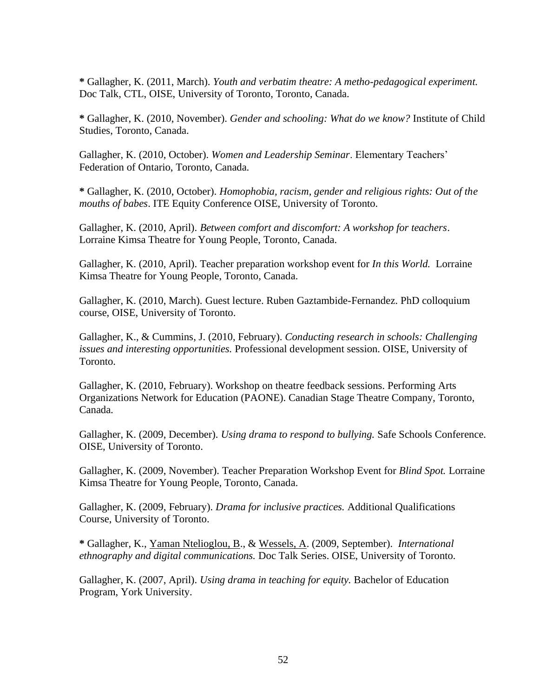**\*** Gallagher, K. (2011, March). *Youth and verbatim theatre: A metho-pedagogical experiment.*  Doc Talk, CTL, OISE, University of Toronto, Toronto, Canada.

**\*** Gallagher, K. (2010, November). *Gender and schooling: What do we know?* Institute of Child Studies, Toronto, Canada.

Gallagher, K. (2010, October). *Women and Leadership Seminar*. Elementary Teachers' Federation of Ontario, Toronto, Canada.

**\*** Gallagher, K. (2010, October). *Homophobia, racism, gender and religious rights: Out of the mouths of babes*. ITE Equity Conference OISE, University of Toronto.

Gallagher, K. (2010, April). *Between comfort and discomfort: A workshop for teachers*. Lorraine Kimsa Theatre for Young People, Toronto, Canada.

Gallagher, K. (2010, April). Teacher preparation workshop event for *In this World.* Lorraine Kimsa Theatre for Young People, Toronto, Canada.

Gallagher, K. (2010, March). Guest lecture. Ruben Gaztambide-Fernandez. PhD colloquium course, OISE, University of Toronto.

Gallagher, K., & Cummins, J. (2010, February). *Conducting research in schools: Challenging issues and interesting opportunities.* Professional development session. OISE, University of Toronto.

Gallagher, K. (2010, February). Workshop on theatre feedback sessions. Performing Arts Organizations Network for Education (PAONE). Canadian Stage Theatre Company, Toronto, Canada.

Gallagher, K. (2009, December). *Using drama to respond to bullying.* Safe Schools Conference. OISE, University of Toronto.

Gallagher, K. (2009, November). Teacher Preparation Workshop Event for *Blind Spot.* Lorraine Kimsa Theatre for Young People, Toronto, Canada.

Gallagher, K. (2009, February). *Drama for inclusive practices.* Additional Qualifications Course, University of Toronto.

**\*** Gallagher, K., Yaman Ntelioglou, B., & Wessels, A. (2009, September). *International ethnography and digital communications.* Doc Talk Series. OISE, University of Toronto.

Gallagher, K. (2007, April). *Using drama in teaching for equity.* Bachelor of Education Program, York University.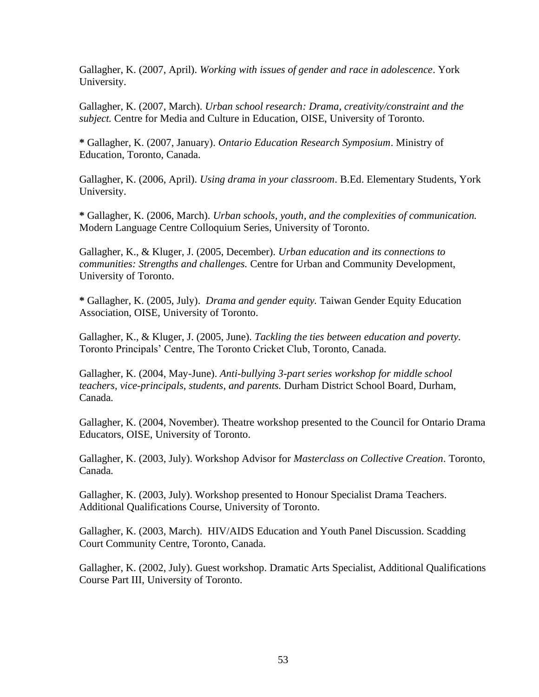Gallagher, K. (2007, April). *Working with issues of gender and race in adolescence*. York University.

Gallagher, K. (2007, March). *Urban school research: Drama, creativity/constraint and the subject.* Centre for Media and Culture in Education, OISE, University of Toronto.

**\*** Gallagher, K. (2007, January). *Ontario Education Research Symposium*. Ministry of Education, Toronto, Canada.

Gallagher, K. (2006, April). *Using drama in your classroom*. B.Ed. Elementary Students, York University.

**\*** Gallagher, K. (2006, March). *Urban schools, youth, and the complexities of communication.* Modern Language Centre Colloquium Series, University of Toronto.

Gallagher, K., & Kluger, J. (2005, December). *Urban education and its connections to communities: Strengths and challenges.* Centre for Urban and Community Development, University of Toronto.

**\*** Gallagher, K. (2005, July). *Drama and gender equity.* Taiwan Gender Equity Education Association, OISE, University of Toronto.

Gallagher, K., & Kluger, J. (2005, June). *Tackling the ties between education and poverty.* Toronto Principals' Centre, The Toronto Cricket Club, Toronto, Canada.

Gallagher, K. (2004, May-June). *Anti-bullying 3-part series workshop for middle school teachers, vice-principals, students, and parents.* Durham District School Board, Durham, Canada.

Gallagher, K. (2004, November). Theatre workshop presented to the Council for Ontario Drama Educators, OISE, University of Toronto.

Gallagher, K. (2003, July). Workshop Advisor for *Masterclass on Collective Creation*. Toronto, Canada.

Gallagher, K. (2003, July). Workshop presented to Honour Specialist Drama Teachers. Additional Qualifications Course, University of Toronto.

Gallagher, K. (2003, March). HIV/AIDS Education and Youth Panel Discussion. Scadding Court Community Centre, Toronto, Canada.

Gallagher, K. (2002, July). Guest workshop. Dramatic Arts Specialist, Additional Qualifications Course Part III, University of Toronto.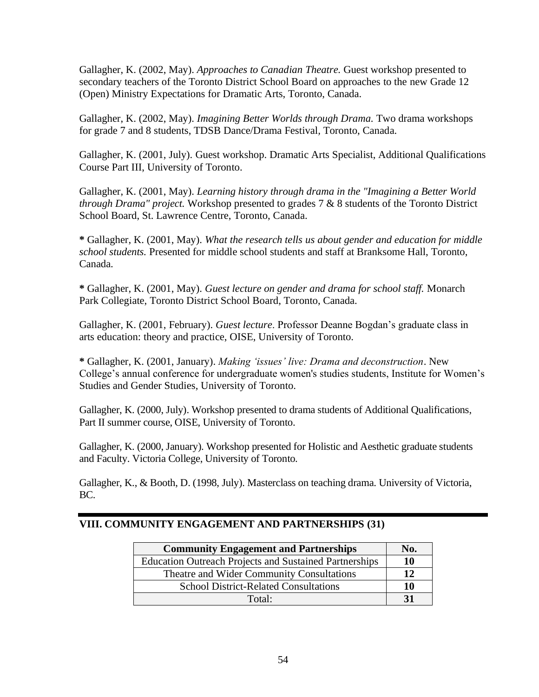Gallagher, K. (2002, May). *Approaches to Canadian Theatre.* Guest workshop presented to secondary teachers of the Toronto District School Board on approaches to the new Grade 12 (Open) Ministry Expectations for Dramatic Arts, Toronto, Canada.

Gallagher, K. (2002, May). *Imagining Better Worlds through Drama.* Two drama workshops for grade 7 and 8 students, TDSB Dance/Drama Festival*,* Toronto, Canada.

Gallagher, K. (2001, July). Guest workshop. Dramatic Arts Specialist, Additional Qualifications Course Part III, University of Toronto.

Gallagher, K. (2001, May). *Learning history through drama in the "Imagining a Better World through Drama" project.* Workshop presented to grades 7 & 8 students of the Toronto District School Board, St. Lawrence Centre, Toronto, Canada.

**\*** Gallagher, K. (2001, May). *What the research tells us about gender and education for middle school students.* Presented for middle school students and staff at Branksome Hall, Toronto, Canada.

**\*** Gallagher, K. (2001, May). *Guest lecture on gender and drama for school staff.* Monarch Park Collegiate, Toronto District School Board, Toronto, Canada.

Gallagher, K. (2001, February). *Guest lecture*. Professor Deanne Bogdan's graduate class in arts education: theory and practice, OISE, University of Toronto.

**\*** Gallagher, K. (2001, January). *Making 'issues' live: Drama and deconstruction*. New College's annual conference for undergraduate women's studies students, Institute for Women's Studies and Gender Studies, University of Toronto.

Gallagher, K. (2000, July). Workshop presented to drama students of Additional Qualifications, Part II summer course, OISE, University of Toronto.

Gallagher, K. (2000, January). Workshop presented for Holistic and Aesthetic graduate students and Faculty. Victoria College, University of Toronto.

Gallagher, K., & Booth, D. (1998, July). Masterclass on teaching drama. University of Victoria, BC.

| <b>Community Engagement and Partnerships</b>                  |           |
|---------------------------------------------------------------|-----------|
| <b>Education Outreach Projects and Sustained Partnerships</b> | 10        |
| Theatre and Wider Community Consultations                     | 12        |
| <b>School District-Related Consultations</b>                  | 10        |
| Total:                                                        | <b>31</b> |

## **VIII. COMMUNITY ENGAGEMENT AND PARTNERSHIPS (31)**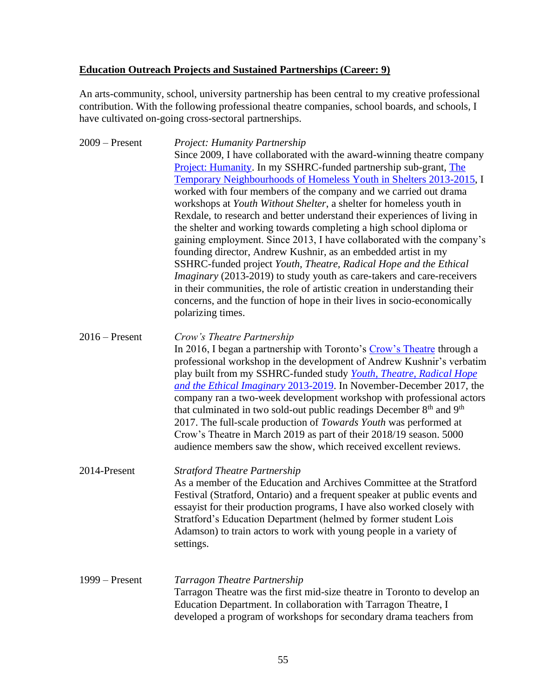## **Education Outreach Projects and Sustained Partnerships (Career: 9)**

An arts-community, school, university partnership has been central to my creative professional contribution. With the following professional theatre companies, school boards, and schools, I have cultivated on-going cross-sectoral partnerships.

2009 – Present *Project: Humanity Partnership* Since 2009, I have collaborated with the award-winning theatre company [Project: Humanity.](http://www.projecthumanity.ca/) In my SSHRC-funded partnership sub-grant, [The](http://www.oise.utoronto.ca/dr/Research_Projects/Neighbourhood_Change_Research_Partnership/index.html)  [Temporary Neighbourhoods of Homeless Youth in Shelters 2013-2015,](http://www.oise.utoronto.ca/dr/Research_Projects/Neighbourhood_Change_Research_Partnership/index.html) I worked with four members of the company and we carried out drama workshops at *Youth Without Shelter*, a shelter for homeless youth in Rexdale, to research and better understand their experiences of living in the shelter and working towards completing a high school diploma or gaining employment. Since 2013, I have collaborated with the company's founding director, Andrew Kushnir, as an embedded artist in my SSHRC-funded project *Youth, Theatre, Radical Hope and the Ethical Imaginary* (2013-2019) to study youth as care-takers and care-receivers in their communities, the role of artistic creation in understanding their concerns, and the function of hope in their lives in socio-economically polarizing times.

2016 – Present *Crow's Theatre Partnership*  In 2016, I began a partnership with Toronto's [Crow's Theatre](https://www.crowstheatre.com/) through a professional workshop in the development of Andrew Kushnir's verbatim play built from my SSHRC-funded study *[Youth, Theatre, Radical Hope](http://www.oise.utoronto.ca/dr/Research_Projects/Youth_Theatre_Radical_Hope_and_the_Ethical_Imaginary/index.html)  [and the Ethical Imaginary](http://www.oise.utoronto.ca/dr/Research_Projects/Youth_Theatre_Radical_Hope_and_the_Ethical_Imaginary/index.html)* 2013-2019. In November-December 2017, the company ran a two-week development workshop with professional actors that culminated in two sold-out public readings December  $8<sup>th</sup>$  and  $9<sup>th</sup>$ 2017. The full-scale production of *Towards Youth* was performed at Crow's Theatre in March 2019 as part of their 2018/19 season. 5000 audience members saw the show, which received excellent reviews.

2014-Present *Stratford Theatre Partnership* As a member of the Education and Archives Committee at the Stratford Festival (Stratford, Ontario) and a frequent speaker at public events and essayist for their production programs, I have also worked closely with Stratford's Education Department (helmed by former student Lois Adamson) to train actors to work with young people in a variety of settings.

## 1999 – Present *Tarragon Theatre Partnership* Tarragon Theatre was the first mid-size theatre in Toronto to develop an Education Department. In collaboration with Tarragon Theatre, I developed a program of workshops for secondary drama teachers from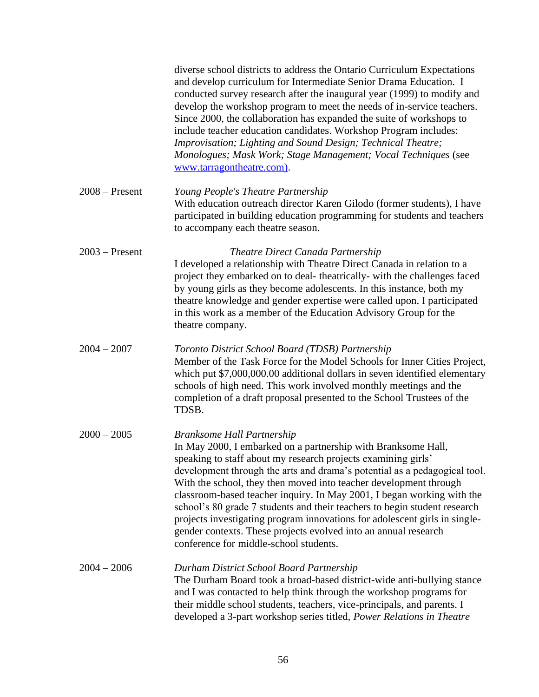|                  | diverse school districts to address the Ontario Curriculum Expectations<br>and develop curriculum for Intermediate Senior Drama Education. I<br>conducted survey research after the inaugural year (1999) to modify and<br>develop the workshop program to meet the needs of in-service teachers.<br>Since 2000, the collaboration has expanded the suite of workshops to<br>include teacher education candidates. Workshop Program includes:<br>Improvisation; Lighting and Sound Design; Technical Theatre;<br>Monologues; Mask Work; Stage Management; Vocal Techniques (see<br>www.tarragontheatre.com).                                                            |
|------------------|-------------------------------------------------------------------------------------------------------------------------------------------------------------------------------------------------------------------------------------------------------------------------------------------------------------------------------------------------------------------------------------------------------------------------------------------------------------------------------------------------------------------------------------------------------------------------------------------------------------------------------------------------------------------------|
| $2008 -$ Present | Young People's Theatre Partnership<br>With education outreach director Karen Gilodo (former students), I have<br>participated in building education programming for students and teachers<br>to accompany each theatre season.                                                                                                                                                                                                                                                                                                                                                                                                                                          |
| $2003$ – Present | Theatre Direct Canada Partnership<br>I developed a relationship with Theatre Direct Canada in relation to a<br>project they embarked on to deal- theatrically- with the challenges faced<br>by young girls as they become adolescents. In this instance, both my<br>theatre knowledge and gender expertise were called upon. I participated<br>in this work as a member of the Education Advisory Group for the<br>theatre company.                                                                                                                                                                                                                                     |
| $2004 - 2007$    | Toronto District School Board (TDSB) Partnership<br>Member of the Task Force for the Model Schools for Inner Cities Project,<br>which put \$7,000,000.00 additional dollars in seven identified elementary<br>schools of high need. This work involved monthly meetings and the<br>completion of a draft proposal presented to the School Trustees of the<br>TDSB.                                                                                                                                                                                                                                                                                                      |
| $2000 - 2005$    | <b>Branksome Hall Partnership</b><br>In May 2000, I embarked on a partnership with Branksome Hall,<br>speaking to staff about my research projects examining girls'<br>development through the arts and drama's potential as a pedagogical tool.<br>With the school, they then moved into teacher development through<br>classroom-based teacher inquiry. In May 2001, I began working with the<br>school's 80 grade 7 students and their teachers to begin student research<br>projects investigating program innovations for adolescent girls in single-<br>gender contexts. These projects evolved into an annual research<br>conference for middle-school students. |
| $2004 - 2006$    | Durham District School Board Partnership<br>The Durham Board took a broad-based district-wide anti-bullying stance<br>and I was contacted to help think through the workshop programs for<br>their middle school students, teachers, vice-principals, and parents. I<br>developed a 3-part workshop series titled, Power Relations in Theatre                                                                                                                                                                                                                                                                                                                           |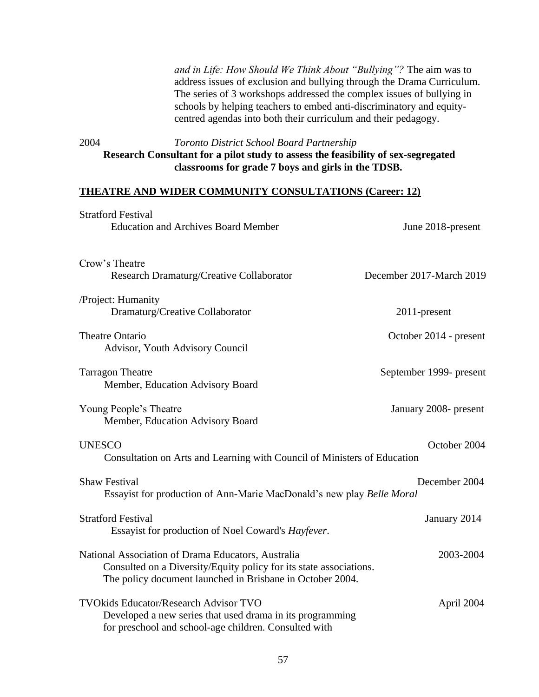*and in Life: How Should We Think About "Bullying"?* The aim was to address issues of exclusion and bullying through the Drama Curriculum. The series of 3 workshops addressed the complex issues of bullying in schools by helping teachers to embed anti-discriminatory and equitycentred agendas into both their curriculum and their pedagogy.

2004 *Toronto District School Board Partnership* **Research Consultant for a pilot study to assess the feasibility of sex-segregated classrooms for grade 7 boys and girls in the TDSB.**

#### **THEATRE AND WIDER COMMUNITY CONSULTATIONS (Career: 12)**

| <b>Stratford Festival</b>                                                                                                                                                             |                          |
|---------------------------------------------------------------------------------------------------------------------------------------------------------------------------------------|--------------------------|
| <b>Education and Archives Board Member</b>                                                                                                                                            | June 2018-present        |
| Crow's Theatre<br>Research Dramaturg/Creative Collaborator                                                                                                                            | December 2017-March 2019 |
| /Project: Humanity<br>Dramaturg/Creative Collaborator                                                                                                                                 | 2011-present             |
| <b>Theatre Ontario</b><br>Advisor, Youth Advisory Council                                                                                                                             | October 2014 - present   |
| <b>Tarragon Theatre</b><br>Member, Education Advisory Board                                                                                                                           | September 1999- present  |
| Young People's Theatre<br>Member, Education Advisory Board                                                                                                                            | January 2008- present    |
| <b>UNESCO</b><br>Consultation on Arts and Learning with Council of Ministers of Education                                                                                             | October 2004             |
| <b>Shaw Festival</b><br>Essayist for production of Ann-Marie MacDonald's new play Belle Moral                                                                                         | December 2004            |
| <b>Stratford Festival</b><br>Essayist for production of Noel Coward's Hayfever.                                                                                                       | January 2014             |
| National Association of Drama Educators, Australia<br>Consulted on a Diversity/Equity policy for its state associations.<br>The policy document launched in Brisbane in October 2004. | 2003-2004                |
| <b>TVOkids Educator/Research Advisor TVO</b><br>Developed a new series that used drama in its programming<br>for preschool and school-age children. Consulted with                    | April 2004               |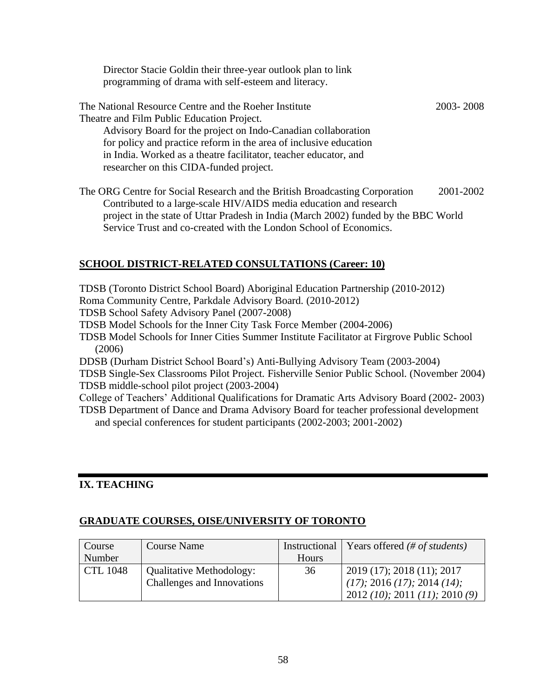Director Stacie Goldin their three-year outlook plan to link programming of drama with self-esteem and literacy.

| The National Resource Centre and the Roeher Institute             | 2003-2008 |
|-------------------------------------------------------------------|-----------|
| Theatre and Film Public Education Project.                        |           |
| Advisory Board for the project on Indo-Canadian collaboration     |           |
| for policy and practice reform in the area of inclusive education |           |
| in India. Worked as a theatre facilitator, teacher educator, and  |           |
| researcher on this CIDA-funded project.                           |           |
|                                                                   |           |

The ORG Centre for Social Research and the British Broadcasting Corporation 2001-2002 Contributed to a large-scale HIV/AIDS media education and research project in the state of Uttar Pradesh in India (March 2002) funded by the BBC World Service Trust and co-created with the London School of Economics.

# **SCHOOL DISTRICT-RELATED CONSULTATIONS (Career: 10)**

TDSB (Toronto District School Board) Aboriginal Education Partnership (2010-2012) Roma Community Centre, Parkdale Advisory Board. (2010-2012) TDSB School Safety Advisory Panel (2007-2008) TDSB Model Schools for the Inner City Task Force Member (2004-2006) TDSB Model Schools for Inner Cities Summer Institute Facilitator at Firgrove Public School (2006) DDSB (Durham District School Board's) Anti-Bullying Advisory Team (2003-2004) TDSB Single-Sex Classrooms Pilot Project. Fisherville Senior Public School. (November 2004) TDSB middle-school pilot project (2003-2004) College of Teachers' Additional Qualifications for Dramatic Arts Advisory Board (2002- 2003)

TDSB Department of Dance and Drama Advisory Board for teacher professional development and special conferences for student participants (2002-2003; 2001-2002)

## **IX. TEACHING**

## **GRADUATE COURSES, OISE/UNIVERSITY OF TORONTO**

| Course          | <b>Course Name</b>         |              | Instructional   Years offered $(\# of students)$ |
|-----------------|----------------------------|--------------|--------------------------------------------------|
| Number          |                            | <b>Hours</b> |                                                  |
| <b>CTL 1048</b> | Qualitative Methodology:   | 36           | $2019(17)$ ; 2018 (11); 2017                     |
|                 | Challenges and Innovations |              | $(17)$ ; 2016 $(17)$ ; 2014 $(14)$ ;             |
|                 |                            |              | 2012 (10); 2011 (11); 2010 (9)                   |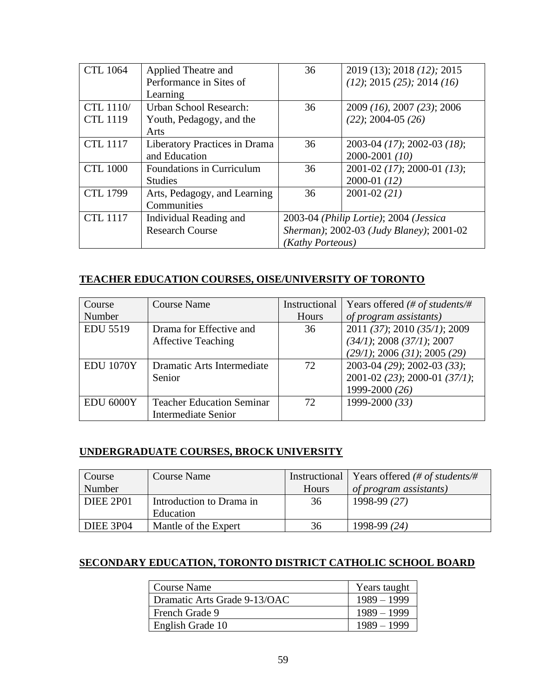| <b>CTL 1064</b>  | Applied Theatre and              | 36                                       | 2019 (13); 2018 (12); 2015      |
|------------------|----------------------------------|------------------------------------------|---------------------------------|
|                  | Performance in Sites of          |                                          | (12); 2015 (25); 2014 (16)      |
|                  | Learning                         |                                          |                                 |
| <b>CTL 1110/</b> | <b>Urban School Research:</b>    | 36                                       | 2009 (16), 2007 (23); 2006      |
| <b>CTL 1119</b>  | Youth, Pedagogy, and the         |                                          | $(22); 2004-05 (26)$            |
|                  | Arts                             |                                          |                                 |
| <b>CTL 1117</b>  | Liberatory Practices in Drama    | 36                                       | 2003-04 (17); 2002-03 (18);     |
|                  | and Education                    |                                          | 2000-2001 (10)                  |
| <b>CTL 1000</b>  | <b>Foundations in Curriculum</b> | 36                                       | $2001 - 02$ (17); 2000-01 (13); |
|                  | <b>Studies</b>                   |                                          | $2000-01(12)$                   |
| <b>CTL 1799</b>  | Arts, Pedagogy, and Learning     | 36                                       | $2001 - 02(21)$                 |
|                  | Communities                      |                                          |                                 |
| <b>CTL 1117</b>  | Individual Reading and           | 2003-04 (Philip Lortie); 2004 (Jessica   |                                 |
|                  | <b>Research Course</b>           | Sherman); 2002-03 (Judy Blaney); 2001-02 |                                 |
|                  |                                  | (Kathy Porteous)                         |                                 |

# **TEACHER EDUCATION COURSES, OISE/UNIVERSITY OF TORONTO**

| Course           | <b>Course Name</b>               | Instructional | Years offered (# of students/#    |
|------------------|----------------------------------|---------------|-----------------------------------|
| Number           |                                  | Hours         | of program assistants)            |
| <b>EDU 5519</b>  | Drama for Effective and          | 36            | 2011 (37); 2010 (35/1); 2009      |
|                  | <b>Affective Teaching</b>        |               | (34/1); 2008 (37/1); 2007         |
|                  |                                  |               | (29/1); 2006 (31); 2005 (29)      |
| <b>EDU 1070Y</b> | Dramatic Arts Intermediate       | 72            | 2003-04 (29); 2002-03 (33);       |
|                  | Senior                           |               | $2001 - 02$ (23); 2000-01 (37/1); |
|                  |                                  |               | 1999-2000 (26)                    |
| EDU 6000Y        | <b>Teacher Education Seminar</b> | 72            | 1999-2000 (33)                    |
|                  | <b>Intermediate Senior</b>       |               |                                   |

# **UNDERGRADUATE COURSES, BROCK UNIVERSITY**

| Course           | Course Name              | Instructional | Years offered (# of students/# |
|------------------|--------------------------|---------------|--------------------------------|
| Number           |                          | <b>Hours</b>  | of program assistants)         |
| DIEE 2P01        | Introduction to Drama in | 36            | 1998-99 (27)                   |
|                  | Education                |               |                                |
| <b>DIEE 3P04</b> | Mantle of the Expert     | 36            | 1998-99 (24)                   |

# **SECONDARY EDUCATION, TORONTO DISTRICT CATHOLIC SCHOOL BOARD**

| <b>Course Name</b>           | Years taught  |
|------------------------------|---------------|
| Dramatic Arts Grade 9-13/OAC | $1989 - 1999$ |
| French Grade 9               | $1989 - 1999$ |
| English Grade 10             | $1989 - 1999$ |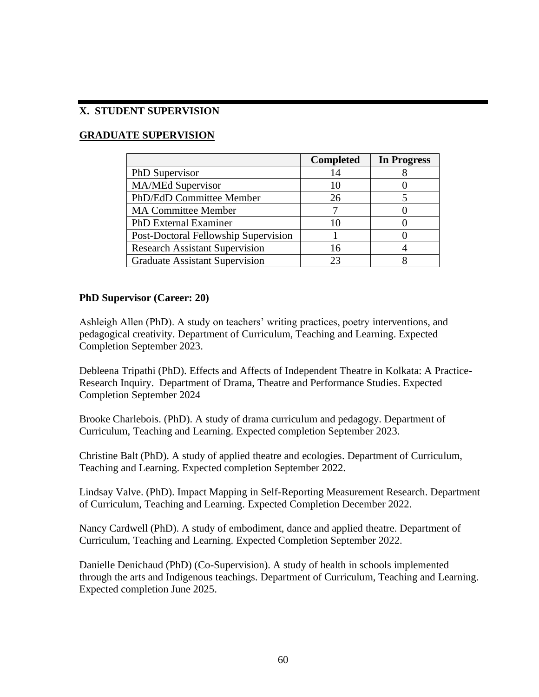## **X. STUDENT SUPERVISION**

# **GRADUATE SUPERVISION**

|                                       | <b>Completed</b> | <b>In Progress</b> |
|---------------------------------------|------------------|--------------------|
| PhD Supervisor                        | 14               |                    |
| <b>MA/MEd Supervisor</b>              | 10               |                    |
| PhD/EdD Committee Member              | 26               |                    |
| <b>MA Committee Member</b>            |                  |                    |
| <b>PhD</b> External Examiner          | 10               |                    |
| Post-Doctoral Fellowship Supervision  |                  |                    |
| <b>Research Assistant Supervision</b> | 16               |                    |
| <b>Graduate Assistant Supervision</b> | 23               |                    |

#### **PhD Supervisor (Career: 20)**

Ashleigh Allen (PhD). A study on teachers' writing practices, poetry interventions, and pedagogical creativity. Department of Curriculum, Teaching and Learning. Expected Completion September 2023.

Debleena Tripathi (PhD). Effects and Affects of Independent Theatre in Kolkata: A Practice-Research Inquiry. Department of Drama, Theatre and Performance Studies. Expected Completion September 2024

Brooke Charlebois. (PhD). A study of drama curriculum and pedagogy. Department of Curriculum, Teaching and Learning. Expected completion September 2023.

Christine Balt (PhD). A study of applied theatre and ecologies. Department of Curriculum, Teaching and Learning. Expected completion September 2022.

Lindsay Valve. (PhD). Impact Mapping in Self-Reporting Measurement Research. Department of Curriculum, Teaching and Learning. Expected Completion December 2022.

Nancy Cardwell (PhD). A study of embodiment, dance and applied theatre. Department of Curriculum, Teaching and Learning. Expected Completion September 2022.

Danielle Denichaud (PhD) (Co-Supervision). A study of health in schools implemented through the arts and Indigenous teachings. Department of Curriculum, Teaching and Learning. Expected completion June 2025.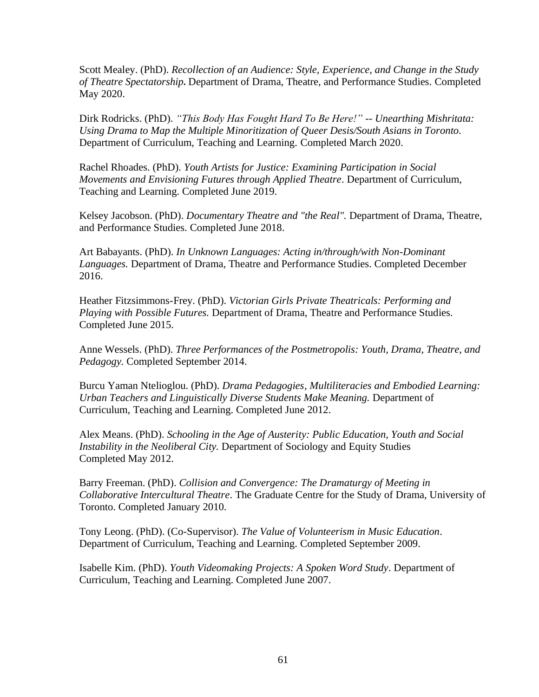Scott Mealey. (PhD). *Recollection of an Audience: Style, Experience, and Change in the Study of Theatre Spectatorship.* Department of Drama, Theatre, and Performance Studies. Completed May 2020.

Dirk Rodricks. (PhD). *"This Body Has Fought Hard To Be Here!" -- Unearthing Mishritata: Using Drama to Map the Multiple Minoritization of Queer Desis/South Asians in Toronto.* Department of Curriculum, Teaching and Learning. Completed March 2020.

Rachel Rhoades. (PhD). *Youth Artists for Justice: Examining Participation in Social Movements and Envisioning Futures through Applied Theatre*. Department of Curriculum, Teaching and Learning. Completed June 2019.

Kelsey Jacobson. (PhD). *Documentary Theatre and "the Real".* Department of Drama, Theatre, and Performance Studies. Completed June 2018.

Art Babayants. (PhD). *In Unknown Languages: Acting in/through/with Non-Dominant Languages.* Department of Drama, Theatre and Performance Studies. Completed December 2016.

Heather Fitzsimmons-Frey. (PhD). *Victorian Girls Private Theatricals: Performing and Playing with Possible Futures.* Department of Drama, Theatre and Performance Studies. Completed June 2015.

Anne Wessels. (PhD). *Three Performances of the Postmetropolis: Youth, Drama, Theatre, and Pedagogy.* Completed September 2014.

Burcu Yaman Ntelioglou. (PhD). *Drama Pedagogies, Multiliteracies and Embodied Learning: Urban Teachers and Linguistically Diverse Students Make Meaning.* Department of Curriculum, Teaching and Learning. Completed June 2012.

Alex Means. (PhD). *Schooling in the Age of Austerity: Public Education, Youth and Social Instability in the Neoliberal City.* Department of Sociology and Equity Studies Completed May 2012.

Barry Freeman. (PhD). *Collision and Convergence: The Dramaturgy of Meeting in Collaborative Intercultural Theatre*. The Graduate Centre for the Study of Drama, University of Toronto. Completed January 2010.

Tony Leong. (PhD). (Co-Supervisor). *The Value of Volunteerism in Music Education*. Department of Curriculum, Teaching and Learning. Completed September 2009.

Isabelle Kim. (PhD). *Youth Videomaking Projects: A Spoken Word Study*. Department of Curriculum, Teaching and Learning. Completed June 2007.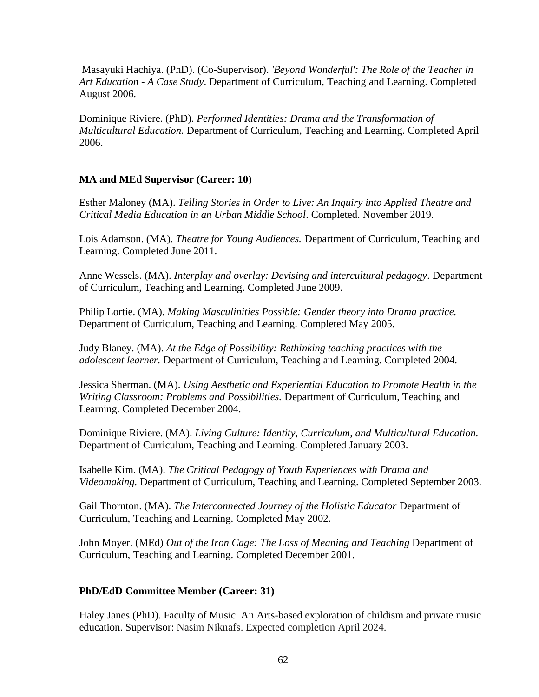Masayuki Hachiya. (PhD). (Co-Supervisor). *'Beyond Wonderful': The Role of the Teacher in Art Education - A Case Study*. Department of Curriculum, Teaching and Learning. Completed August 2006.

Dominique Riviere. (PhD). *Performed Identities: Drama and the Transformation of Multicultural Education.* Department of Curriculum, Teaching and Learning. Completed April 2006.

## **MA and MEd Supervisor (Career: 10)**

Esther Maloney (MA). *Telling Stories in Order to Live: An Inquiry into Applied Theatre and Critical Media Education in an Urban Middle School*. Completed. November 2019.

Lois Adamson. (MA). *Theatre for Young Audiences.* Department of Curriculum, Teaching and Learning. Completed June 2011.

Anne Wessels. (MA). *Interplay and overlay: Devising and intercultural pedagogy*. Department of Curriculum, Teaching and Learning. Completed June 2009.

Philip Lortie. (MA). *Making Masculinities Possible: Gender theory into Drama practice.* Department of Curriculum, Teaching and Learning. Completed May 2005.

Judy Blaney. (MA). *At the Edge of Possibility: Rethinking teaching practices with the adolescent learner.* Department of Curriculum, Teaching and Learning. Completed 2004.

Jessica Sherman. (MA). *Using Aesthetic and Experiential Education to Promote Health in the Writing Classroom: Problems and Possibilities.* Department of Curriculum, Teaching and Learning. Completed December 2004.

Dominique Riviere. (MA). *Living Culture: Identity, Curriculum, and Multicultural Education.* Department of Curriculum, Teaching and Learning. Completed January 2003.

Isabelle Kim. (MA). *The Critical Pedagogy of Youth Experiences with Drama and Videomaking.* Department of Curriculum, Teaching and Learning. Completed September 2003.

Gail Thornton. (MA). *The Interconnected Journey of the Holistic Educator* Department of Curriculum, Teaching and Learning. Completed May 2002.

John Moyer. (MEd) *Out of the Iron Cage: The Loss of Meaning and Teaching* Department of Curriculum, Teaching and Learning. Completed December 2001.

## **PhD/EdD Committee Member (Career: 31)**

Haley Janes (PhD). Faculty of Music. An Arts-based exploration of childism and private music education. Supervisor: Nasim Niknafs. Expected completion April 2024.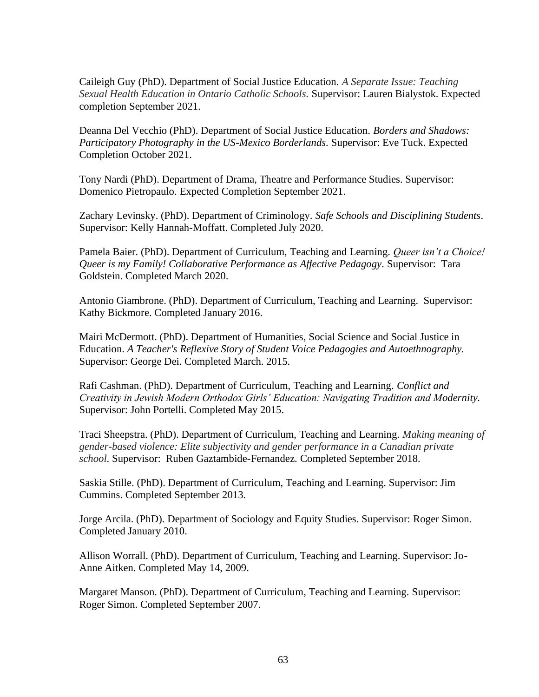Caileigh Guy (PhD). Department of Social Justice Education. *A Separate Issue: Teaching Sexual Health Education in Ontario Catholic Schools.* Supervisor: Lauren Bialystok. Expected completion September 2021.

Deanna Del Vecchio (PhD). Department of Social Justice Education. *Borders and Shadows: Participatory Photography in the US-Mexico Borderlands.* Supervisor: Eve Tuck. Expected Completion October 2021.

Tony Nardi (PhD). Department of Drama, Theatre and Performance Studies. Supervisor: Domenico Pietropaulo. Expected Completion September 2021.

Zachary Levinsky. (PhD). Department of Criminology. *Safe Schools and Disciplining Students*. Supervisor: Kelly Hannah-Moffatt. Completed July 2020.

Pamela Baier. (PhD). Department of Curriculum, Teaching and Learning. *Queer isn't a Choice! Queer is my Family! Collaborative Performance as Affective Pedagogy.* Supervisor: Tara Goldstein. Completed March 2020.

Antonio Giambrone. (PhD). Department of Curriculum, Teaching and Learning. Supervisor: Kathy Bickmore. Completed January 2016.

Mairi McDermott. (PhD). Department of Humanities, Social Science and Social Justice in Education. *A Teacher's Reflexive Story of Student Voice Pedagogies and Autoethnography.* Supervisor: George Dei. Completed March. 2015.

Rafi Cashman. (PhD). Department of Curriculum, Teaching and Learning. *Conflict and Creativity in Jewish Modern Orthodox Girls' Education: Navigating Tradition and Modernity.* Supervisor: John Portelli. Completed May 2015.

Traci Sheepstra. (PhD). Department of Curriculum, Teaching and Learning. *Making meaning of gender-based violence: Elite subjectivity and gender performance in a Canadian private school*. Supervisor: Ruben Gaztambide-Fernandez. Completed September 2018.

Saskia Stille. (PhD). Department of Curriculum, Teaching and Learning. Supervisor: Jim Cummins. Completed September 2013.

Jorge Arcila. (PhD). Department of Sociology and Equity Studies. Supervisor: Roger Simon. Completed January 2010.

Allison Worrall. (PhD). Department of Curriculum, Teaching and Learning. Supervisor: Jo-Anne Aitken. Completed May 14, 2009.

Margaret Manson. (PhD). Department of Curriculum, Teaching and Learning. Supervisor: Roger Simon. Completed September 2007.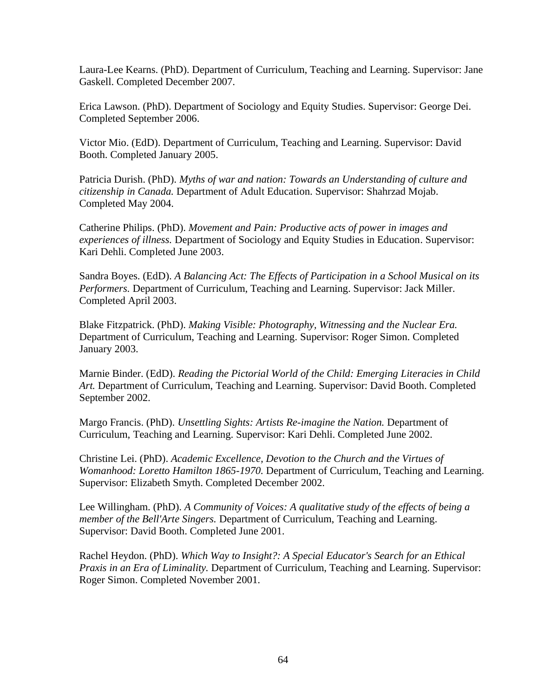Laura-Lee Kearns. (PhD). Department of Curriculum, Teaching and Learning. Supervisor: Jane Gaskell. Completed December 2007.

Erica Lawson. (PhD). Department of Sociology and Equity Studies. Supervisor: George Dei. Completed September 2006.

Victor Mio. (EdD). Department of Curriculum, Teaching and Learning. Supervisor: David Booth. Completed January 2005.

Patricia Durish. (PhD). *Myths of war and nation: Towards an Understanding of culture and citizenship in Canada.* Department of Adult Education. Supervisor: Shahrzad Mojab. Completed May 2004.

Catherine Philips. (PhD). *Movement and Pain: Productive acts of power in images and experiences of illness.* Department of Sociology and Equity Studies in Education. Supervisor: Kari Dehli. Completed June 2003.

Sandra Boyes. (EdD). *A Balancing Act: The Effects of Participation in a School Musical on its Performers.* Department of Curriculum, Teaching and Learning. Supervisor: Jack Miller. Completed April 2003.

Blake Fitzpatrick. (PhD). *Making Visible: Photography, Witnessing and the Nuclear Era.*  Department of Curriculum, Teaching and Learning. Supervisor: Roger Simon. Completed January 2003.

Marnie Binder. (EdD). *Reading the Pictorial World of the Child: Emerging Literacies in Child Art.* Department of Curriculum, Teaching and Learning. Supervisor: David Booth. Completed September 2002.

Margo Francis. (PhD). *Unsettling Sights: Artists Re-imagine the Nation.* Department of Curriculum, Teaching and Learning. Supervisor: Kari Dehli. Completed June 2002.

Christine Lei. (PhD). *Academic Excellence, Devotion to the Church and the Virtues of Womanhood: Loretto Hamilton 1865-1970.* Department of Curriculum, Teaching and Learning. Supervisor: Elizabeth Smyth. Completed December 2002.

Lee Willingham. (PhD). *A Community of Voices: A qualitative study of the effects of being a member of the Bell'Arte Singers.* Department of Curriculum, Teaching and Learning. Supervisor: David Booth. Completed June 2001.

Rachel Heydon. (PhD). *Which Way to Insight?: A Special Educator's Search for an Ethical Praxis in an Era of Liminality.* Department of Curriculum, Teaching and Learning. Supervisor: Roger Simon. Completed November 2001.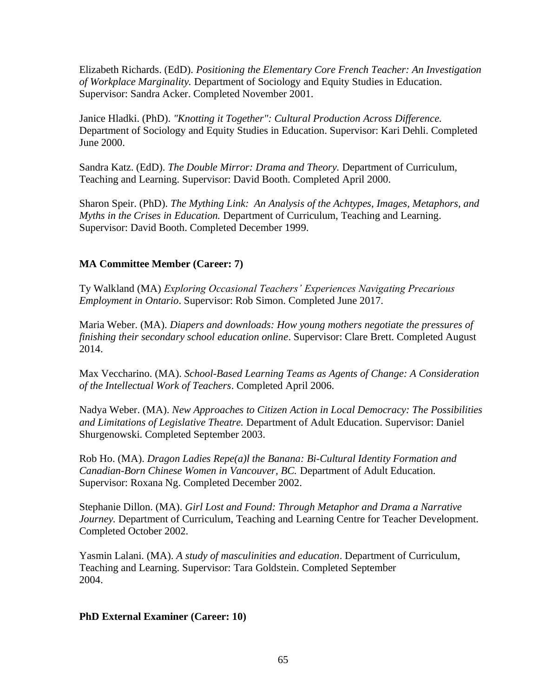Elizabeth Richards. (EdD). *Positioning the Elementary Core French Teacher: An Investigation of Workplace Marginality.* Department of Sociology and Equity Studies in Education. Supervisor: Sandra Acker. Completed November 2001.

Janice Hladki. (PhD). *"Knotting it Together": Cultural Production Across Difference.* Department of Sociology and Equity Studies in Education. Supervisor: Kari Dehli. Completed June 2000.

Sandra Katz. (EdD). *The Double Mirror: Drama and Theory.* Department of Curriculum, Teaching and Learning. Supervisor: David Booth. Completed April 2000.

Sharon Speir. (PhD). *The Mything Link: An Analysis of the Achtypes, Images, Metaphors, and Myths in the Crises in Education.* Department of Curriculum, Teaching and Learning. Supervisor: David Booth. Completed December 1999.

## **MA Committee Member (Career: 7)**

Ty Walkland (MA) *Exploring Occasional Teachers' Experiences Navigating Precarious Employment in Ontario*. Supervisor: Rob Simon. Completed June 2017.

Maria Weber. (MA). *Diapers and downloads: How young mothers negotiate the pressures of finishing their secondary school education online*. Supervisor: Clare Brett. Completed August 2014.

Max Veccharino. (MA). *School-Based Learning Teams as Agents of Change: A Consideration of the Intellectual Work of Teachers*. Completed April 2006.

Nadya Weber. (MA). *New Approaches to Citizen Action in Local Democracy: The Possibilities and Limitations of Legislative Theatre.* Department of Adult Education. Supervisor: Daniel Shurgenowski. Completed September 2003.

Rob Ho. (MA). *Dragon Ladies Repe(a)l the Banana: Bi-Cultural Identity Formation and Canadian-Born Chinese Women in Vancouver, BC.* Department of Adult Education. Supervisor: Roxana Ng. Completed December 2002.

Stephanie Dillon. (MA). *Girl Lost and Found: Through Metaphor and Drama a Narrative Journey.* Department of Curriculum, Teaching and Learning Centre for Teacher Development. Completed October 2002.

Yasmin Lalani. (MA). *A study of masculinities and education*. Department of Curriculum, Teaching and Learning. Supervisor: Tara Goldstein. Completed September 2004.

## **PhD External Examiner (Career: 10)**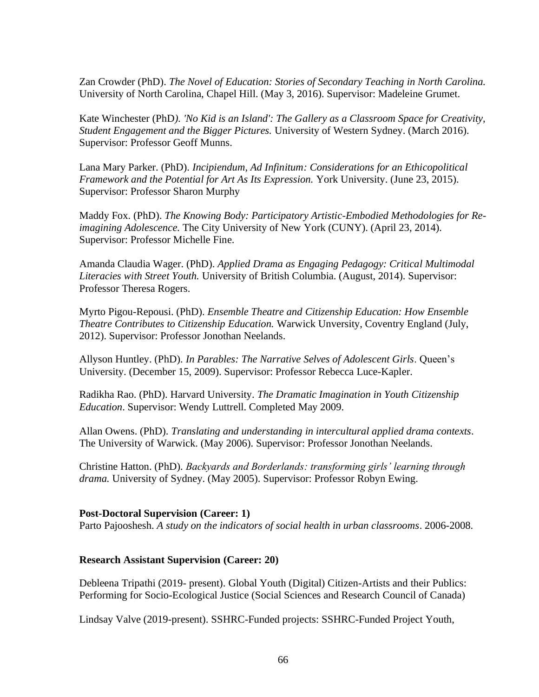Zan Crowder (PhD). *The Novel of Education: Stories of Secondary Teaching in North Carolina.*  University of North Carolina, Chapel Hill. (May 3, 2016). Supervisor: Madeleine Grumet.

Kate Winchester (PhD*). 'No Kid is an Island': The Gallery as a Classroom Space for Creativity, Student Engagement and the Bigger Pictures.* University of Western Sydney. (March 2016). Supervisor: Professor Geoff Munns.

Lana Mary Parker. (PhD). *Incipiendum, Ad Infinitum: Considerations for an Ethicopolitical Framework and the Potential for Art As Its Expression.* York University. (June 23, 2015). Supervisor: Professor Sharon Murphy

Maddy Fox. (PhD). *The Knowing Body: Participatory Artistic-Embodied Methodologies for Reimagining Adolescence.* The City University of New York (CUNY). (April 23, 2014). Supervisor: Professor Michelle Fine.

Amanda Claudia Wager. (PhD). *Applied Drama as Engaging Pedagogy: Critical Multimodal Literacies with Street Youth.* University of British Columbia. (August, 2014). Supervisor: Professor Theresa Rogers.

Myrto Pigou-Repousi. (PhD). *Ensemble Theatre and Citizenship Education: How Ensemble Theatre Contributes to Citizenship Education.* Warwick Unversity, Coventry England (July, 2012). Supervisor: Professor Jonothan Neelands.

Allyson Huntley. (PhD). *In Parables: The Narrative Selves of Adolescent Girls*. Queen's University. (December 15, 2009). Supervisor: Professor Rebecca Luce-Kapler.

Radikha Rao. (PhD). Harvard University. *The Dramatic Imagination in Youth Citizenship Education*. Supervisor: Wendy Luttrell. Completed May 2009.

Allan Owens. (PhD). *Translating and understanding in intercultural applied drama contexts*. The University of Warwick. (May 2006). Supervisor: Professor Jonothan Neelands.

Christine Hatton. (PhD). *Backyards and Borderlands: transforming girls' learning through drama.* University of Sydney. (May 2005). Supervisor: Professor Robyn Ewing.

#### **Post-Doctoral Supervision (Career: 1)**

Parto Pajooshesh. *A study on the indicators of social health in urban classrooms*. 2006-2008.

#### **Research Assistant Supervision (Career: 20)**

Debleena Tripathi (2019- present). Global Youth (Digital) Citizen-Artists and their Publics: Performing for Socio-Ecological Justice (Social Sciences and Research Council of Canada)

Lindsay Valve (2019-present). SSHRC-Funded projects: SSHRC-Funded Project Youth,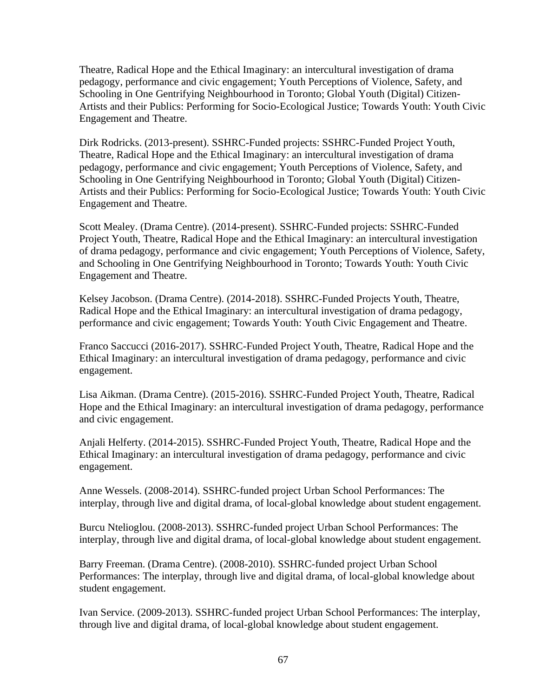Theatre, Radical Hope and the Ethical Imaginary: an intercultural investigation of drama pedagogy, performance and civic engagement; Youth Perceptions of Violence, Safety, and Schooling in One Gentrifying Neighbourhood in Toronto; Global Youth (Digital) Citizen-Artists and their Publics: Performing for Socio-Ecological Justice; Towards Youth: Youth Civic Engagement and Theatre.

Dirk Rodricks. (2013-present). SSHRC-Funded projects: SSHRC-Funded Project Youth, Theatre, Radical Hope and the Ethical Imaginary: an intercultural investigation of drama pedagogy, performance and civic engagement; Youth Perceptions of Violence, Safety, and Schooling in One Gentrifying Neighbourhood in Toronto; Global Youth (Digital) Citizen-Artists and their Publics: Performing for Socio-Ecological Justice; Towards Youth: Youth Civic Engagement and Theatre.

Scott Mealey. (Drama Centre). (2014-present). SSHRC-Funded projects: SSHRC-Funded Project Youth, Theatre, Radical Hope and the Ethical Imaginary: an intercultural investigation of drama pedagogy, performance and civic engagement; Youth Perceptions of Violence, Safety, and Schooling in One Gentrifying Neighbourhood in Toronto; Towards Youth: Youth Civic Engagement and Theatre.

Kelsey Jacobson. (Drama Centre). (2014-2018). SSHRC-Funded Projects Youth, Theatre, Radical Hope and the Ethical Imaginary: an intercultural investigation of drama pedagogy, performance and civic engagement; Towards Youth: Youth Civic Engagement and Theatre.

Franco Saccucci (2016-2017). SSHRC-Funded Project Youth, Theatre, Radical Hope and the Ethical Imaginary: an intercultural investigation of drama pedagogy, performance and civic engagement.

Lisa Aikman. (Drama Centre). (2015-2016). SSHRC-Funded Project Youth, Theatre, Radical Hope and the Ethical Imaginary: an intercultural investigation of drama pedagogy, performance and civic engagement.

Anjali Helferty. (2014-2015). SSHRC-Funded Project Youth, Theatre, Radical Hope and the Ethical Imaginary: an intercultural investigation of drama pedagogy, performance and civic engagement.

Anne Wessels. (2008-2014). SSHRC-funded project Urban School Performances: The interplay, through live and digital drama, of local-global knowledge about student engagement.

Burcu Ntelioglou. (2008-2013). SSHRC-funded project Urban School Performances: The interplay, through live and digital drama, of local-global knowledge about student engagement.

Barry Freeman. (Drama Centre). (2008-2010). SSHRC-funded project Urban School Performances: The interplay, through live and digital drama, of local-global knowledge about student engagement.

Ivan Service. (2009-2013). SSHRC-funded project Urban School Performances: The interplay, through live and digital drama, of local-global knowledge about student engagement.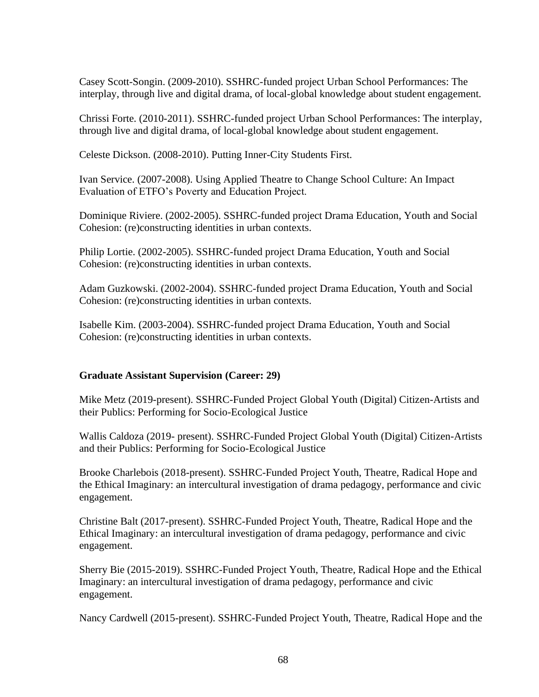Casey Scott-Songin. (2009-2010). SSHRC-funded project Urban School Performances: The interplay, through live and digital drama, of local-global knowledge about student engagement.

Chrissi Forte. (2010-2011). SSHRC-funded project Urban School Performances: The interplay, through live and digital drama, of local-global knowledge about student engagement.

Celeste Dickson. (2008-2010). Putting Inner-City Students First.

Ivan Service. (2007-2008). Using Applied Theatre to Change School Culture: An Impact Evaluation of ETFO's Poverty and Education Project.

Dominique Riviere. (2002-2005). SSHRC-funded project Drama Education, Youth and Social Cohesion: (re)constructing identities in urban contexts.

Philip Lortie. (2002-2005). SSHRC-funded project Drama Education, Youth and Social Cohesion: (re)constructing identities in urban contexts.

Adam Guzkowski. (2002-2004). SSHRC-funded project Drama Education, Youth and Social Cohesion: (re)constructing identities in urban contexts.

Isabelle Kim. (2003-2004). SSHRC-funded project Drama Education, Youth and Social Cohesion: (re)constructing identities in urban contexts.

## **Graduate Assistant Supervision (Career: 29)**

Mike Metz (2019-present). SSHRC-Funded Project Global Youth (Digital) Citizen-Artists and their Publics: Performing for Socio-Ecological Justice

Wallis Caldoza (2019- present). SSHRC-Funded Project Global Youth (Digital) Citizen-Artists and their Publics: Performing for Socio-Ecological Justice

Brooke Charlebois (2018-present). SSHRC-Funded Project Youth, Theatre, Radical Hope and the Ethical Imaginary: an intercultural investigation of drama pedagogy, performance and civic engagement.

Christine Balt (2017-present). SSHRC-Funded Project Youth, Theatre, Radical Hope and the Ethical Imaginary: an intercultural investigation of drama pedagogy, performance and civic engagement.

Sherry Bie (2015-2019). SSHRC-Funded Project Youth, Theatre, Radical Hope and the Ethical Imaginary: an intercultural investigation of drama pedagogy, performance and civic engagement.

Nancy Cardwell (2015-present). SSHRC-Funded Project Youth, Theatre, Radical Hope and the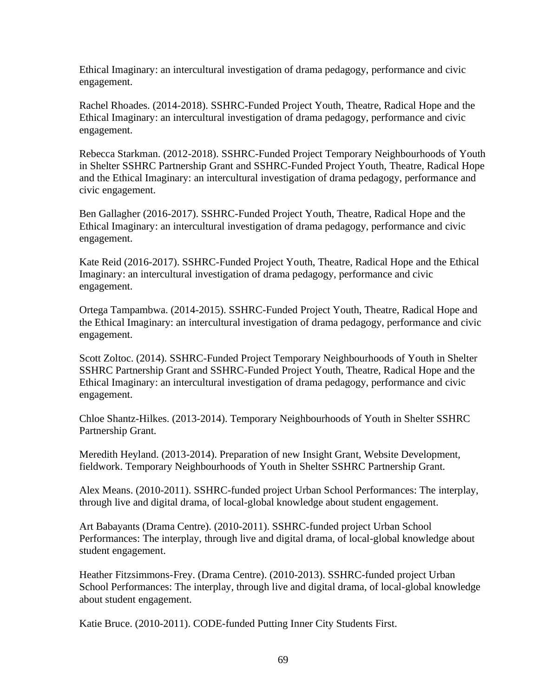Ethical Imaginary: an intercultural investigation of drama pedagogy, performance and civic engagement.

Rachel Rhoades. (2014-2018). SSHRC-Funded Project Youth, Theatre, Radical Hope and the Ethical Imaginary: an intercultural investigation of drama pedagogy, performance and civic engagement.

Rebecca Starkman. (2012-2018). SSHRC-Funded Project Temporary Neighbourhoods of Youth in Shelter SSHRC Partnership Grant and SSHRC-Funded Project Youth, Theatre, Radical Hope and the Ethical Imaginary: an intercultural investigation of drama pedagogy, performance and civic engagement.

Ben Gallagher (2016-2017). SSHRC-Funded Project Youth, Theatre, Radical Hope and the Ethical Imaginary: an intercultural investigation of drama pedagogy, performance and civic engagement.

Kate Reid (2016-2017). SSHRC-Funded Project Youth, Theatre, Radical Hope and the Ethical Imaginary: an intercultural investigation of drama pedagogy, performance and civic engagement.

Ortega Tampambwa. (2014-2015). SSHRC-Funded Project Youth, Theatre, Radical Hope and the Ethical Imaginary: an intercultural investigation of drama pedagogy, performance and civic engagement.

Scott Zoltoc. (2014). SSHRC-Funded Project Temporary Neighbourhoods of Youth in Shelter SSHRC Partnership Grant and SSHRC-Funded Project Youth, Theatre, Radical Hope and the Ethical Imaginary: an intercultural investigation of drama pedagogy, performance and civic engagement.

Chloe Shantz-Hilkes. (2013-2014). Temporary Neighbourhoods of Youth in Shelter SSHRC Partnership Grant.

Meredith Heyland. (2013-2014). Preparation of new Insight Grant, Website Development, fieldwork. Temporary Neighbourhoods of Youth in Shelter SSHRC Partnership Grant.

Alex Means. (2010-2011). SSHRC-funded project Urban School Performances: The interplay, through live and digital drama, of local-global knowledge about student engagement.

Art Babayants (Drama Centre). (2010-2011). SSHRC-funded project Urban School Performances: The interplay, through live and digital drama, of local-global knowledge about student engagement.

Heather Fitzsimmons-Frey. (Drama Centre). (2010-2013). SSHRC-funded project Urban School Performances: The interplay, through live and digital drama, of local-global knowledge about student engagement.

Katie Bruce. (2010-2011). CODE-funded Putting Inner City Students First.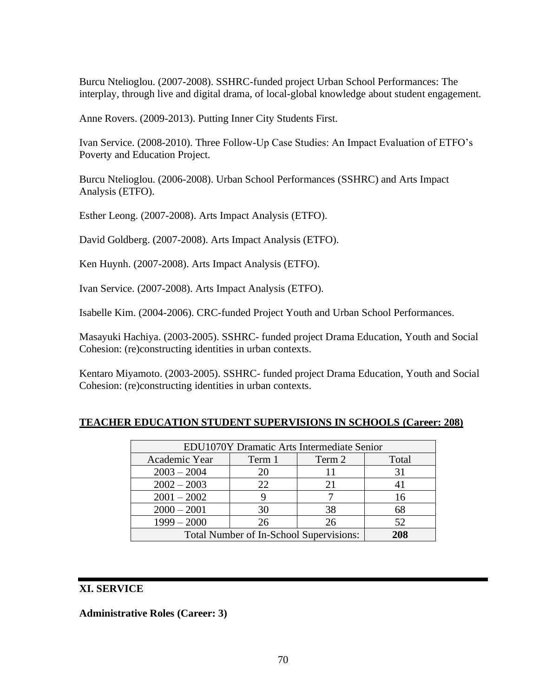Burcu Ntelioglou. (2007-2008). SSHRC-funded project Urban School Performances: The interplay, through live and digital drama, of local-global knowledge about student engagement.

Anne Rovers. (2009-2013). Putting Inner City Students First.

Ivan Service. (2008-2010). Three Follow-Up Case Studies: An Impact Evaluation of ETFO's Poverty and Education Project.

Burcu Ntelioglou. (2006-2008). Urban School Performances (SSHRC) and Arts Impact Analysis (ETFO).

Esther Leong. (2007-2008). Arts Impact Analysis (ETFO).

David Goldberg. (2007-2008). Arts Impact Analysis (ETFO).

Ken Huynh. (2007-2008). Arts Impact Analysis (ETFO).

Ivan Service. (2007-2008). Arts Impact Analysis (ETFO).

Isabelle Kim. (2004-2006). CRC-funded Project Youth and Urban School Performances.

Masayuki Hachiya. (2003-2005). SSHRC- funded project Drama Education, Youth and Social Cohesion: (re)constructing identities in urban contexts.

Kentaro Miyamoto. (2003-2005). SSHRC- funded project Drama Education, Youth and Social Cohesion: (re)constructing identities in urban contexts.

| <b>EDU1070Y Dramatic Arts Intermediate Senior</b> |        |        |       |
|---------------------------------------------------|--------|--------|-------|
| Academic Year                                     | Term 1 | Term 2 | Total |
| $2003 - 2004$                                     | 20     |        | 31    |
| $2002 - 2003$                                     | 22.    |        |       |
| $2001 - 2002$                                     |        |        | 16    |
| $2000 - 2001$                                     | 30     | 38     | 68    |
| $1999 - 2000$                                     | 26     | 26     | 52    |
| Total Number of In-School Supervisions:           |        |        | 208   |

## **TEACHER EDUCATION STUDENT SUPERVISIONS IN SCHOOLS (Career: 208)**

## **XI. SERVICE**

**Administrative Roles (Career: 3)**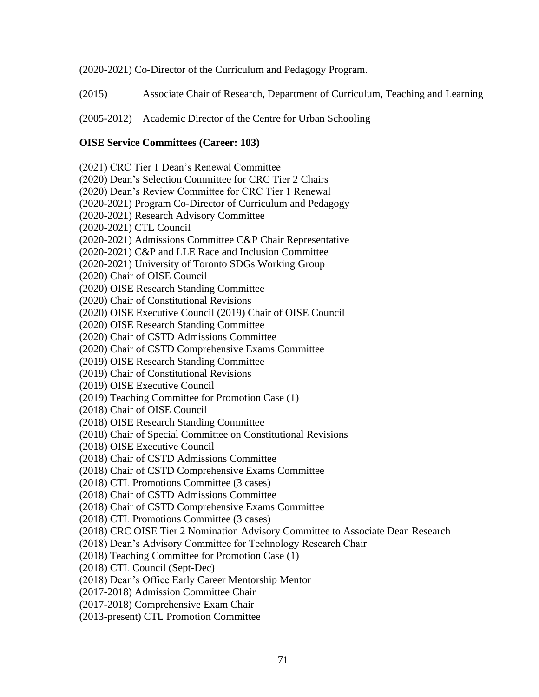(2020-2021) Co-Director of the Curriculum and Pedagogy Program.

(2015) Associate Chair of Research, Department of Curriculum, Teaching and Learning

(2005-2012) Academic Director of the Centre for Urban Schooling

## **OISE Service Committees (Career: 103)**

(2021) CRC Tier 1 Dean's Renewal Committee (2020) Dean's Selection Committee for CRC Tier 2 Chairs (2020) Dean's Review Committee for CRC Tier 1 Renewal (2020-2021) Program Co-Director of Curriculum and Pedagogy (2020-2021) Research Advisory Committee (2020-2021) CTL Council (2020-2021) Admissions Committee C&P Chair Representative (2020-2021) C&P and LLE Race and Inclusion Committee (2020-2021) University of Toronto SDGs Working Group (2020) Chair of OISE Council (2020) OISE Research Standing Committee (2020) Chair of Constitutional Revisions (2020) OISE Executive Council (2019) Chair of OISE Council (2020) OISE Research Standing Committee (2020) Chair of CSTD Admissions Committee (2020) Chair of CSTD Comprehensive Exams Committee (2019) OISE Research Standing Committee (2019) Chair of Constitutional Revisions (2019) OISE Executive Council (2019) Teaching Committee for Promotion Case (1) (2018) Chair of OISE Council (2018) OISE Research Standing Committee (2018) Chair of Special Committee on Constitutional Revisions (2018) OISE Executive Council (2018) Chair of CSTD Admissions Committee (2018) Chair of CSTD Comprehensive Exams Committee (2018) CTL Promotions Committee (3 cases) (2018) Chair of CSTD Admissions Committee (2018) Chair of CSTD Comprehensive Exams Committee (2018) CTL Promotions Committee (3 cases) (2018) CRC OISE Tier 2 Nomination Advisory Committee to Associate Dean Research (2018) Dean's Advisory Committee for Technology Research Chair (2018) Teaching Committee for Promotion Case (1) (2018) CTL Council (Sept-Dec) (2018) Dean's Office Early Career Mentorship Mentor (2017-2018) Admission Committee Chair (2017-2018) Comprehensive Exam Chair (2013-present) CTL Promotion Committee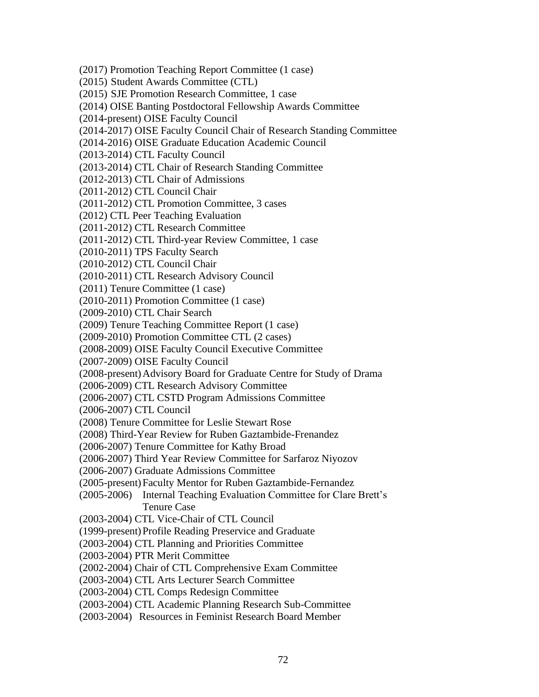(2017) Promotion Teaching Report Committee (1 case)

(2015) Student Awards Committee (CTL)

- (2015) SJE Promotion Research Committee, 1 case
- (2014) OISE Banting Postdoctoral Fellowship Awards Committee
- (2014-present) OISE Faculty Council
- (2014-2017) OISE Faculty Council Chair of Research Standing Committee
- (2014-2016) OISE Graduate Education Academic Council
- (2013-2014) CTL Faculty Council
- (2013-2014) CTL Chair of Research Standing Committee
- (2012-2013) CTL Chair of Admissions
- (2011-2012) CTL Council Chair
- (2011-2012) CTL Promotion Committee, 3 cases
- (2012) CTL Peer Teaching Evaluation
- (2011-2012) CTL Research Committee
- (2011-2012) CTL Third-year Review Committee, 1 case
- (2010-2011) TPS Faculty Search
- (2010-2012) CTL Council Chair
- (2010-2011) CTL Research Advisory Council
- (2011) Tenure Committee (1 case)
- (2010-2011) Promotion Committee (1 case)
- (2009-2010) CTL Chair Search
- (2009) Tenure Teaching Committee Report (1 case)
- (2009-2010) Promotion Committee CTL (2 cases)
- (2008-2009) OISE Faculty Council Executive Committee
- (2007-2009) OISE Faculty Council
- (2008-present)Advisory Board for Graduate Centre for Study of Drama
- (2006-2009) CTL Research Advisory Committee
- (2006-2007) CTL CSTD Program Admissions Committee
- (2006-2007) CTL Council
- (2008) Tenure Committee for Leslie Stewart Rose
- (2008) Third-Year Review for Ruben Gaztambide-Frenandez
- (2006-2007) Tenure Committee for Kathy Broad
- (2006-2007) Third Year Review Committee for Sarfaroz Niyozov
- (2006-2007) Graduate Admissions Committee
- (2005-present)Faculty Mentor for Ruben Gaztambide-Fernandez
- (2005-2006) Internal Teaching Evaluation Committee for Clare Brett's Tenure Case
- (2003-2004) CTL Vice-Chair of CTL Council
- (1999-present)Profile Reading Preservice and Graduate
- (2003-2004) CTL Planning and Priorities Committee
- (2003-2004) PTR Merit Committee
- (2002-2004) Chair of CTL Comprehensive Exam Committee
- (2003-2004) CTL Arts Lecturer Search Committee
- (2003-2004) CTL Comps Redesign Committee
- (2003-2004) CTL Academic Planning Research Sub-Committee
- (2003-2004) Resources in Feminist Research Board Member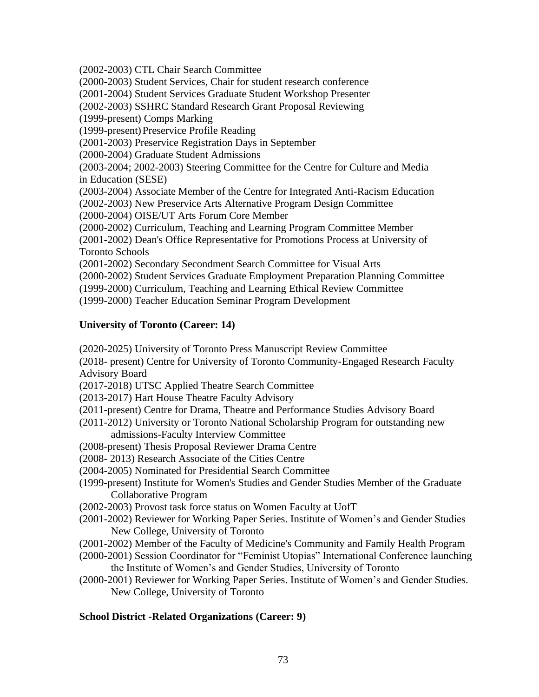(2002-2003) CTL Chair Search Committee

(2000-2003) Student Services, Chair for student research conference

(2001-2004) Student Services Graduate Student Workshop Presenter

(2002-2003) SSHRC Standard Research Grant Proposal Reviewing

(1999-present) Comps Marking

(1999-present)Preservice Profile Reading

(2001-2003) Preservice Registration Days in September

(2000-2004) Graduate Student Admissions

(2003-2004; 2002-2003) Steering Committee for the Centre for Culture and Media in Education (SESE)

(2003-2004) Associate Member of the Centre for Integrated Anti-Racism Education

(2002-2003) New Preservice Arts Alternative Program Design Committee

(2000-2004) OISE/UT Arts Forum Core Member

(2000-2002) Curriculum, Teaching and Learning Program Committee Member

(2001-2002) Dean's Office Representative for Promotions Process at University of Toronto Schools

(2001-2002) Secondary Secondment Search Committee for Visual Arts

(2000-2002) Student Services Graduate Employment Preparation Planning Committee

(1999-2000) Curriculum, Teaching and Learning Ethical Review Committee

(1999-2000) Teacher Education Seminar Program Development

## **University of Toronto (Career: 14)**

(2020-2025) University of Toronto Press Manuscript Review Committee

(2018- present) Centre for University of Toronto Community-Engaged Research Faculty Advisory Board

(2017-2018) UTSC Applied Theatre Search Committee

- (2013-2017) Hart House Theatre Faculty Advisory
- (2011-present) Centre for Drama, Theatre and Performance Studies Advisory Board
- (2011-2012) University or Toronto National Scholarship Program for outstanding new admissions-Faculty Interview Committee
- (2008-present) Thesis Proposal Reviewer Drama Centre
- (2008- 2013) Research Associate of the Cities Centre
- (2004-2005) Nominated for Presidential Search Committee
- (1999-present) Institute for Women's Studies and Gender Studies Member of the Graduate Collaborative Program
- (2002-2003) Provost task force status on Women Faculty at UofT
- (2001-2002) Reviewer for Working Paper Series. Institute of Women's and Gender Studies New College, University of Toronto
- (2001-2002) Member of the Faculty of Medicine's Community and Family Health Program
- (2000-2001) Session Coordinator for "Feminist Utopias" International Conference launching the Institute of Women's and Gender Studies, University of Toronto
- (2000-2001) Reviewer for Working Paper Series. Institute of Women's and Gender Studies. New College, University of Toronto

## **School District -Related Organizations (Career: 9)**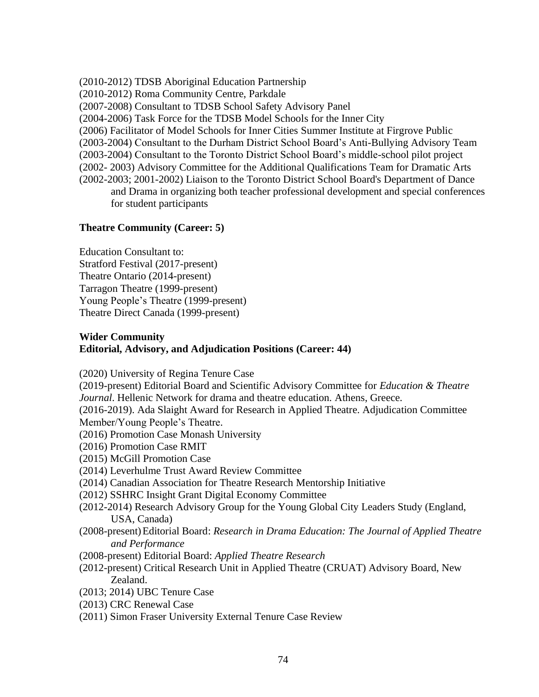(2010-2012) TDSB Aboriginal Education Partnership (2010-2012) Roma Community Centre, Parkdale

(2007-2008) Consultant to TDSB School Safety Advisory Panel

(2004-2006) Task Force for the TDSB Model Schools for the Inner City

(2006) Facilitator of Model Schools for Inner Cities Summer Institute at Firgrove Public

(2003-2004) Consultant to the Durham District School Board's Anti-Bullying Advisory Team

(2003-2004) Consultant to the Toronto District School Board's middle-school pilot project

(2002- 2003) Advisory Committee for the Additional Qualifications Team for Dramatic Arts

(2002-2003; 2001-2002) Liaison to the Toronto District School Board's Department of Dance and Drama in organizing both teacher professional development and special conferences for student participants

## **Theatre Community (Career: 5)**

Education Consultant to: Stratford Festival (2017-present) Theatre Ontario (2014-present) Tarragon Theatre (1999-present) Young People's Theatre (1999-present) Theatre Direct Canada (1999-present)

## **Wider Community Editorial, Advisory, and Adjudication Positions (Career: 44)**

(2020) University of Regina Tenure Case

(2019-present) Editorial Board and Scientific Advisory Committee for *Education & Theatre Journal*. Hellenic Network for drama and theatre education. Athens, Greece.

(2016-2019). Ada Slaight Award for Research in Applied Theatre. Adjudication Committee Member/Young People's Theatre.

- (2016) Promotion Case Monash University
- (2016) Promotion Case RMIT
- (2015) McGill Promotion Case
- (2014) Leverhulme Trust Award Review Committee
- (2014) Canadian Association for Theatre Research Mentorship Initiative
- (2012) SSHRC Insight Grant Digital Economy Committee
- (2012-2014) Research Advisory Group for the Young Global City Leaders Study (England, USA, Canada)
- (2008-present)Editorial Board: *Research in Drama Education: The Journal of Applied Theatre and Performance*
- (2008-present) Editorial Board: *Applied Theatre Research*
- (2012-present) Critical Research Unit in Applied Theatre (CRUAT) Advisory Board, New Zealand.
- (2013; 2014) UBC Tenure Case
- (2013) CRC Renewal Case
- (2011) Simon Fraser University External Tenure Case Review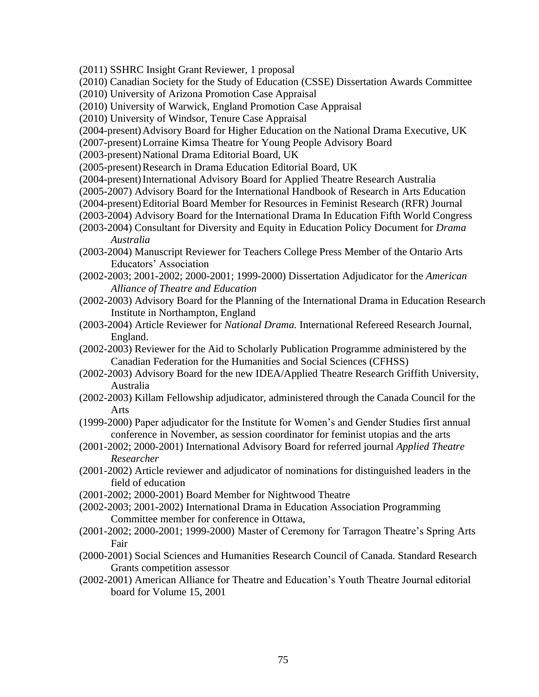- (2011) SSHRC Insight Grant Reviewer, 1 proposal
- (2010) Canadian Society for the Study of Education (CSSE) Dissertation Awards Committee
- (2010) University of Arizona Promotion Case Appraisal
- (2010) University of Warwick, England Promotion Case Appraisal
- (2010) University of Windsor, Tenure Case Appraisal
- (2004-present)Advisory Board for Higher Education on the National Drama Executive, UK
- (2007-present)Lorraine Kimsa Theatre for Young People Advisory Board
- (2003-present) National Drama Editorial Board, UK
- (2005-present) Research in Drama Education Editorial Board, UK
- (2004-present)International Advisory Board for Applied Theatre Research Australia
- (2005-2007) Advisory Board for the International Handbook of Research in Arts Education
- (2004-present)Editorial Board Member for Resources in Feminist Research (RFR) Journal
- (2003-2004) Advisory Board for the International Drama In Education Fifth World Congress
- (2003-2004) Consultant for Diversity and Equity in Education Policy Document for *Drama Australia*
- (2003-2004) Manuscript Reviewer for Teachers College Press Member of the Ontario Arts Educators' Association
- (2002-2003; 2001-2002; 2000-2001; 1999-2000) Dissertation Adjudicator for the *American Alliance of Theatre and Education*
- (2002-2003) Advisory Board for the Planning of the International Drama in Education Research Institute in Northampton, England
- (2003-2004) Article Reviewer for *National Drama.* International Refereed Research Journal, England.
- (2002-2003) Reviewer for the Aid to Scholarly Publication Programme administered by the Canadian Federation for the Humanities and Social Sciences (CFHSS)
- (2002-2003) Advisory Board for the new IDEA/Applied Theatre Research Griffith University, Australia
- (2002-2003) Killam Fellowship adjudicator, administered through the Canada Council for the Arts
- (1999-2000) Paper adjudicator for the Institute for Women's and Gender Studies first annual conference in November, as session coordinator for feminist utopias and the arts
- (2001-2002; 2000-2001) International Advisory Board for referred journal *Applied Theatre Researcher*
- (2001-2002) Article reviewer and adjudicator of nominations for distinguished leaders in the field of education
- (2001-2002; 2000-2001) Board Member for Nightwood Theatre
- (2002-2003; 2001-2002) International Drama in Education Association Programming Committee member for conference in Ottawa,
- (2001-2002; 2000-2001; 1999-2000) Master of Ceremony for Tarragon Theatre's Spring Arts Fair
- (2000-2001) Social Sciences and Humanities Research Council of Canada. Standard Research Grants competition assessor
- (2002-2001) American Alliance for Theatre and Education's Youth Theatre Journal editorial board for Volume 15, 2001